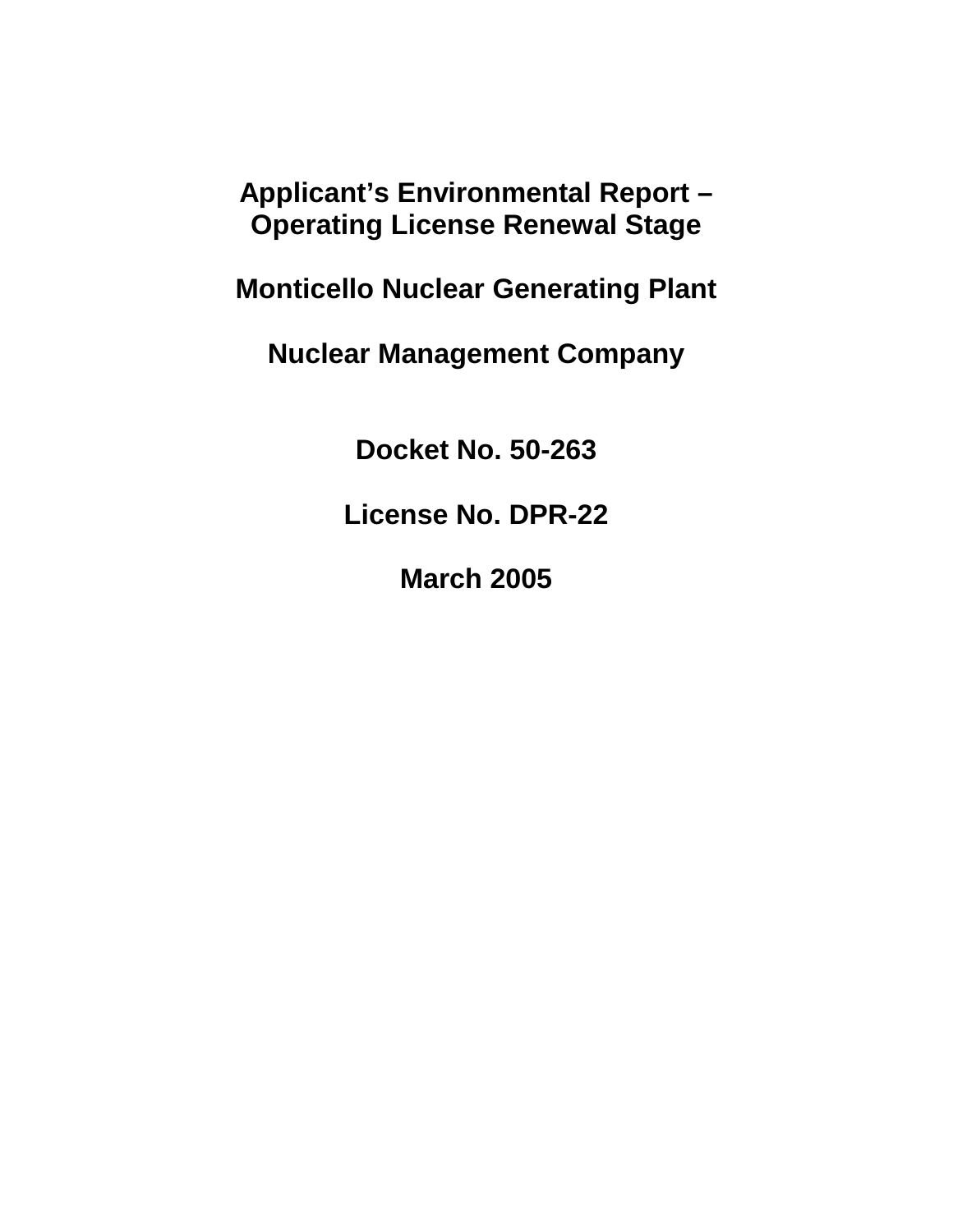**Applicant's Environmental Report – Operating License Renewal Stage** 

**Monticello Nuclear Generating Plant** 

**Nuclear Management Company** 

**Docket No. 50-263** 

**License No. DPR-22** 

**March 2005**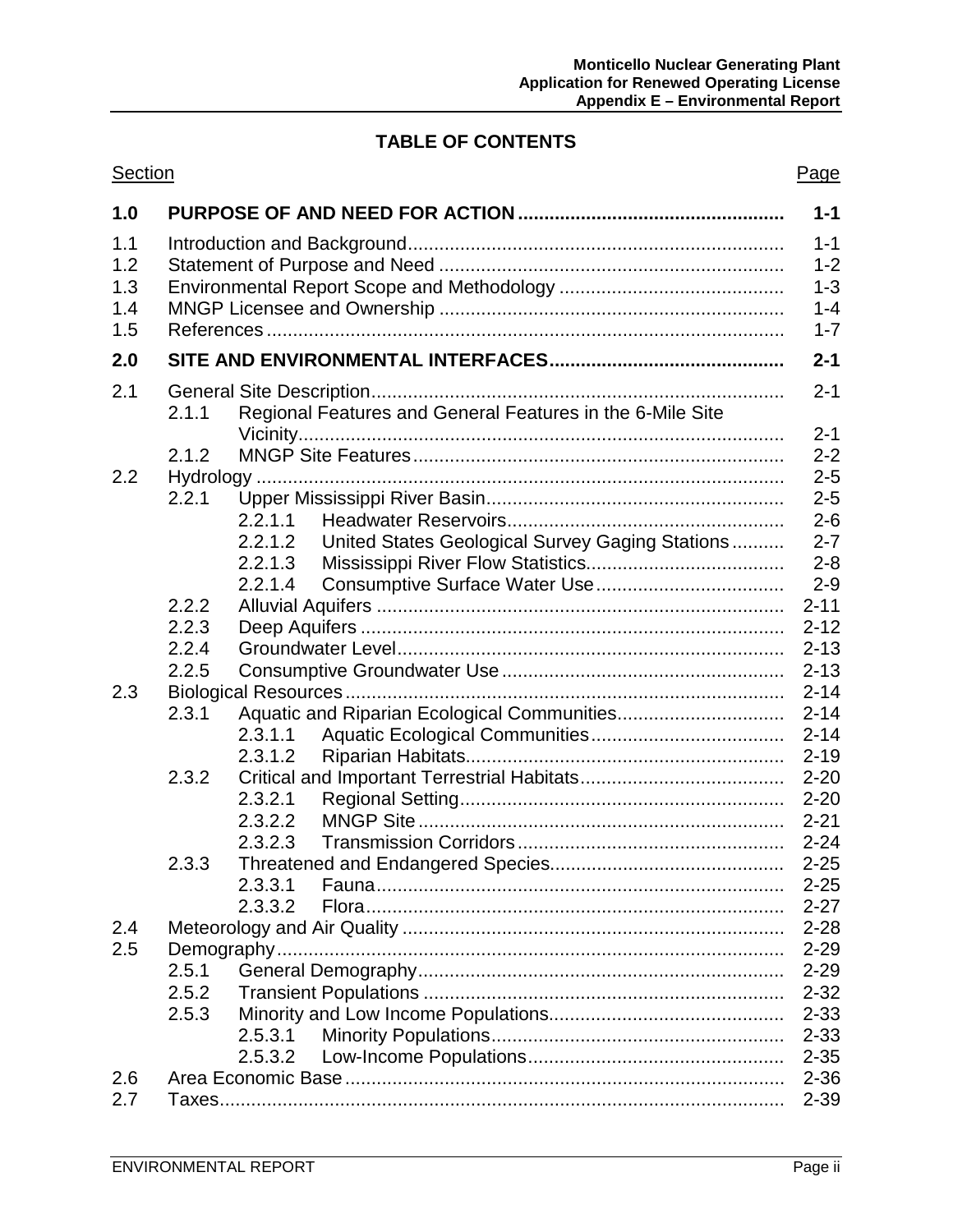# **TABLE OF CONTENTS**

| Section                         |                   |         |                                                           | Page                 |  |
|---------------------------------|-------------------|---------|-----------------------------------------------------------|----------------------|--|
| 1.0                             |                   |         |                                                           | $1 - 1$              |  |
| 1.1<br>1.2<br>1.3<br>1.4<br>1.5 |                   |         |                                                           |                      |  |
| 2.0                             | $2 - 1$           |         |                                                           |                      |  |
| 2.1                             |                   |         |                                                           | $2 - 1$              |  |
|                                 | 2.1.1             |         | Regional Features and General Features in the 6-Mile Site | $2 - 1$              |  |
|                                 | 2.1.2             |         |                                                           | $2 - 2$              |  |
| 2.2                             |                   |         |                                                           | $2 - 5$              |  |
|                                 | 2.2.1             |         |                                                           | $2 - 5$              |  |
|                                 |                   | 2.2.1.1 |                                                           | $2 - 6$              |  |
|                                 |                   | 2.2.1.2 | United States Geological Survey Gaging Stations           | $2 - 7$              |  |
|                                 |                   | 2.2.1.3 |                                                           | $2 - 8$              |  |
|                                 |                   | 2.2.1.4 |                                                           | $2 - 9$              |  |
|                                 | 2.2.2             |         |                                                           | $2 - 11$             |  |
|                                 | 2.2.3             |         |                                                           | $2 - 12$             |  |
|                                 | 2.2.4             |         |                                                           |                      |  |
|                                 | 2.2.5             |         |                                                           | $2 - 13$             |  |
| 2.3                             |                   |         |                                                           | $2 - 14$             |  |
|                                 | 2.3.1             |         |                                                           | $2 - 14$             |  |
|                                 |                   | 2.3.1.1 |                                                           | $2 - 14$             |  |
|                                 |                   | 2.3.1.2 |                                                           | $2 - 19$             |  |
|                                 | 2.3.2             |         |                                                           | $2 - 20$             |  |
|                                 |                   | 2.3.2.1 |                                                           | $2 - 20$             |  |
|                                 |                   | 2.3.2.2 |                                                           | $2 - 21$             |  |
|                                 |                   | 2.3.2.3 |                                                           | $2 - 24$             |  |
|                                 | 2.3.3             |         |                                                           | $2 - 25$             |  |
|                                 |                   | 2.3.3.1 |                                                           | $2 - 25$             |  |
|                                 |                   | 2.3.3.2 |                                                           | $2 - 27$             |  |
| 2.4                             |                   |         |                                                           | $2 - 28$             |  |
| 2.5                             |                   |         |                                                           |                      |  |
|                                 | $2 - 29$<br>2.5.1 |         |                                                           |                      |  |
|                                 | 2.5.2             |         |                                                           | $2 - 29$<br>$2 - 32$ |  |
|                                 | 2.5.3             |         |                                                           |                      |  |
|                                 |                   | 2.5.3.1 |                                                           | $2 - 33$<br>$2 - 33$ |  |
|                                 |                   | 2.5.3.2 |                                                           | $2 - 35$             |  |
| 2.6                             |                   |         |                                                           | $2 - 36$             |  |
| 2.7                             |                   |         |                                                           | $2 - 39$             |  |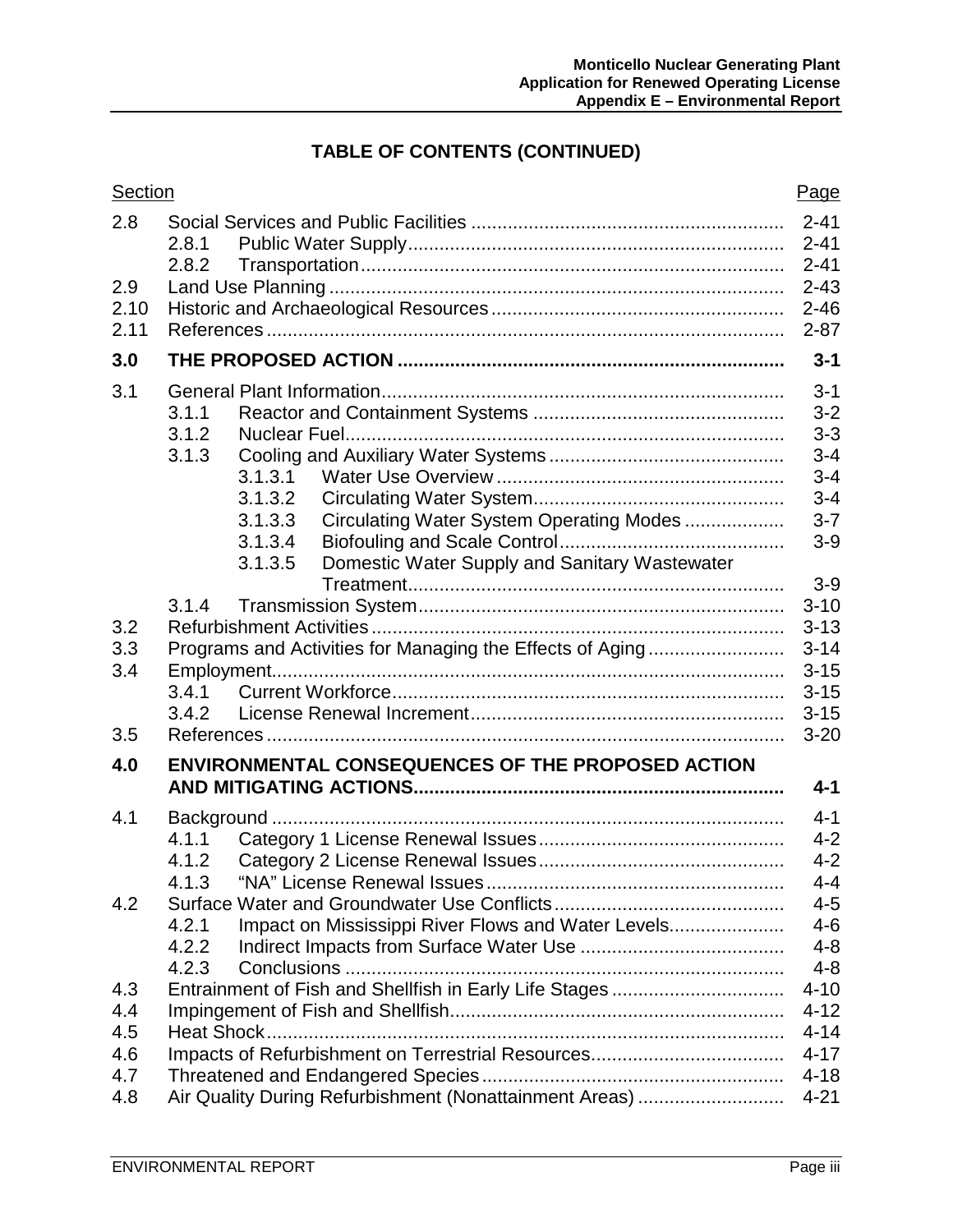# **TABLE OF CONTENTS (CONTINUED)**

| Section |                                                             | Page                 |  |  |  |
|---------|-------------------------------------------------------------|----------------------|--|--|--|
| 2.8     | 2.8.1                                                       | $2 - 41$<br>$2 - 41$ |  |  |  |
| 2.9     | 2.8.2                                                       | $2 - 41$<br>$2 - 43$ |  |  |  |
| 2.10    |                                                             | $2 - 46$             |  |  |  |
| 2.11    |                                                             | $2 - 87$             |  |  |  |
| 3.0     |                                                             | $3 - 1$              |  |  |  |
| 3.1     |                                                             |                      |  |  |  |
|         | 3.1.1                                                       | $3 - 2$              |  |  |  |
|         | 3.1.2                                                       | $3 - 3$              |  |  |  |
|         | 3.1.3                                                       | $3 - 4$              |  |  |  |
|         | 3.1.3.1                                                     | $3 - 4$              |  |  |  |
|         | 3.1.3.2                                                     | $3 - 4$              |  |  |  |
|         | 3.1.3.3<br>Circulating Water System Operating Modes         | $3 - 7$              |  |  |  |
|         | 3.1.3.4                                                     | $3-9$                |  |  |  |
|         | Domestic Water Supply and Sanitary Wastewater<br>3.1.3.5    |                      |  |  |  |
|         |                                                             | $3-9$                |  |  |  |
|         | 3.1.4                                                       | $3 - 10$<br>$3 - 13$ |  |  |  |
| 3.2     |                                                             |                      |  |  |  |
| 3.3     | Programs and Activities for Managing the Effects of Aging   |                      |  |  |  |
| 3.4     |                                                             | $3 - 15$<br>$3 - 15$ |  |  |  |
|         | 3.4.1                                                       |                      |  |  |  |
|         | 3.4.2                                                       | $3 - 15$             |  |  |  |
| 3.5     |                                                             | $3 - 20$             |  |  |  |
| 4.0     | <b>ENVIRONMENTAL CONSEQUENCES OF THE PROPOSED ACTION</b>    | $4 - 1$              |  |  |  |
| 4.1     |                                                             | $4 - 1$              |  |  |  |
|         | 4.1.1                                                       | $4 - 2$              |  |  |  |
|         | 4.1.2                                                       | $4 - 2$              |  |  |  |
|         | 4.1.3                                                       | 4-4                  |  |  |  |
| 4.2     |                                                             |                      |  |  |  |
|         | Impact on Mississippi River Flows and Water Levels<br>4.2.1 |                      |  |  |  |
|         | 4.2.2                                                       | $4 - 8$              |  |  |  |
|         | 4.2.3                                                       | $4 - 8$              |  |  |  |
| 4.3     | Entrainment of Fish and Shellfish in Early Life Stages      | $4 - 10$             |  |  |  |
| 4.4     |                                                             | $4 - 12$             |  |  |  |
| 4.5     |                                                             | $4 - 14$             |  |  |  |
| 4.6     |                                                             | $4 - 17$             |  |  |  |
| 4.7     |                                                             | $4 - 18$             |  |  |  |
| 4.8     | Air Quality During Refurbishment (Nonattainment Areas)      | $4 - 21$             |  |  |  |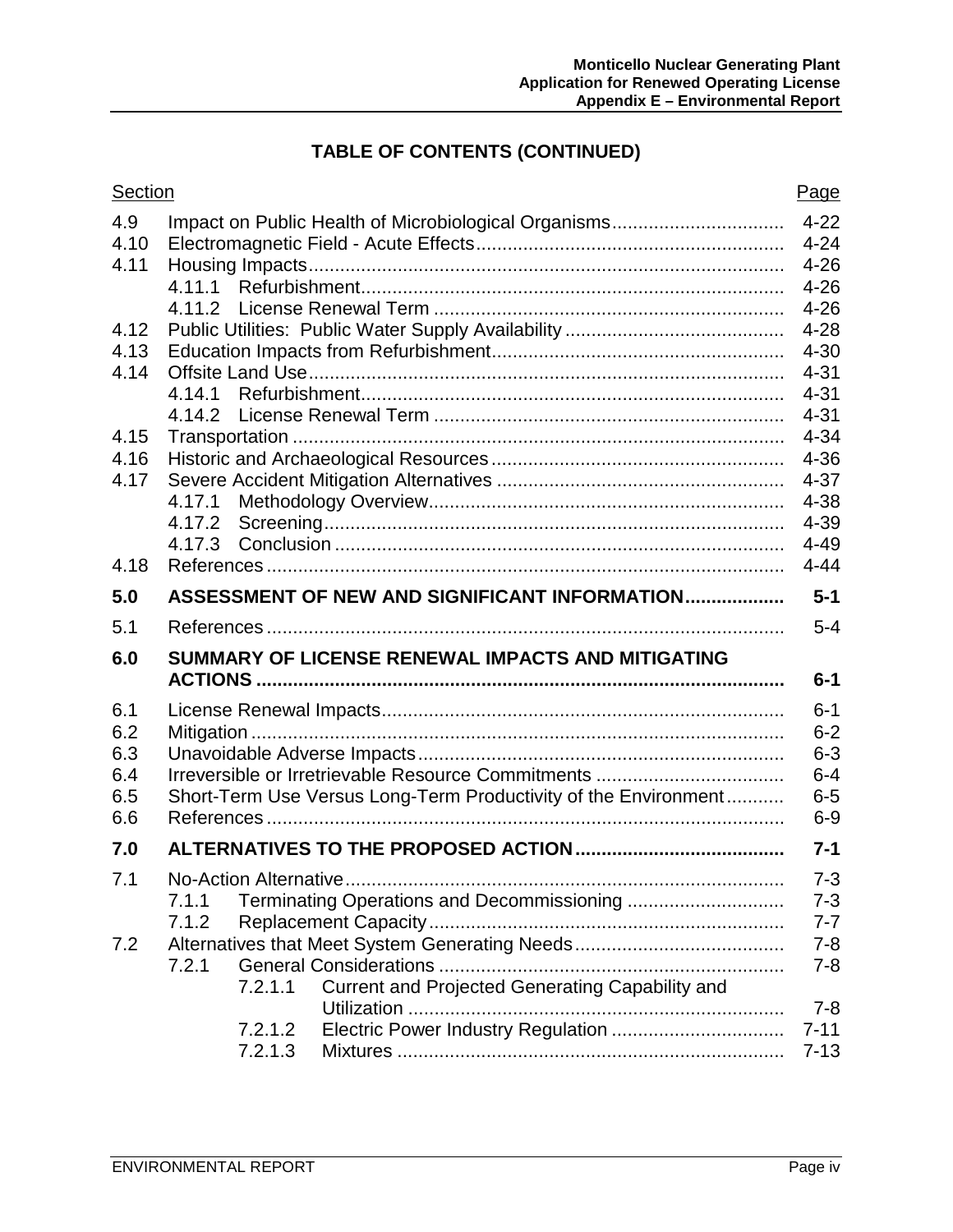# **TABLE OF CONTENTS (CONTINUED)**

| Section |                                                                 | Page             |  |  |  |
|---------|-----------------------------------------------------------------|------------------|--|--|--|
| 4.9     | Impact on Public Health of Microbiological Organisms            | $4 - 22$         |  |  |  |
| 4.10    | $4 - 24$                                                        |                  |  |  |  |
| 4.11    |                                                                 | $4 - 26$         |  |  |  |
|         |                                                                 | $4 - 26$         |  |  |  |
|         |                                                                 | $4 - 26$         |  |  |  |
| 4.12    |                                                                 | $4 - 28$         |  |  |  |
| 4.13    |                                                                 | $4 - 30$         |  |  |  |
| 4.14    |                                                                 | $4 - 31$         |  |  |  |
|         |                                                                 | $4 - 31$         |  |  |  |
|         |                                                                 | $4 - 31$         |  |  |  |
| 4.15    |                                                                 | $4 - 34$         |  |  |  |
| 4.16    |                                                                 | $4 - 36$         |  |  |  |
| 4.17    |                                                                 | $4 - 37$         |  |  |  |
|         |                                                                 | $4 - 38$<br>4-39 |  |  |  |
|         |                                                                 | $4 - 49$         |  |  |  |
| 4.18    |                                                                 | $4 - 44$         |  |  |  |
|         |                                                                 |                  |  |  |  |
| 5.0     | ASSESSMENT OF NEW AND SIGNIFICANT INFORMATION                   | $5 - 1$          |  |  |  |
| 5.1     |                                                                 | $5 - 4$          |  |  |  |
| 6.0     | SUMMARY OF LICENSE RENEWAL IMPACTS AND MITIGATING               | $6 - 1$          |  |  |  |
|         |                                                                 |                  |  |  |  |
| 6.1     |                                                                 | $6 - 1$          |  |  |  |
| 6.2     |                                                                 | $6 - 2$          |  |  |  |
| 6.3     | $6 - 3$                                                         |                  |  |  |  |
| 6.4     |                                                                 | $6 - 4$          |  |  |  |
| 6.5     | Short-Term Use Versus Long-Term Productivity of the Environment | $6-5$            |  |  |  |
| 6.6     |                                                                 | $6-9$            |  |  |  |
| 7.0     |                                                                 | $7 - 1$          |  |  |  |
| 7.1     |                                                                 | $7 - 3$          |  |  |  |
|         | 7.1.1                                                           | $7 - 3$          |  |  |  |
|         | 7.1.2                                                           | $7 - 7$          |  |  |  |
| 7.2     |                                                                 | $7 - 8$          |  |  |  |
|         | 7.2.1                                                           | $7 - 8$          |  |  |  |
|         | Current and Projected Generating Capability and<br>7.2.1.1      |                  |  |  |  |
|         |                                                                 | $7 - 8$          |  |  |  |
|         | Electric Power Industry Regulation<br>7.2.1.2                   | $7 - 11$         |  |  |  |
|         | 7.2.1.3                                                         | $7 - 13$         |  |  |  |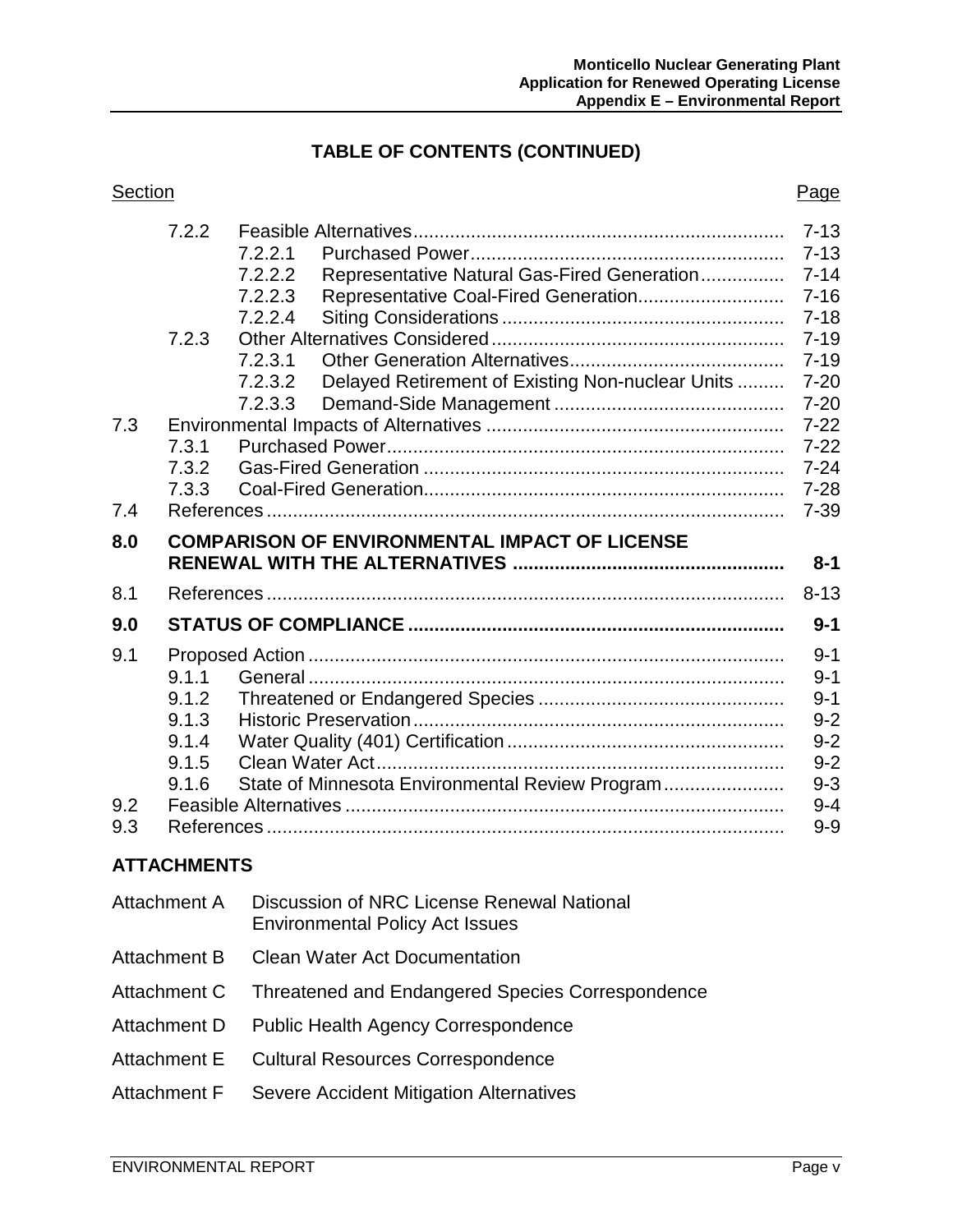## **TABLE OF CONTENTS (CONTINUED)**

| Section | Page |
|---------|------|

|     | 7.2.2 | $7 - 13$                                             |                                                  |          |  |
|-----|-------|------------------------------------------------------|--------------------------------------------------|----------|--|
|     |       | 7.2.2.1                                              |                                                  | $7 - 13$ |  |
|     |       | 7.2.2.2                                              | Representative Natural Gas-Fired Generation      | $7 - 14$ |  |
|     |       | 7.2.2.3                                              | Representative Coal-Fired Generation             | $7 - 16$ |  |
|     |       | 7.2.2.4                                              |                                                  | $7 - 18$ |  |
|     | 7.2.3 |                                                      |                                                  | $7 - 19$ |  |
|     |       | 7.2.3.1                                              |                                                  | $7 - 19$ |  |
|     |       | 7.2.3.2                                              | Delayed Retirement of Existing Non-nuclear Units | $7 - 20$ |  |
|     |       | 7.2.3.3                                              |                                                  | $7 - 20$ |  |
| 7.3 |       |                                                      |                                                  | $7 - 22$ |  |
|     | 7.3.1 |                                                      |                                                  | $7 - 22$ |  |
|     | 7.3.2 |                                                      |                                                  | $7 - 24$ |  |
|     | 7.3.3 |                                                      |                                                  | $7 - 28$ |  |
| 7.4 |       |                                                      |                                                  | $7 - 39$ |  |
| 8.0 |       | <b>COMPARISON OF ENVIRONMENTAL IMPACT OF LICENSE</b> |                                                  |          |  |
|     |       |                                                      |                                                  |          |  |
|     |       |                                                      |                                                  | $8 - 1$  |  |
| 8.1 |       |                                                      |                                                  | $8 - 13$ |  |
| 9.0 |       |                                                      |                                                  | $9 - 1$  |  |
| 9.1 |       |                                                      |                                                  | $9 - 1$  |  |
|     | 9.1.1 |                                                      |                                                  | $9 - 1$  |  |
|     | 9.1.2 |                                                      |                                                  | $9 - 1$  |  |
|     | 9.1.3 |                                                      |                                                  | $9 - 2$  |  |
|     | 9.1.4 |                                                      |                                                  | $9 - 2$  |  |
|     | 9.1.5 |                                                      |                                                  | $9 - 2$  |  |
|     | 9.1.6 |                                                      | State of Minnesota Environmental Review Program  | $9 - 3$  |  |
| 9.2 |       |                                                      |                                                  | $9 - 4$  |  |
| 9.3 |       |                                                      |                                                  | $9-9$    |  |

| Attachment A | Discussion of NRC License Renewal National<br><b>Environmental Policy Act Issues</b> |
|--------------|--------------------------------------------------------------------------------------|
| Attachment B | <b>Clean Water Act Documentation</b>                                                 |
| Attachment C | Threatened and Endangered Species Correspondence                                     |
| Attachment D | <b>Public Health Agency Correspondence</b>                                           |
| Attachment E | <b>Cultural Resources Correspondence</b>                                             |
| Attachment F | Severe Accident Mitigation Alternatives                                              |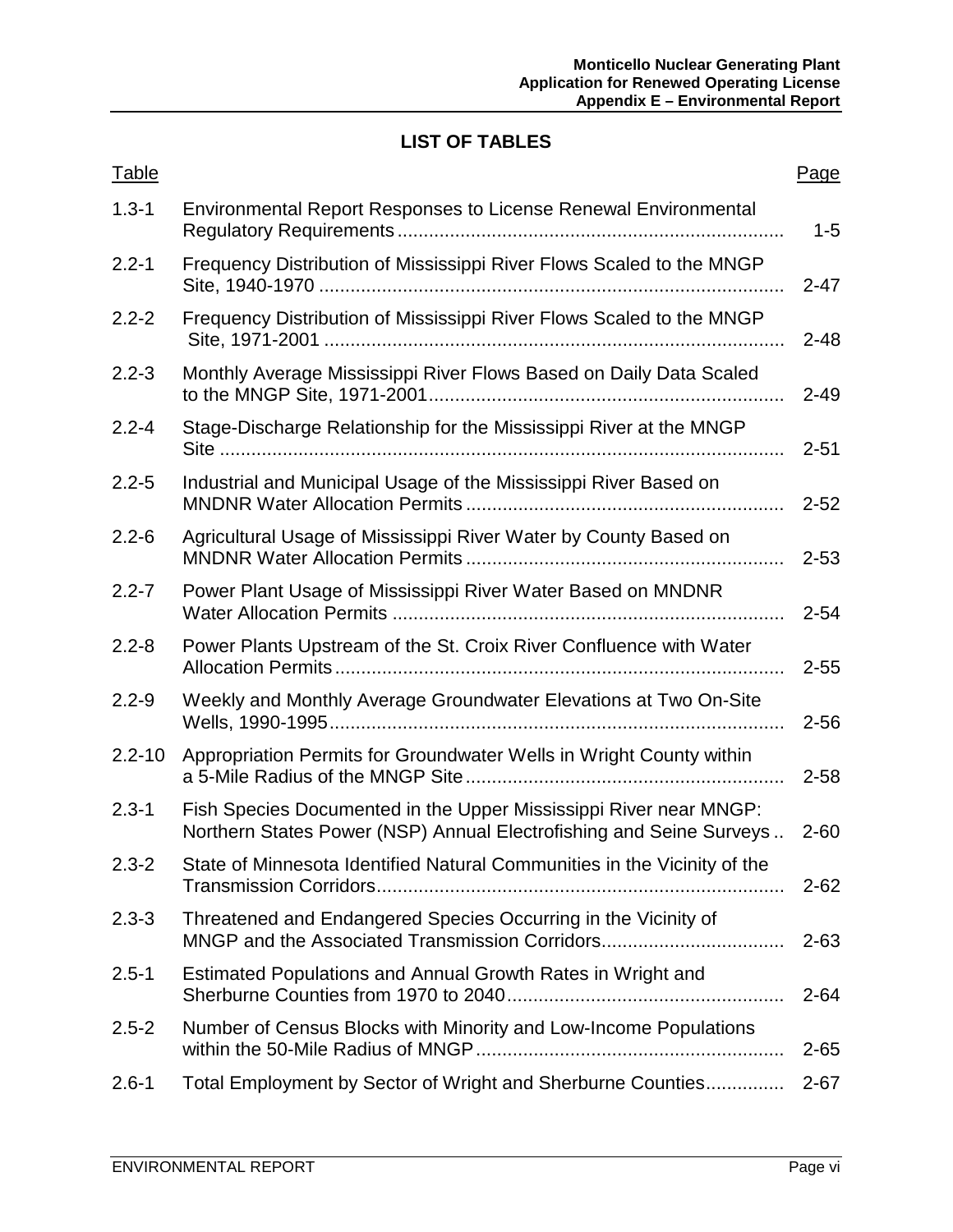# **LIST OF TABLES**

| <b>Table</b> |                                                                                                                                          | Page     |
|--------------|------------------------------------------------------------------------------------------------------------------------------------------|----------|
| $1.3 - 1$    | <b>Environmental Report Responses to License Renewal Environmental</b>                                                                   | $1 - 5$  |
| $2.2 - 1$    | Frequency Distribution of Mississippi River Flows Scaled to the MNGP                                                                     | $2 - 47$ |
| $2.2 - 2$    | Frequency Distribution of Mississippi River Flows Scaled to the MNGP                                                                     | $2 - 48$ |
| $2.2 - 3$    | Monthly Average Mississippi River Flows Based on Daily Data Scaled                                                                       | $2 - 49$ |
| $2.2 - 4$    | Stage-Discharge Relationship for the Mississippi River at the MNGP                                                                       | $2 - 51$ |
| $2.2 - 5$    | Industrial and Municipal Usage of the Mississippi River Based on                                                                         | $2 - 52$ |
| $2.2 - 6$    | Agricultural Usage of Mississippi River Water by County Based on                                                                         | $2 - 53$ |
| $2.2 - 7$    | Power Plant Usage of Mississippi River Water Based on MNDNR                                                                              | $2 - 54$ |
| $2.2 - 8$    | Power Plants Upstream of the St. Croix River Confluence with Water                                                                       | $2 - 55$ |
| $2.2 - 9$    | Weekly and Monthly Average Groundwater Elevations at Two On-Site                                                                         | $2 - 56$ |
| $2.2 - 10$   | Appropriation Permits for Groundwater Wells in Wright County within                                                                      | $2 - 58$ |
| $2.3 - 1$    | Fish Species Documented in the Upper Mississippi River near MNGP:<br>Northern States Power (NSP) Annual Electrofishing and Seine Surveys | $2 - 60$ |
| $2.3 - 2$    | State of Minnesota Identified Natural Communities in the Vicinity of the                                                                 | $2 - 62$ |
| $2.3 - 3$    | Threatened and Endangered Species Occurring in the Vicinity of<br>MNGP and the Associated Transmission Corridors                         | $2 - 63$ |
| $2.5 - 1$    | Estimated Populations and Annual Growth Rates in Wright and                                                                              | $2 - 64$ |
| $2.5 - 2$    | Number of Census Blocks with Minority and Low-Income Populations                                                                         | $2 - 65$ |
| $2.6 - 1$    | Total Employment by Sector of Wright and Sherburne Counties                                                                              | $2 - 67$ |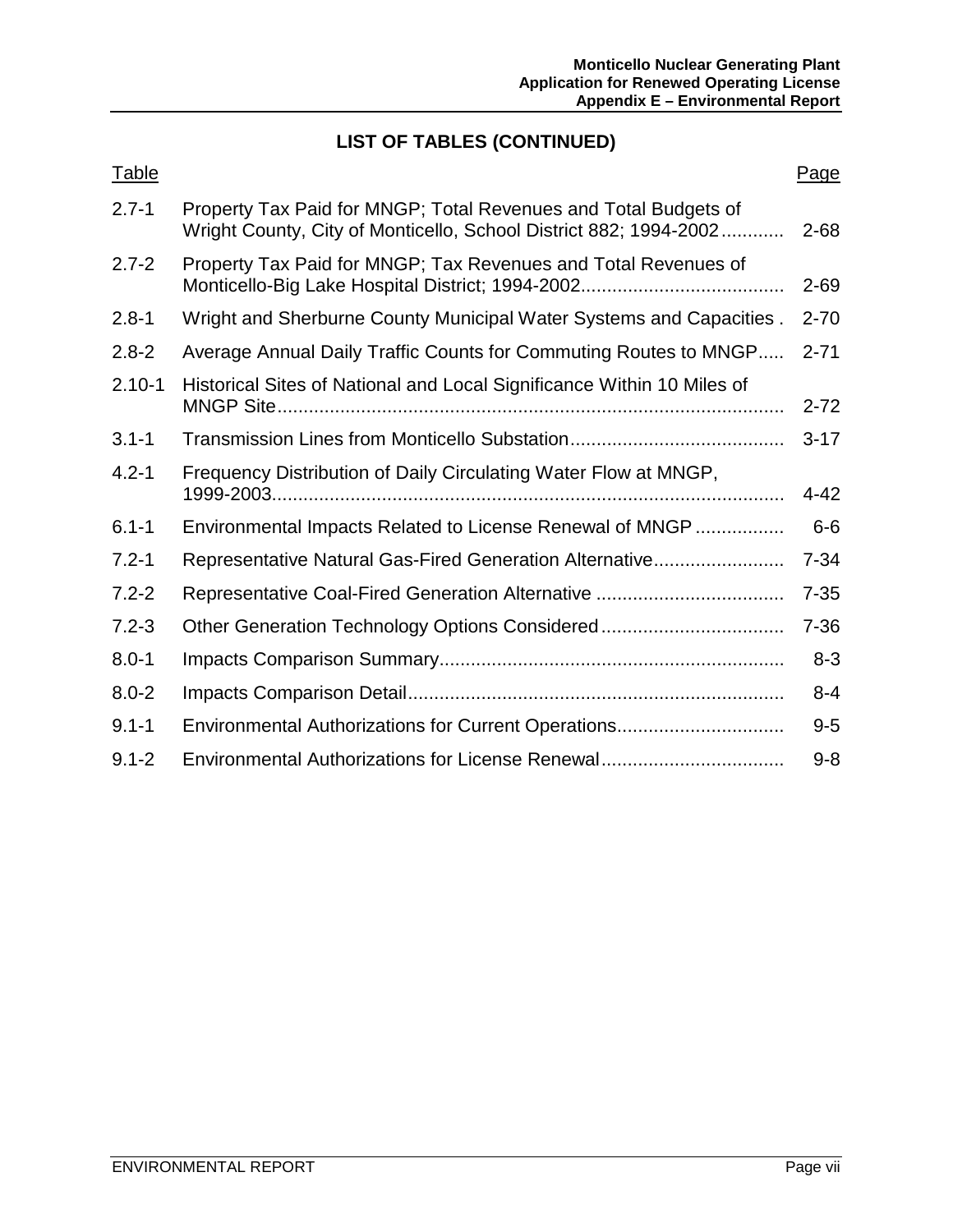# **LIST OF TABLES (CONTINUED)**

| <b>Table</b> |                                                                                                                                      | Page     |
|--------------|--------------------------------------------------------------------------------------------------------------------------------------|----------|
| $2.7 - 1$    | Property Tax Paid for MNGP; Total Revenues and Total Budgets of<br>Wright County, City of Monticello, School District 882; 1994-2002 | $2 - 68$ |
| $2.7 - 2$    | Property Tax Paid for MNGP; Tax Revenues and Total Revenues of                                                                       | $2 - 69$ |
| $2.8 - 1$    | Wright and Sherburne County Municipal Water Systems and Capacities.                                                                  | $2 - 70$ |
| $2.8 - 2$    | Average Annual Daily Traffic Counts for Commuting Routes to MNGP                                                                     | $2 - 71$ |
| $2.10 - 1$   | Historical Sites of National and Local Significance Within 10 Miles of<br><b>MNGP Site</b>                                           | $2 - 72$ |
| $3.1 - 1$    |                                                                                                                                      | $3 - 17$ |
| $4.2 - 1$    | Frequency Distribution of Daily Circulating Water Flow at MNGP,                                                                      | $4 - 42$ |
| $6.1 - 1$    | Environmental Impacts Related to License Renewal of MNGP                                                                             | $6-6$    |
| $7.2 - 1$    | Representative Natural Gas-Fired Generation Alternative                                                                              | $7 - 34$ |
| $7.2 - 2$    |                                                                                                                                      | $7 - 35$ |
| $7.2 - 3$    |                                                                                                                                      | $7 - 36$ |
| $8.0 - 1$    |                                                                                                                                      | $8 - 3$  |
| $8.0 - 2$    |                                                                                                                                      | $8 - 4$  |
| $9.1 - 1$    |                                                                                                                                      | $9-5$    |
| $9.1 - 2$    | Environmental Authorizations for License Renewal                                                                                     | $9 - 8$  |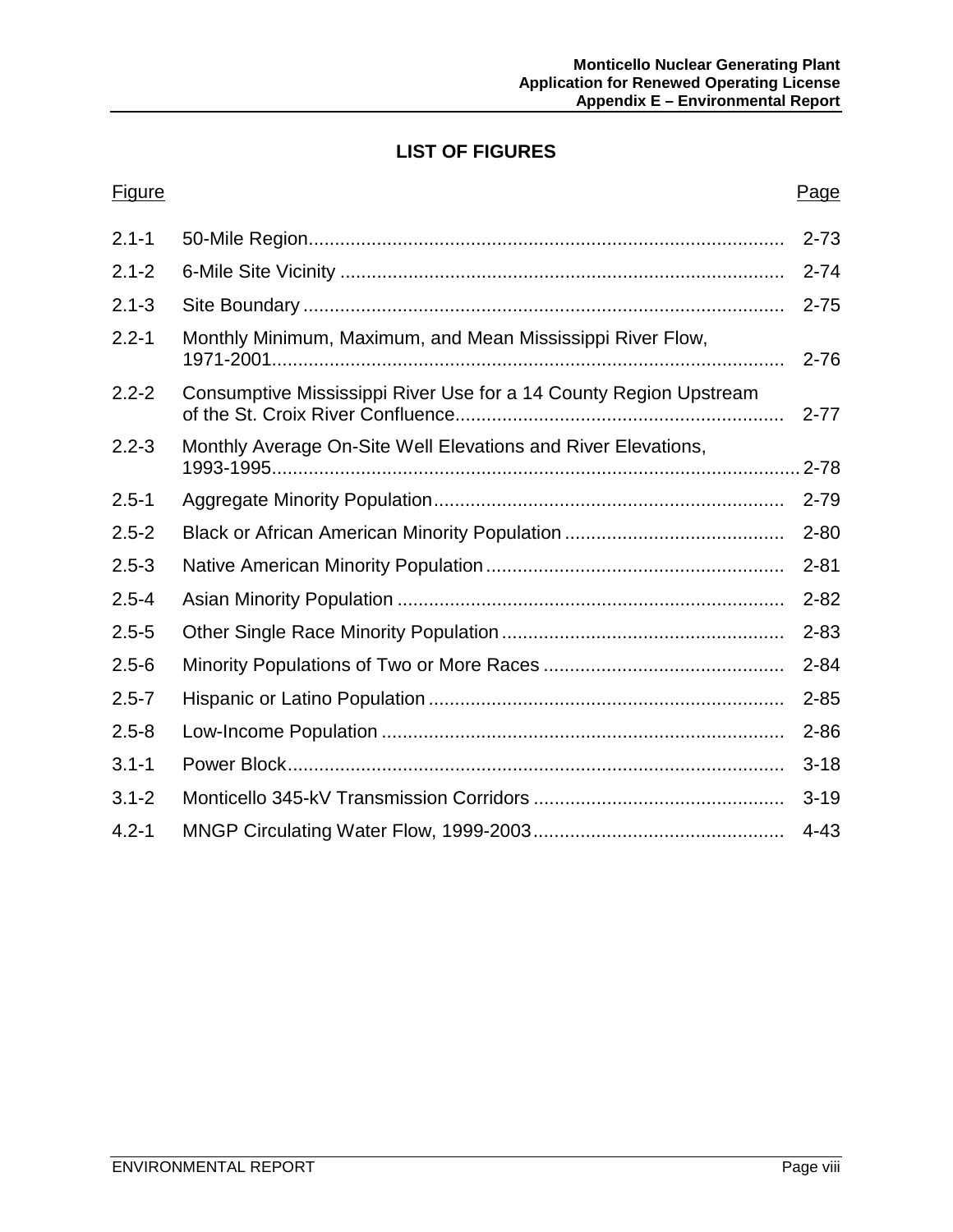## **LIST OF FIGURES**

# Figure Page **Page 2018** 2.1-1 50-Mile Region........................................................................................... 2-73 2.1-2 6-Mile Site Vicinity ..................................................................................... 2-74 2.1-3 Site Boundary ............................................................................................ 2-75 2.2-1 Monthly Minimum, Maximum, and Mean Mississippi River Flow, 1971-2001.................................................................................................. 2-76 2.2-2 Consumptive Mississippi River Use for a 14 County Region Upstream of the St. Croix River Confluence............................................................... 2-77 2.2-3 Monthly Average On-Site Well Elevations and River Elevations, 1993-1995..................................................................................................... 2-78 2.5-1 Aggregate Minority Population................................................................... 2-79 2.5-2 Black or African American Minority Population .......................................... 2-80 2.5-3 Native American Minority Population......................................................... 2-81 2.5-4 Asian Minority Population .......................................................................... 2-82 2.5-5 Other Single Race Minority Population ...................................................... 2-83 2.5-6 Minority Populations of Two or More Races .............................................. 2-84 2.5-7 Hispanic or Latino Population .................................................................... 2-85 2.5-8 Low-Income Population ............................................................................. 2-86 3.1-1 Power Block............................................................................................... 3-18 3.1-2 Monticello 345-kV Transmission Corridors ................................................ 3-19 4.2-1 MNGP Circulating Water Flow, 1999-2003................................................ 4-43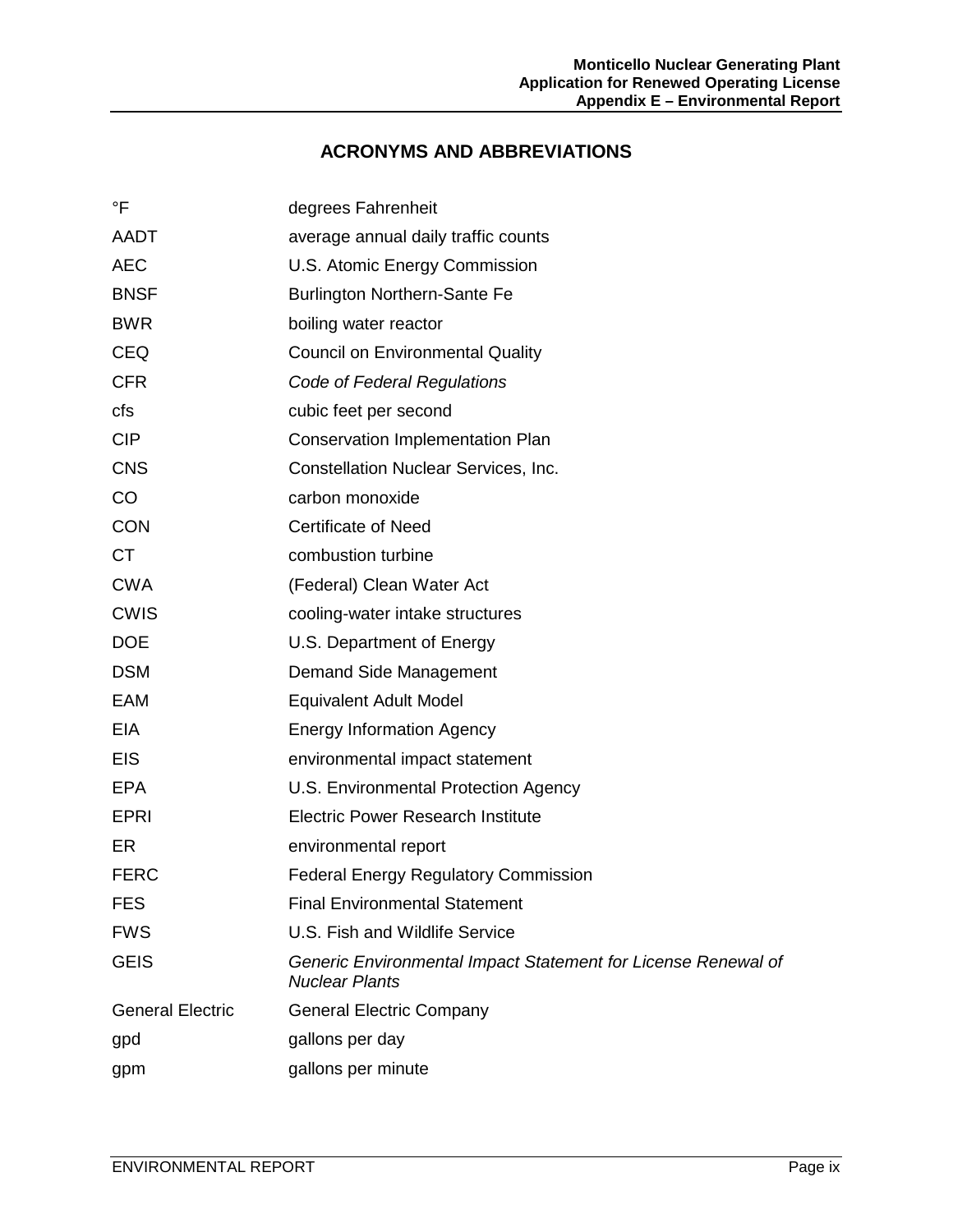#### **ACRONYMS AND ABBREVIATIONS**

| $\mathsf{P}$            | degrees Fahrenheit                                                                     |
|-------------------------|----------------------------------------------------------------------------------------|
| <b>AADT</b>             | average annual daily traffic counts                                                    |
| <b>AEC</b>              | U.S. Atomic Energy Commission                                                          |
| <b>BNSF</b>             | <b>Burlington Northern-Sante Fe</b>                                                    |
| <b>BWR</b>              | boiling water reactor                                                                  |
| <b>CEQ</b>              | <b>Council on Environmental Quality</b>                                                |
| <b>CFR</b>              | Code of Federal Regulations                                                            |
| cfs                     | cubic feet per second                                                                  |
| <b>CIP</b>              | <b>Conservation Implementation Plan</b>                                                |
| <b>CNS</b>              | Constellation Nuclear Services, Inc.                                                   |
| CO                      | carbon monoxide                                                                        |
| <b>CON</b>              | <b>Certificate of Need</b>                                                             |
| <b>CT</b>               | combustion turbine                                                                     |
| <b>CWA</b>              | (Federal) Clean Water Act                                                              |
| <b>CWIS</b>             | cooling-water intake structures                                                        |
| <b>DOE</b>              | U.S. Department of Energy                                                              |
| <b>DSM</b>              | Demand Side Management                                                                 |
| EAM                     | <b>Equivalent Adult Model</b>                                                          |
| EIA                     | <b>Energy Information Agency</b>                                                       |
| <b>EIS</b>              | environmental impact statement                                                         |
| <b>EPA</b>              | U.S. Environmental Protection Agency                                                   |
| <b>EPRI</b>             | <b>Electric Power Research Institute</b>                                               |
| ER                      | environmental report                                                                   |
| <b>FERC</b>             | <b>Federal Energy Regulatory Commission</b>                                            |
| <b>FES</b>              | <b>Final Environmental Statement</b>                                                   |
| <b>FWS</b>              | U.S. Fish and Wildlife Service                                                         |
| <b>GEIS</b>             | Generic Environmental Impact Statement for License Renewal of<br><b>Nuclear Plants</b> |
| <b>General Electric</b> | <b>General Electric Company</b>                                                        |
| gpd                     | gallons per day                                                                        |
| gpm                     | gallons per minute                                                                     |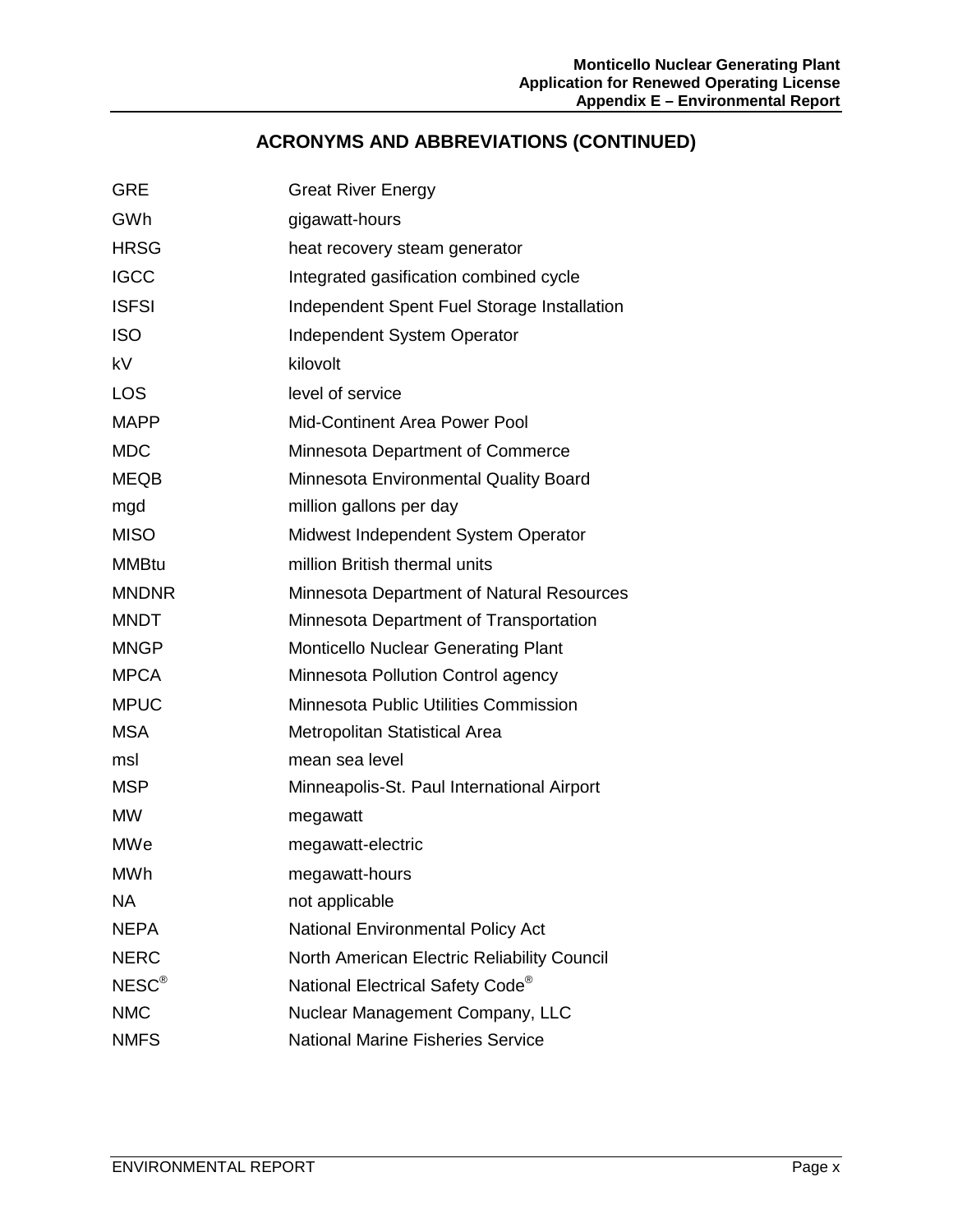# **ACRONYMS AND ABBREVIATIONS (CONTINUED)**

| <b>GRE</b>        | <b>Great River Energy</b>                    |
|-------------------|----------------------------------------------|
| GWh               | gigawatt-hours                               |
| <b>HRSG</b>       | heat recovery steam generator                |
| <b>IGCC</b>       | Integrated gasification combined cycle       |
| <b>ISFSI</b>      | Independent Spent Fuel Storage Installation  |
| <b>ISO</b>        | Independent System Operator                  |
| kV                | kilovolt                                     |
| <b>LOS</b>        | level of service                             |
| <b>MAPP</b>       | Mid-Continent Area Power Pool                |
| <b>MDC</b>        | Minnesota Department of Commerce             |
| <b>MEQB</b>       | Minnesota Environmental Quality Board        |
| mgd               | million gallons per day                      |
| <b>MISO</b>       | Midwest Independent System Operator          |
| <b>MMBtu</b>      | million British thermal units                |
| <b>MNDNR</b>      | Minnesota Department of Natural Resources    |
| <b>MNDT</b>       | Minnesota Department of Transportation       |
| <b>MNGP</b>       | <b>Monticello Nuclear Generating Plant</b>   |
| <b>MPCA</b>       | Minnesota Pollution Control agency           |
| <b>MPUC</b>       | Minnesota Public Utilities Commission        |
| <b>MSA</b>        | Metropolitan Statistical Area                |
| msl               | mean sea level                               |
| <b>MSP</b>        | Minneapolis-St. Paul International Airport   |
| <b>MW</b>         | megawatt                                     |
| <b>MWe</b>        | megawatt-electric                            |
| MWh               | megawatt-hours                               |
| <b>NA</b>         | not applicable                               |
| <b>NEPA</b>       | <b>National Environmental Policy Act</b>     |
| <b>NERC</b>       | North American Electric Reliability Council  |
| NESC <sup>®</sup> | National Electrical Safety Code <sup>®</sup> |
| <b>NMC</b>        | Nuclear Management Company, LLC              |
| <b>NMFS</b>       | <b>National Marine Fisheries Service</b>     |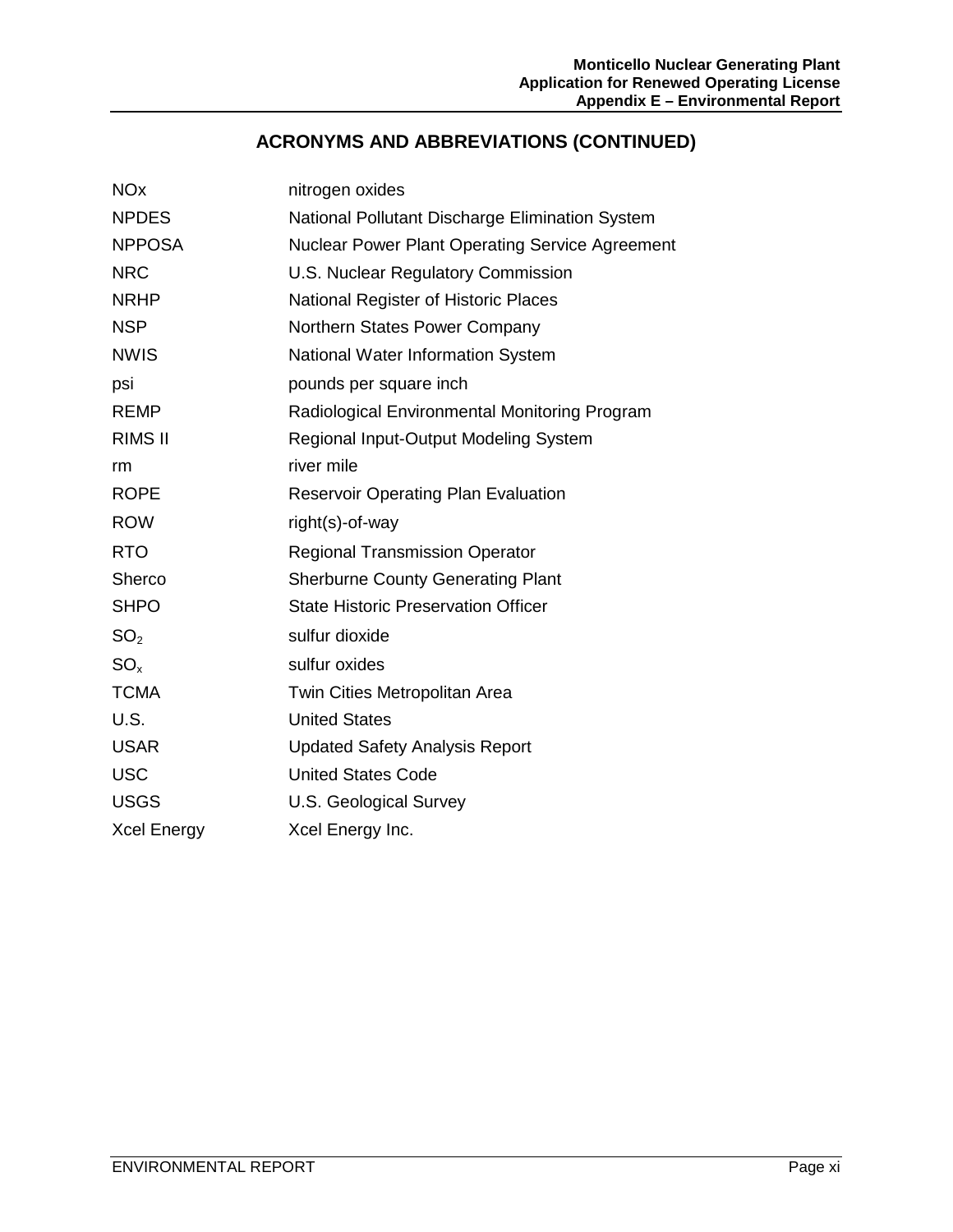# **ACRONYMS AND ABBREVIATIONS (CONTINUED)**

| <b>NO<sub>x</sub></b> | nitrogen oxides                                        |
|-----------------------|--------------------------------------------------------|
| <b>NPDES</b>          | National Pollutant Discharge Elimination System        |
| <b>NPPOSA</b>         | <b>Nuclear Power Plant Operating Service Agreement</b> |
| <b>NRC</b>            | U.S. Nuclear Regulatory Commission                     |
| <b>NRHP</b>           | National Register of Historic Places                   |
| <b>NSP</b>            | Northern States Power Company                          |
| <b>NWIS</b>           | National Water Information System                      |
| psi                   | pounds per square inch                                 |
| <b>REMP</b>           | Radiological Environmental Monitoring Program          |
| <b>RIMS II</b>        | Regional Input-Output Modeling System                  |
| rm                    | river mile                                             |
| <b>ROPE</b>           | <b>Reservoir Operating Plan Evaluation</b>             |
| <b>ROW</b>            | right(s)-of-way                                        |
| <b>RTO</b>            | <b>Regional Transmission Operator</b>                  |
| Sherco                | <b>Sherburne County Generating Plant</b>               |
| <b>SHPO</b>           | <b>State Historic Preservation Officer</b>             |
| SO <sub>2</sub>       | sulfur dioxide                                         |
| SO <sub>x</sub>       | sulfur oxides                                          |
| <b>TCMA</b>           | Twin Cities Metropolitan Area                          |
| U.S.                  | <b>United States</b>                                   |
| <b>USAR</b>           | <b>Updated Safety Analysis Report</b>                  |
| <b>USC</b>            | <b>United States Code</b>                              |
| <b>USGS</b>           | U.S. Geological Survey                                 |
| <b>Xcel Energy</b>    | Xcel Energy Inc.                                       |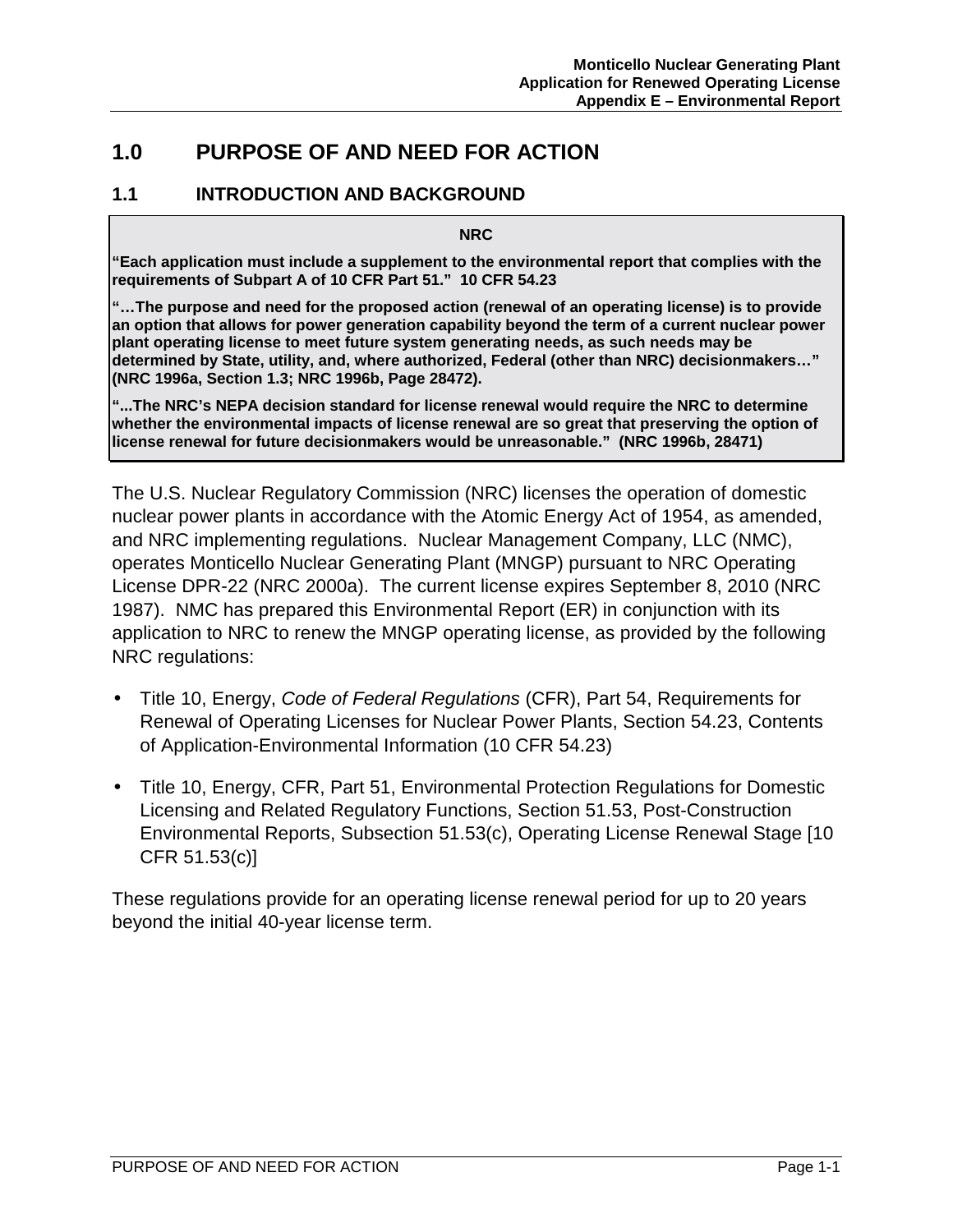# **1.0 PURPOSE OF AND NEED FOR ACTION**

#### **1.1 INTRODUCTION AND BACKGROUND**

**NRC** 

**"Each application must include a supplement to the environmental report that complies with the requirements of Subpart A of 10 CFR Part 51." 10 CFR 54.23** 

**"…The purpose and need for the proposed action (renewal of an operating license) is to provide an option that allows for power generation capability beyond the term of a current nuclear power plant operating license to meet future system generating needs, as such needs may be determined by State, utility, and, where authorized, Federal (other than NRC) decisionmakers…" (NRC 1996a, Section 1.3; NRC 1996b, Page 28472).** 

**"...The NRC's NEPA decision standard for license renewal would require the NRC to determine whether the environmental impacts of license renewal are so great that preserving the option of license renewal for future decisionmakers would be unreasonable." (NRC 1996b, 28471)**

The U.S. Nuclear Regulatory Commission (NRC) licenses the operation of domestic nuclear power plants in accordance with the Atomic Energy Act of 1954, as amended, and NRC implementing regulations. Nuclear Management Company, LLC (NMC), operates Monticello Nuclear Generating Plant (MNGP) pursuant to NRC Operating License DPR-22 (NRC 2000a). The current license expires September 8, 2010 (NRC 1987). NMC has prepared this Environmental Report (ER) in conjunction with its application to NRC to renew the MNGP operating license, as provided by the following NRC regulations:

- Title 10, Energy, *Code of Federal Regulations* (CFR), Part 54, Requirements for Renewal of Operating Licenses for Nuclear Power Plants, Section 54.23, Contents of Application-Environmental Information (10 CFR 54.23)
- Title 10, Energy, CFR, Part 51, Environmental Protection Regulations for Domestic Licensing and Related Regulatory Functions, Section 51.53, Post-Construction Environmental Reports, Subsection 51.53(c), Operating License Renewal Stage [10 CFR 51.53(c)]

These regulations provide for an operating license renewal period for up to 20 years beyond the initial 40-year license term.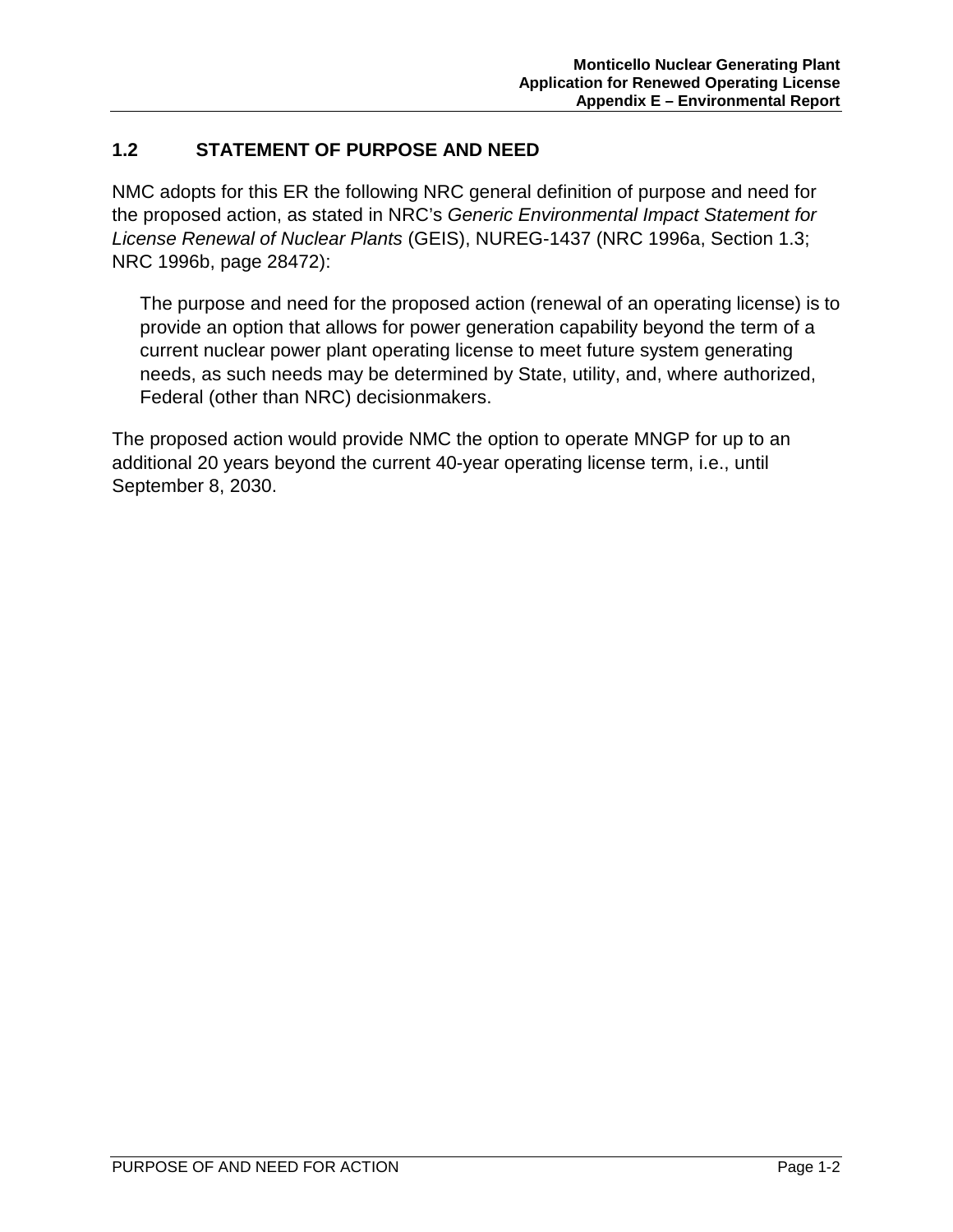## **1.2 STATEMENT OF PURPOSE AND NEED**

NMC adopts for this ER the following NRC general definition of purpose and need for the proposed action, as stated in NRC's *Generic Environmental Impact Statement for License Renewal of Nuclear Plants* (GEIS), NUREG-1437 (NRC 1996a, Section 1.3; NRC 1996b, page 28472):

The purpose and need for the proposed action (renewal of an operating license) is to provide an option that allows for power generation capability beyond the term of a current nuclear power plant operating license to meet future system generating needs, as such needs may be determined by State, utility, and, where authorized, Federal (other than NRC) decisionmakers.

The proposed action would provide NMC the option to operate MNGP for up to an additional 20 years beyond the current 40-year operating license term, i.e., until September 8, 2030.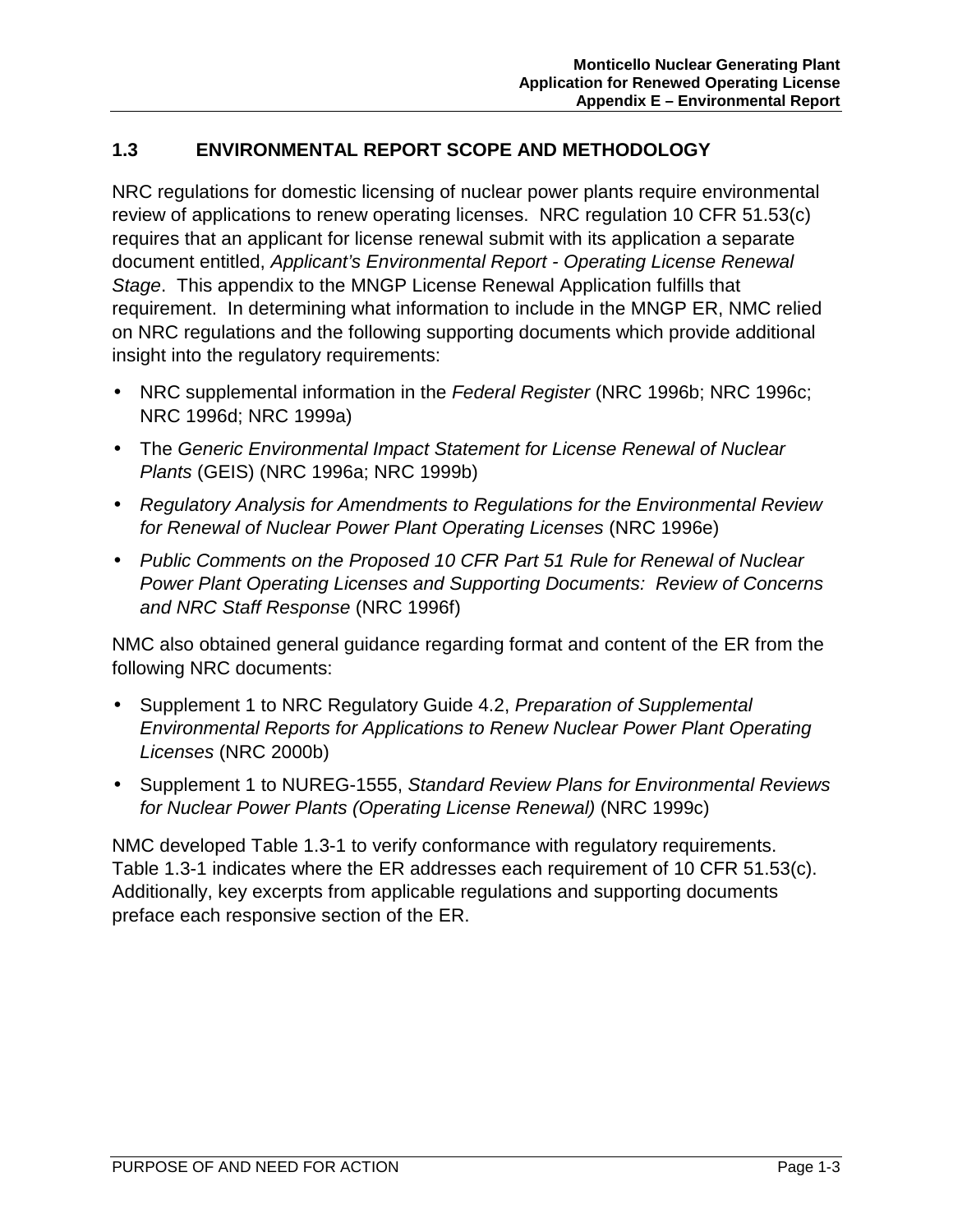#### **1.3 ENVIRONMENTAL REPORT SCOPE AND METHODOLOGY**

NRC regulations for domestic licensing of nuclear power plants require environmental review of applications to renew operating licenses. NRC regulation 10 CFR 51.53(c) requires that an applicant for license renewal submit with its application a separate document entitled, *Applicant's Environmental Report - Operating License Renewal Stage*. This appendix to the MNGP License Renewal Application fulfills that requirement. In determining what information to include in the MNGP ER, NMC relied on NRC regulations and the following supporting documents which provide additional insight into the regulatory requirements:

- NRC supplemental information in the *Federal Register* (NRC 1996b; NRC 1996c; NRC 1996d; NRC 1999a)
- The *Generic Environmental Impact Statement for License Renewal of Nuclear Plants* (GEIS) (NRC 1996a; NRC 1999b)
- *Regulatory Analysis for Amendments to Regulations for the Environmental Review for Renewal of Nuclear Power Plant Operating Licenses* (NRC 1996e)
- *Public Comments on the Proposed 10 CFR Part 51 Rule for Renewal of Nuclear Power Plant Operating Licenses and Supporting Documents: Review of Concerns and NRC Staff Response* (NRC 1996f)

NMC also obtained general guidance regarding format and content of the ER from the following NRC documents:

- Supplement 1 to NRC Regulatory Guide 4.2, *Preparation of Supplemental Environmental Reports for Applications to Renew Nuclear Power Plant Operating Licenses* (NRC 2000b)
- Supplement 1 to NUREG-1555, *Standard Review Plans for Environmental Reviews for Nuclear Power Plants (Operating License Renewal)* (NRC 1999c)

NMC developed Table 1.3-1 to verify conformance with regulatory requirements. Table 1.3-1 indicates where the ER addresses each requirement of 10 CFR 51.53(c). Additionally, key excerpts from applicable regulations and supporting documents preface each responsive section of the ER.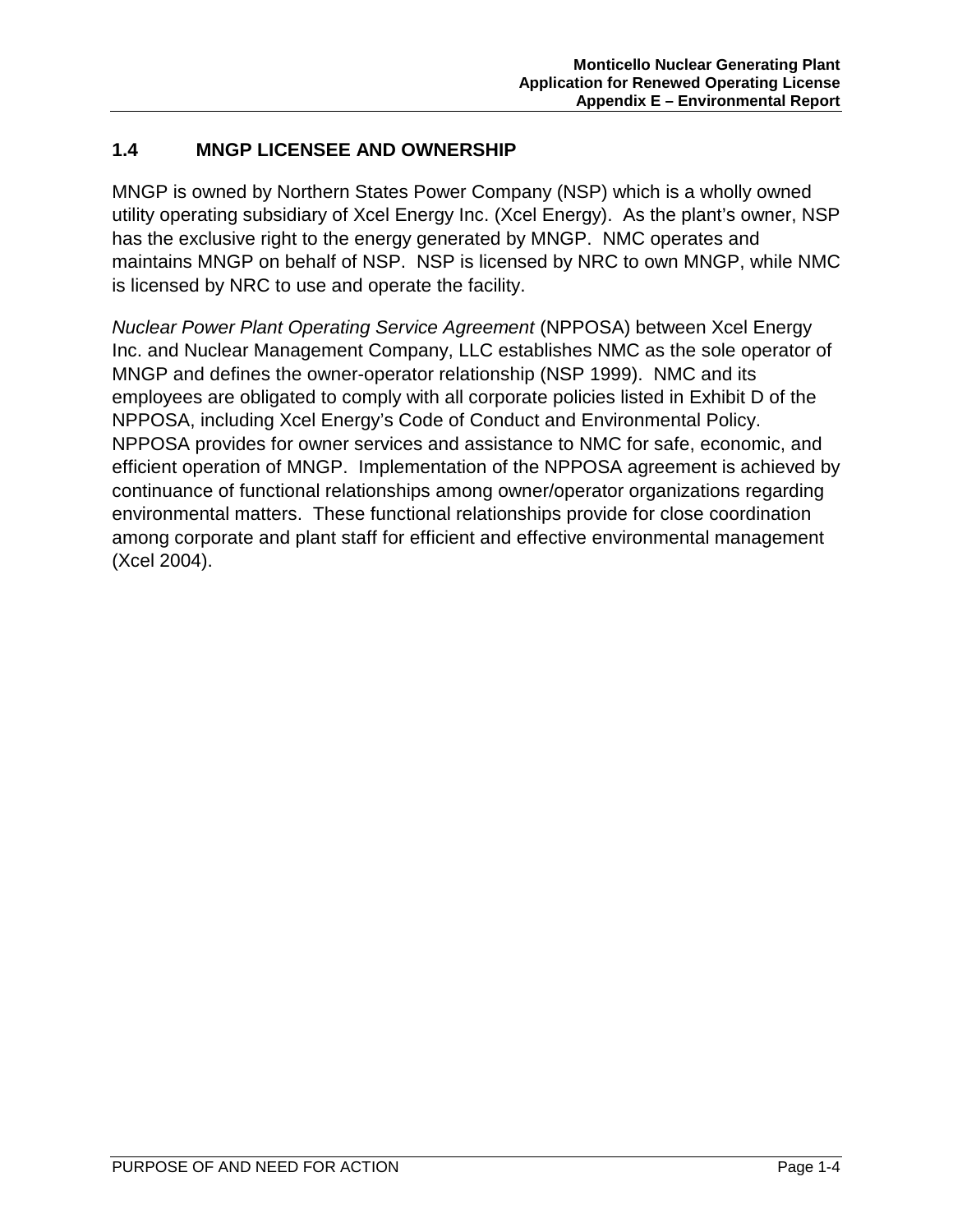## **1.4 MNGP LICENSEE AND OWNERSHIP**

MNGP is owned by Northern States Power Company (NSP) which is a wholly owned utility operating subsidiary of Xcel Energy Inc. (Xcel Energy). As the plant's owner, NSP has the exclusive right to the energy generated by MNGP. NMC operates and maintains MNGP on behalf of NSP. NSP is licensed by NRC to own MNGP, while NMC is licensed by NRC to use and operate the facility.

*Nuclear Power Plant Operating Service Agreement* (NPPOSA) between Xcel Energy Inc. and Nuclear Management Company, LLC establishes NMC as the sole operator of MNGP and defines the owner-operator relationship (NSP 1999). NMC and its employees are obligated to comply with all corporate policies listed in Exhibit D of the NPPOSA, including Xcel Energy's Code of Conduct and Environmental Policy. NPPOSA provides for owner services and assistance to NMC for safe, economic, and efficient operation of MNGP. Implementation of the NPPOSA agreement is achieved by continuance of functional relationships among owner/operator organizations regarding environmental matters. These functional relationships provide for close coordination among corporate and plant staff for efficient and effective environmental management (Xcel 2004).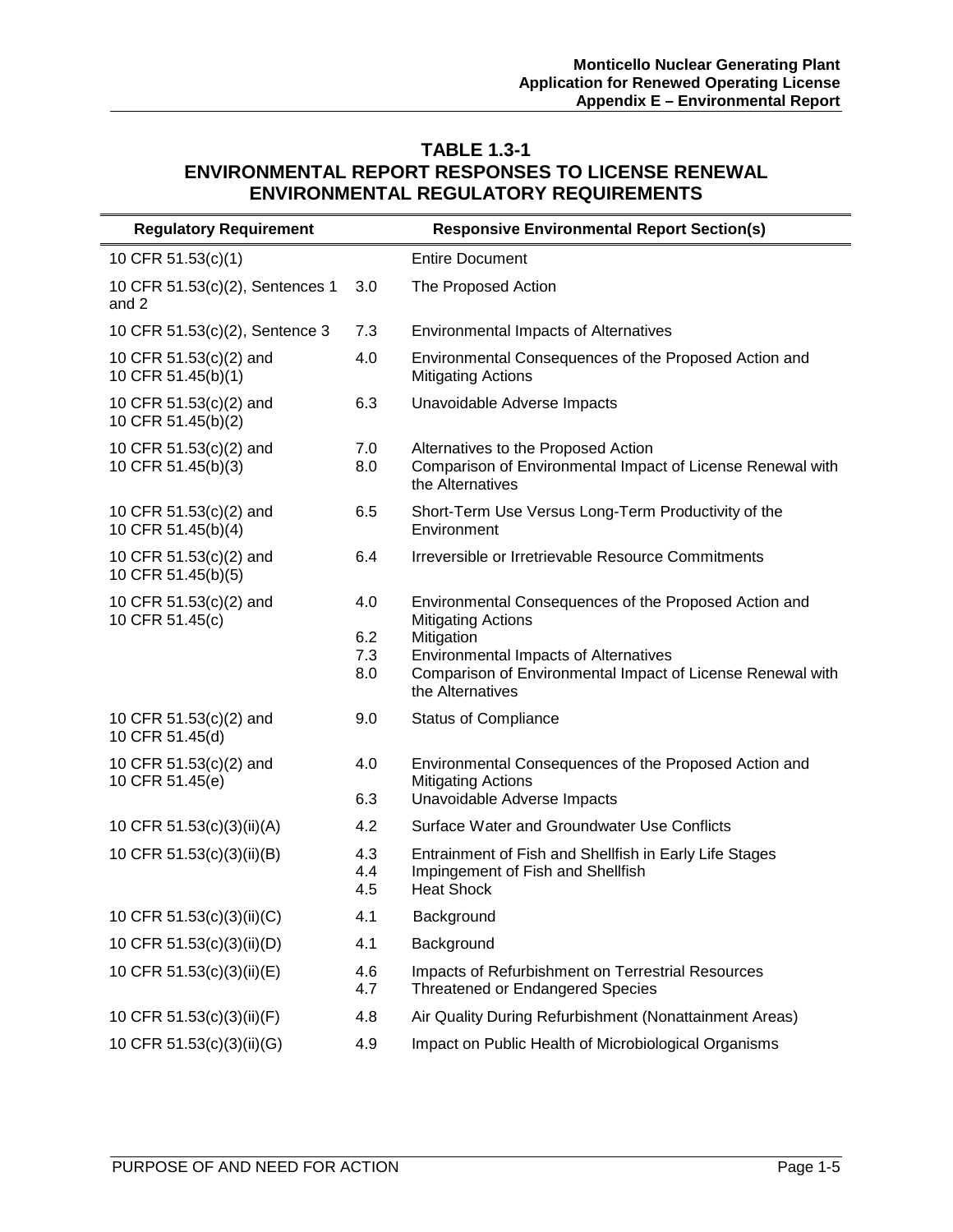#### **TABLE 1.3-1 ENVIRONMENTAL REPORT RESPONSES TO LICENSE RENEWAL ENVIRONMENTAL REGULATORY REQUIREMENTS**

| <b>Regulatory Requirement</b>                |                          | <b>Responsive Environmental Report Section(s)</b>                                                                                                                                                                                  |
|----------------------------------------------|--------------------------|------------------------------------------------------------------------------------------------------------------------------------------------------------------------------------------------------------------------------------|
| 10 CFR 51.53(c)(1)                           |                          | <b>Entire Document</b>                                                                                                                                                                                                             |
| 10 CFR 51.53(c)(2), Sentences 1<br>and 2     | 3.0                      | The Proposed Action                                                                                                                                                                                                                |
| 10 CFR 51.53(c)(2), Sentence 3               | 7.3                      | <b>Environmental Impacts of Alternatives</b>                                                                                                                                                                                       |
| 10 CFR 51.53(c)(2) and<br>10 CFR 51.45(b)(1) | 4.0                      | Environmental Consequences of the Proposed Action and<br><b>Mitigating Actions</b>                                                                                                                                                 |
| 10 CFR 51.53(c)(2) and<br>10 CFR 51.45(b)(2) | 6.3                      | Unavoidable Adverse Impacts                                                                                                                                                                                                        |
| 10 CFR 51.53(c)(2) and<br>10 CFR 51.45(b)(3) | 7.0<br>8.0               | Alternatives to the Proposed Action<br>Comparison of Environmental Impact of License Renewal with<br>the Alternatives                                                                                                              |
| 10 CFR 51.53(c)(2) and<br>10 CFR 51.45(b)(4) | 6.5                      | Short-Term Use Versus Long-Term Productivity of the<br>Environment                                                                                                                                                                 |
| 10 CFR 51.53(c)(2) and<br>10 CFR 51.45(b)(5) | 6.4                      | Irreversible or Irretrievable Resource Commitments                                                                                                                                                                                 |
| 10 CFR 51.53(c)(2) and<br>10 CFR 51.45(c)    | 4.0<br>6.2<br>7.3<br>8.0 | Environmental Consequences of the Proposed Action and<br><b>Mitigating Actions</b><br>Mitigation<br><b>Environmental Impacts of Alternatives</b><br>Comparison of Environmental Impact of License Renewal with<br>the Alternatives |
| 10 CFR 51.53(c)(2) and<br>10 CFR 51.45(d)    | 9.0                      | <b>Status of Compliance</b>                                                                                                                                                                                                        |
| 10 CFR 51.53(c)(2) and<br>10 CFR 51.45(e)    | 4.0<br>6.3               | Environmental Consequences of the Proposed Action and<br><b>Mitigating Actions</b><br>Unavoidable Adverse Impacts                                                                                                                  |
| 10 CFR 51.53(c)(3)(ii)(A)                    | 4.2                      | Surface Water and Groundwater Use Conflicts                                                                                                                                                                                        |
| 10 CFR 51.53(c)(3)(ii)(B)                    | 4.3<br>4.4<br>4.5        | Entrainment of Fish and Shellfish in Early Life Stages<br>Impingement of Fish and Shellfish<br><b>Heat Shock</b>                                                                                                                   |
| 10 CFR 51.53(c)(3)(ii)(C)                    | 4.1                      | Background                                                                                                                                                                                                                         |
| 10 CFR 51.53(c)(3)(ii)(D)                    | 4.1                      | Background                                                                                                                                                                                                                         |
| 10 CFR 51.53(c)(3)(ii)(E)                    | 4.6<br>4.7               | Impacts of Refurbishment on Terrestrial Resources<br><b>Threatened or Endangered Species</b>                                                                                                                                       |
| 10 CFR 51.53(c)(3)(ii)(F)                    | 4.8                      | Air Quality During Refurbishment (Nonattainment Areas)                                                                                                                                                                             |
| 10 CFR 51.53(c)(3)(ii)(G)                    | 4.9                      | Impact on Public Health of Microbiological Organisms                                                                                                                                                                               |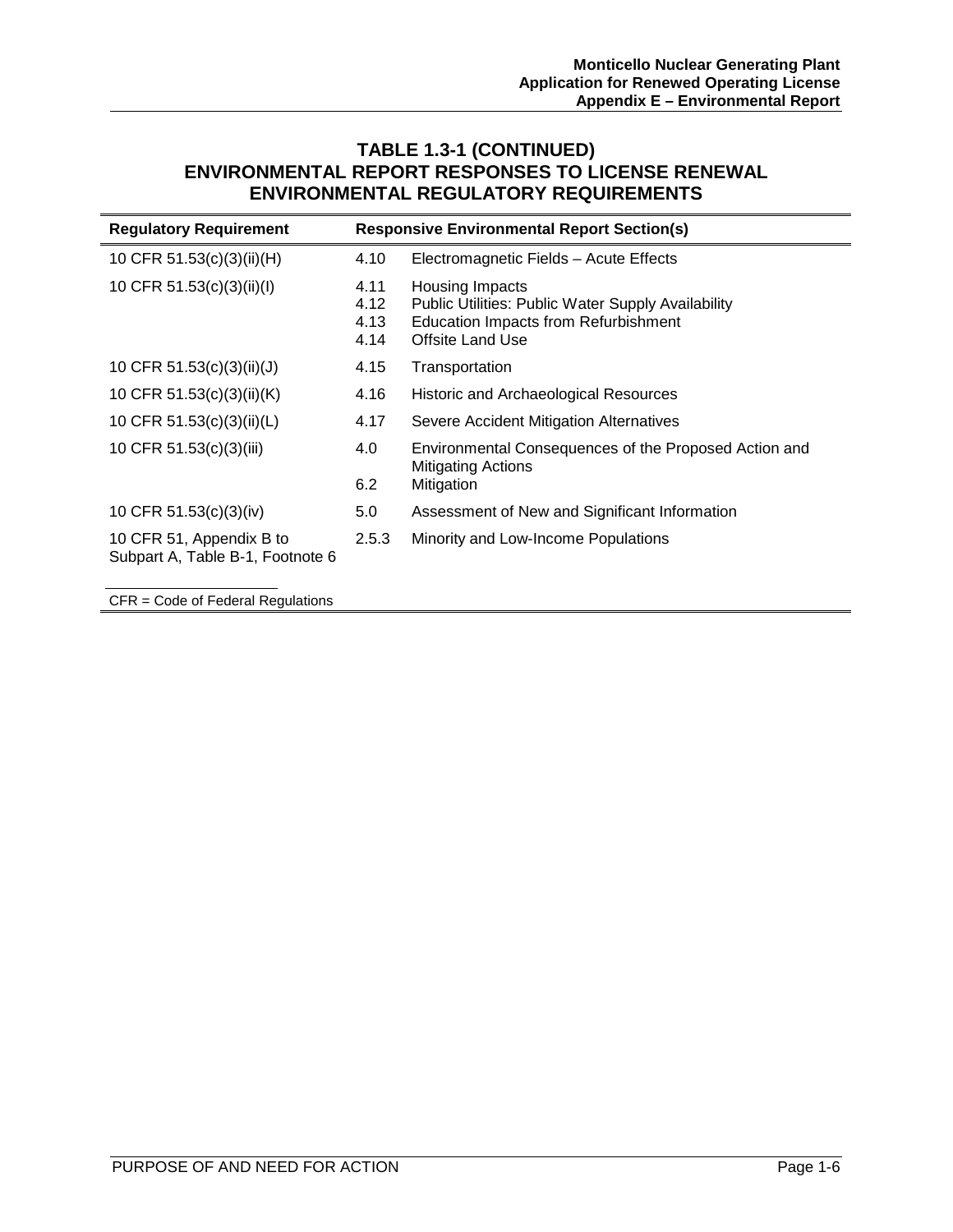#### **TABLE 1.3-1 (CONTINUED) ENVIRONMENTAL REPORT RESPONSES TO LICENSE RENEWAL ENVIRONMENTAL REGULATORY REQUIREMENTS**

| <b>Regulatory Requirement</b>                                |                              | <b>Responsive Environmental Report Section(s)</b>                                                                                        |
|--------------------------------------------------------------|------------------------------|------------------------------------------------------------------------------------------------------------------------------------------|
| 10 CFR 51.53(c)(3)(ii)(H)                                    | 4.10                         | Electromagnetic Fields - Acute Effects                                                                                                   |
| 10 CFR 51.53(c)(3)(ii)(l)                                    | 4.11<br>4.12<br>4.13<br>4.14 | Housing Impacts<br>Public Utilities: Public Water Supply Availability<br>Education Impacts from Refurbishment<br><b>Offsite Land Use</b> |
| 10 CFR 51.53(c)(3)(ii)(J)                                    | 4.15                         | Transportation                                                                                                                           |
| 10 CFR 51.53(c)(3)(ii)(K)                                    | 4.16                         | Historic and Archaeological Resources                                                                                                    |
| 10 CFR 51.53(c)(3)(ii)(L)                                    | 4.17                         | Severe Accident Mitigation Alternatives                                                                                                  |
| 10 CFR 51.53(c)(3)(iii)                                      | 4.0<br>6.2                   | Environmental Consequences of the Proposed Action and<br><b>Mitigating Actions</b><br>Mitigation                                         |
| 10 CFR 51.53(c)(3)(iv)                                       | 5.0                          | Assessment of New and Significant Information                                                                                            |
| 10 CFR 51, Appendix B to<br>Subpart A, Table B-1, Footnote 6 | 2.5.3                        | Minority and Low-Income Populations                                                                                                      |
| $CFR = Code$ of Federal Regulations                          |                              |                                                                                                                                          |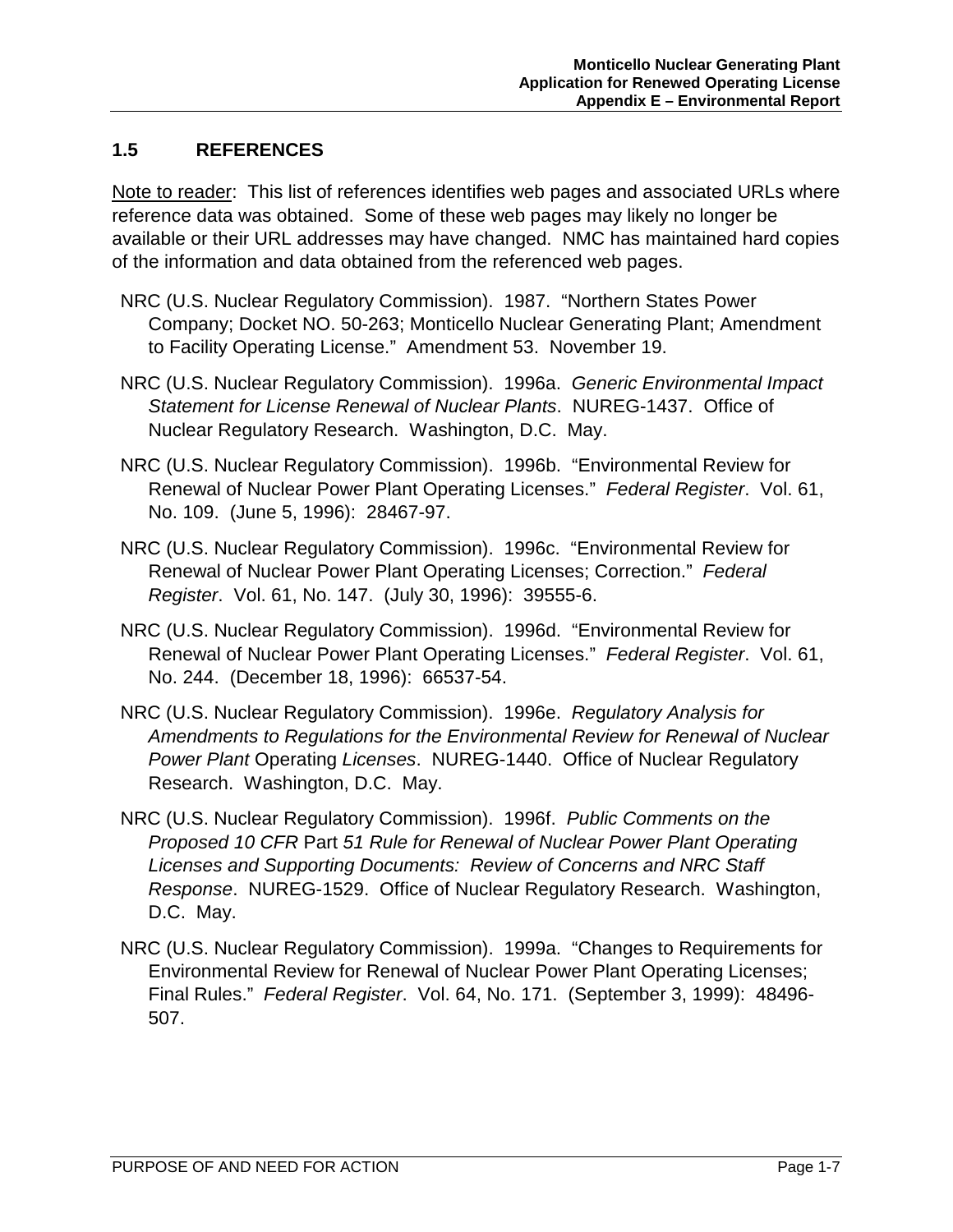#### **1.5 REFERENCES**

Note to reader: This list of references identifies web pages and associated URLs where reference data was obtained. Some of these web pages may likely no longer be available or their URL addresses may have changed. NMC has maintained hard copies of the information and data obtained from the referenced web pages.

- NRC (U.S. Nuclear Regulatory Commission). 1987. "Northern States Power Company; Docket NO. 50-263; Monticello Nuclear Generating Plant; Amendment to Facility Operating License." Amendment 53. November 19.
- NRC (U.S. Nuclear Regulatory Commission). 1996a. *Generic Environmental Impact Statement for License Renewal of Nuclear Plants*. NUREG-1437. Office of Nuclear Regulatory Research. Washington, D.C. May.
- NRC (U.S. Nuclear Regulatory Commission). 1996b. "Environmental Review for Renewal of Nuclear Power Plant Operating Licenses." *Federal Register*. Vol. 61, No. 109. (June 5, 1996): 28467-97.
- NRC (U.S. Nuclear Regulatory Commission). 1996c. "Environmental Review for Renewal of Nuclear Power Plant Operating Licenses; Correction." *Federal Register*. Vol. 61, No. 147. (July 30, 1996): 39555-6.
- NRC (U.S. Nuclear Regulatory Commission). 1996d. "Environmental Review for Renewal of Nuclear Power Plant Operating Licenses." *Federal Register*. Vol. 61, No. 244. (December 18, 1996): 66537-54.
- NRC (U.S. Nuclear Regulatory Commission). 1996e. *Re*g*ulatory Analysis for Amendments to Regulations for the Environmental Review for Renewal of Nuclear Power Plant* Operating *Licenses*. NUREG-1440. Office of Nuclear Regulatory Research. Washington, D.C. May.
- NRC (U.S. Nuclear Regulatory Commission). 1996f. *Public Comments on the Proposed 10 CFR* Part *51 Rule for Renewal of Nuclear Power Plant Operating Licenses and Supporting Documents: Review of Concerns and NRC Staff Response*. NUREG-1529. Office of Nuclear Regulatory Research. Washington, D.C. May.
- NRC (U.S. Nuclear Regulatory Commission). 1999a. "Changes to Requirements for Environmental Review for Renewal of Nuclear Power Plant Operating Licenses; Final Rules." *Federal Register*. Vol. 64, No. 171. (September 3, 1999): 48496- 507.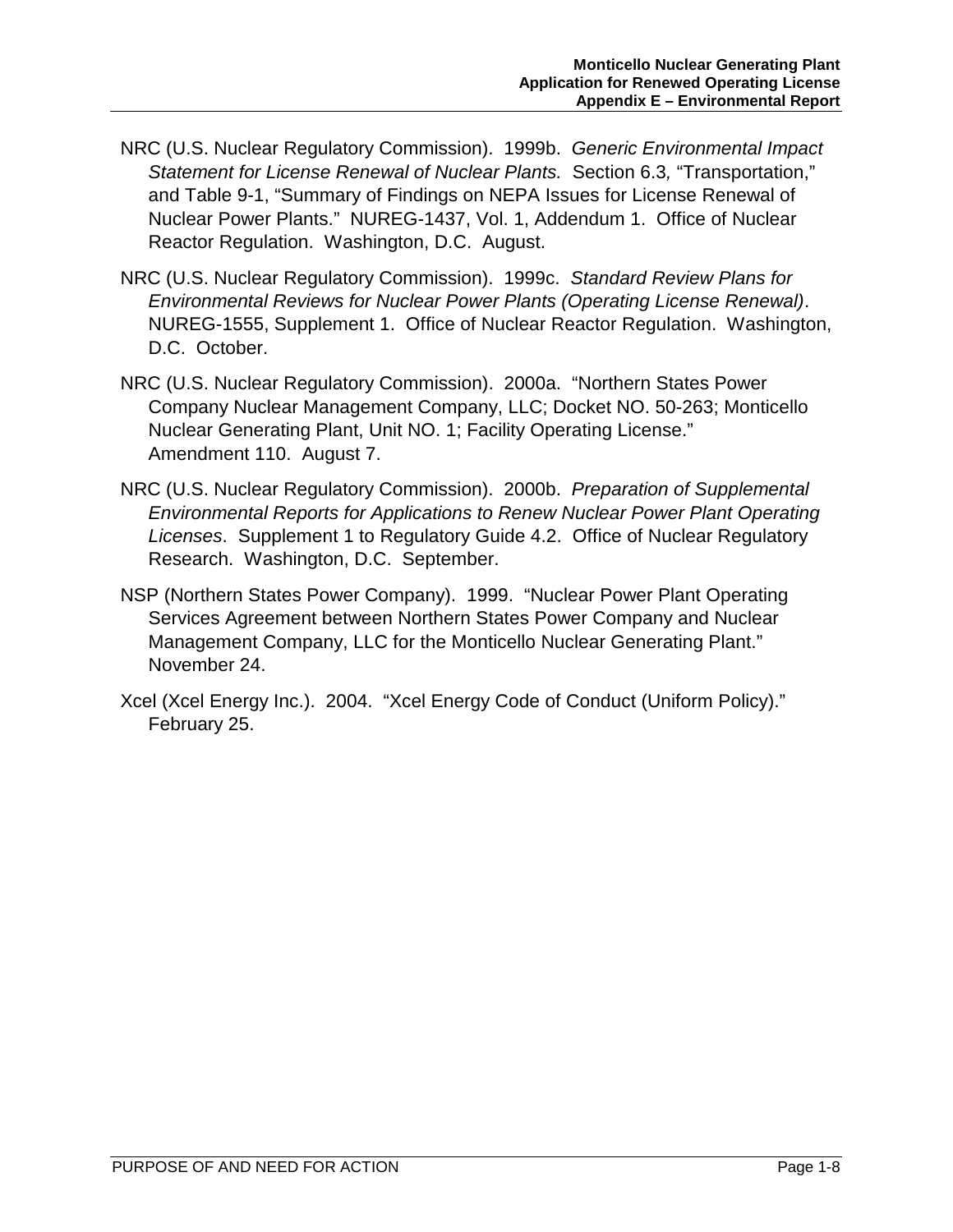- NRC (U.S. Nuclear Regulatory Commission). 1999b. *Generic Environmental Impact Statement for License Renewal of Nuclear Plants.* Section 6.3*,* "Transportation," and Table 9-1, "Summary of Findings on NEPA Issues for License Renewal of Nuclear Power Plants." NUREG-1437, Vol. 1, Addendum 1. Office of Nuclear Reactor Regulation. Washington, D.C. August.
- NRC (U.S. Nuclear Regulatory Commission). 1999c. *Standard Review Plans for Environmental Reviews for Nuclear Power Plants (Operating License Renewal)*. NUREG-1555, Supplement 1. Office of Nuclear Reactor Regulation. Washington, D.C. October.
- NRC (U.S. Nuclear Regulatory Commission). 2000a. "Northern States Power Company Nuclear Management Company, LLC; Docket NO. 50-263; Monticello Nuclear Generating Plant, Unit NO. 1; Facility Operating License." Amendment 110. August 7.
- NRC (U.S. Nuclear Regulatory Commission). 2000b. *Preparation of Supplemental Environmental Reports for Applications to Renew Nuclear Power Plant Operating Licenses*. Supplement 1 to Regulatory Guide 4.2. Office of Nuclear Regulatory Research. Washington, D.C. September.
- NSP (Northern States Power Company). 1999. "Nuclear Power Plant Operating Services Agreement between Northern States Power Company and Nuclear Management Company, LLC for the Monticello Nuclear Generating Plant." November 24.
- Xcel (Xcel Energy Inc.). 2004. "Xcel Energy Code of Conduct (Uniform Policy)." February 25.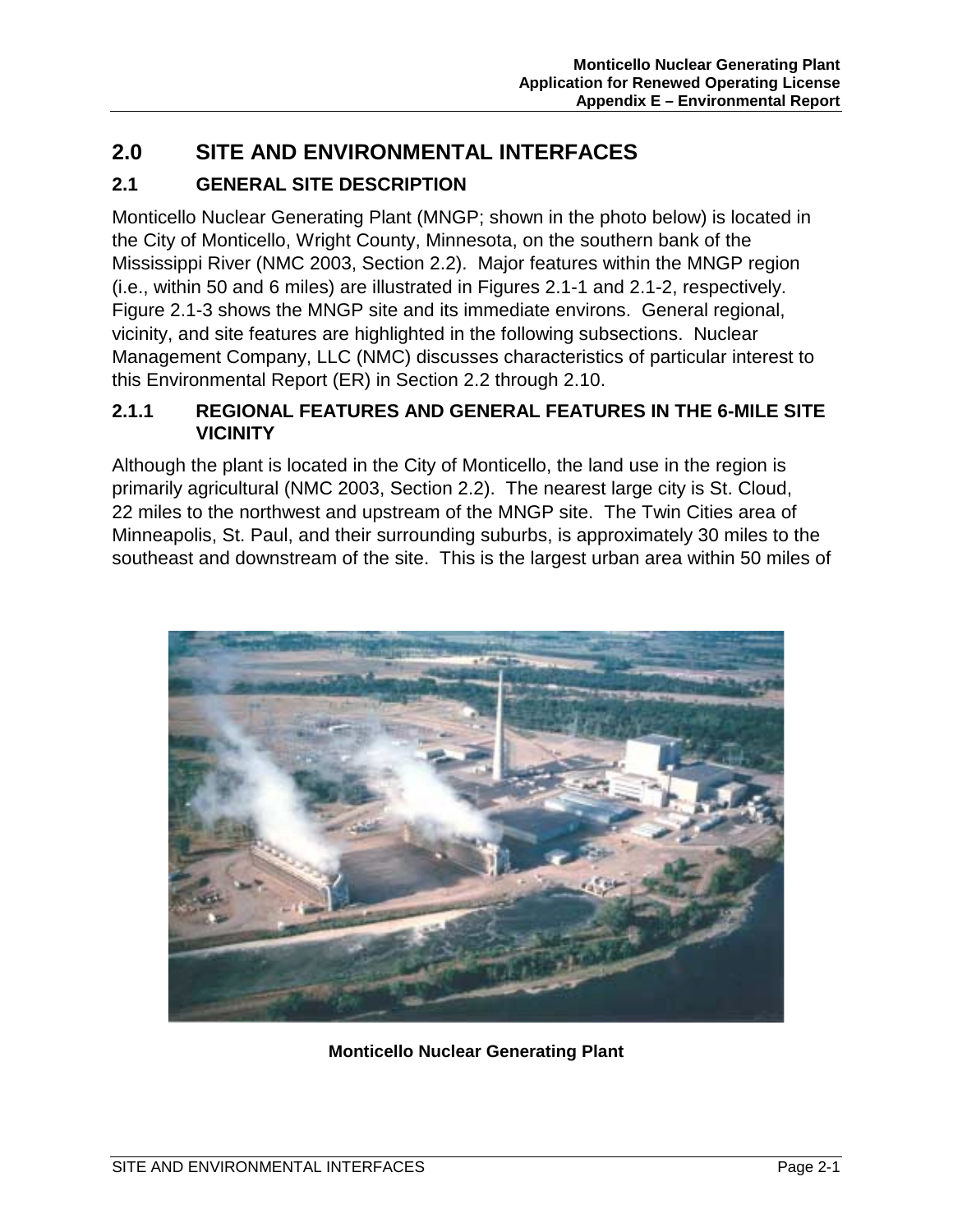# **2.0 SITE AND ENVIRONMENTAL INTERFACES**

# **2.1 GENERAL SITE DESCRIPTION**

Monticello Nuclear Generating Plant (MNGP; shown in the photo below) is located in the City of Monticello, Wright County, Minnesota, on the southern bank of the Mississippi River (NMC 2003, Section 2.2). Major features within the MNGP region (i.e., within 50 and 6 miles) are illustrated in Figures 2.1-1 and 2.1-2, respectively. Figure 2.1-3 shows the MNGP site and its immediate environs. General regional, vicinity, and site features are highlighted in the following subsections. Nuclear Management Company, LLC (NMC) discusses characteristics of particular interest to this Environmental Report (ER) in Section 2.2 through 2.10.

#### **2.1.1 REGIONAL FEATURES AND GENERAL FEATURES IN THE 6-MILE SITE VICINITY**

Although the plant is located in the City of Monticello, the land use in the region is primarily agricultural (NMC 2003, Section 2.2). The nearest large city is St. Cloud, 22 miles to the northwest and upstream of the MNGP site. The Twin Cities area of Minneapolis, St. Paul, and their surrounding suburbs, is approximately 30 miles to the southeast and downstream of the site. This is the largest urban area within 50 miles of



**Monticello Nuclear Generating Plant**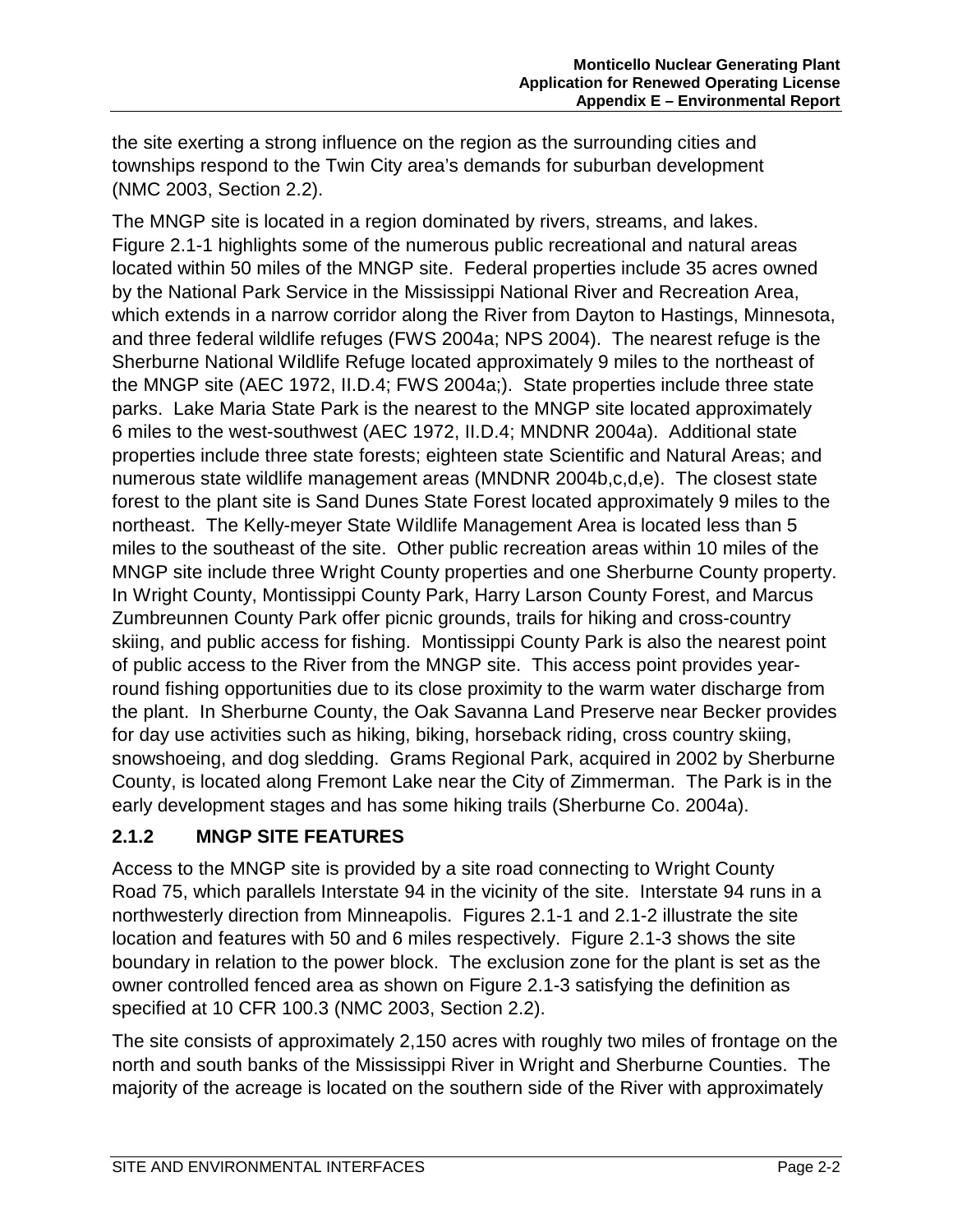the site exerting a strong influence on the region as the surrounding cities and townships respond to the Twin City area's demands for suburban development (NMC 2003, Section 2.2).

The MNGP site is located in a region dominated by rivers, streams, and lakes. Figure 2.1-1 highlights some of the numerous public recreational and natural areas located within 50 miles of the MNGP site. Federal properties include 35 acres owned by the National Park Service in the Mississippi National River and Recreation Area, which extends in a narrow corridor along the River from Dayton to Hastings, Minnesota, and three federal wildlife refuges (FWS 2004a; NPS 2004). The nearest refuge is the Sherburne National Wildlife Refuge located approximately 9 miles to the northeast of the MNGP site (AEC 1972, II.D.4; FWS 2004a;). State properties include three state parks. Lake Maria State Park is the nearest to the MNGP site located approximately 6 miles to the west-southwest (AEC 1972, II.D.4; MNDNR 2004a). Additional state properties include three state forests; eighteen state Scientific and Natural Areas; and numerous state wildlife management areas (MNDNR 2004b,c,d,e). The closest state forest to the plant site is Sand Dunes State Forest located approximately 9 miles to the northeast. The Kelly-meyer State Wildlife Management Area is located less than 5 miles to the southeast of the site. Other public recreation areas within 10 miles of the MNGP site include three Wright County properties and one Sherburne County property. In Wright County, Montissippi County Park, Harry Larson County Forest, and Marcus Zumbreunnen County Park offer picnic grounds, trails for hiking and cross-country skiing, and public access for fishing. Montissippi County Park is also the nearest point of public access to the River from the MNGP site. This access point provides yearround fishing opportunities due to its close proximity to the warm water discharge from the plant. In Sherburne County, the Oak Savanna Land Preserve near Becker provides for day use activities such as hiking, biking, horseback riding, cross country skiing, snowshoeing, and dog sledding. Grams Regional Park, acquired in 2002 by Sherburne County, is located along Fremont Lake near the City of Zimmerman. The Park is in the early development stages and has some hiking trails (Sherburne Co. 2004a).

## **2.1.2 MNGP SITE FEATURES**

Access to the MNGP site is provided by a site road connecting to Wright County Road 75, which parallels Interstate 94 in the vicinity of the site. Interstate 94 runs in a northwesterly direction from Minneapolis. Figures 2.1-1 and 2.1-2 illustrate the site location and features with 50 and 6 miles respectively. Figure 2.1-3 shows the site boundary in relation to the power block. The exclusion zone for the plant is set as the owner controlled fenced area as shown on Figure 2.1-3 satisfying the definition as specified at 10 CFR 100.3 (NMC 2003, Section 2.2).

The site consists of approximately 2,150 acres with roughly two miles of frontage on the north and south banks of the Mississippi River in Wright and Sherburne Counties. The majority of the acreage is located on the southern side of the River with approximately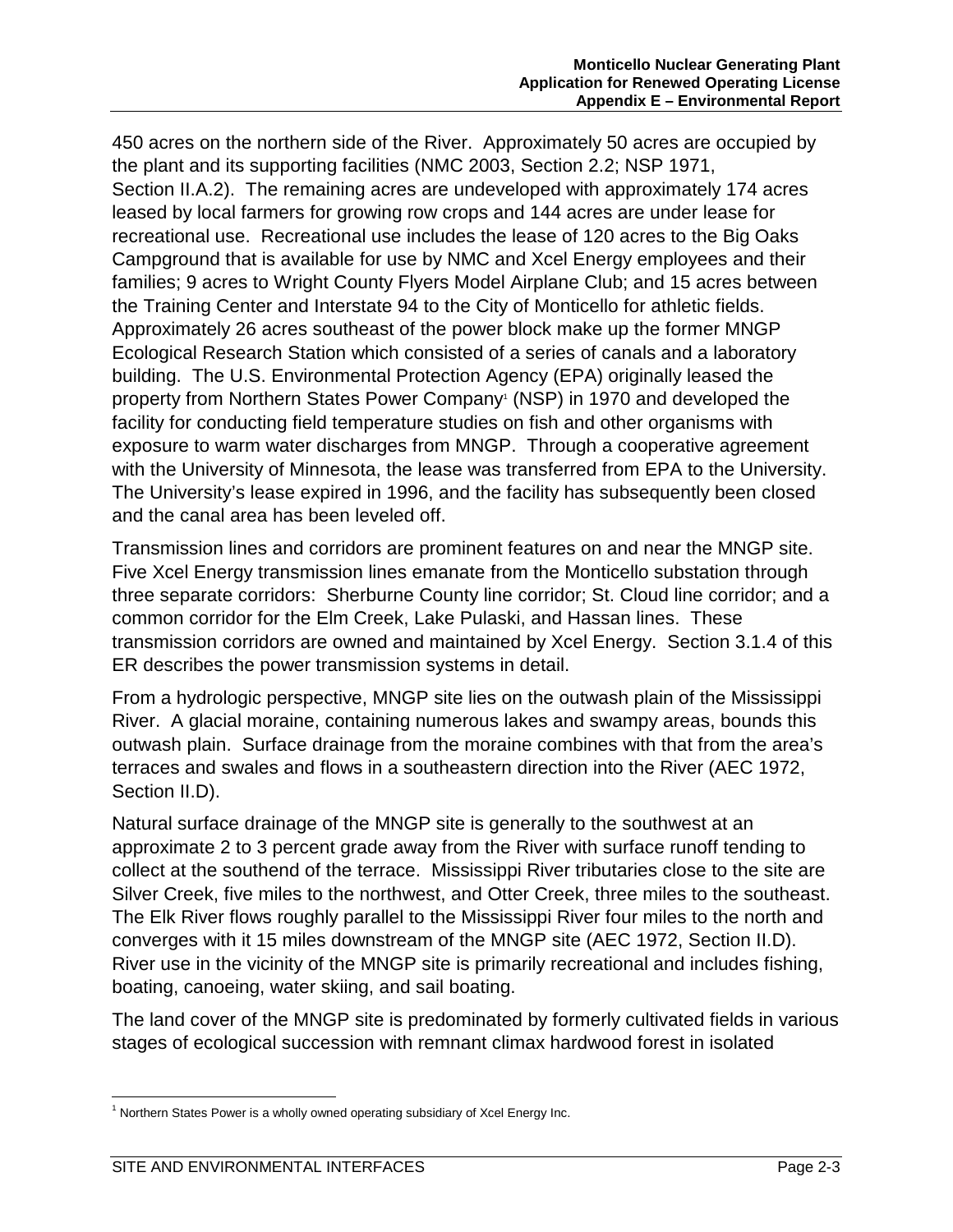450 acres on the northern side of the River. Approximately 50 acres are occupied by the plant and its supporting facilities (NMC 2003, Section 2.2; NSP 1971, Section II.A.2). The remaining acres are undeveloped with approximately 174 acres leased by local farmers for growing row crops and 144 acres are under lease for recreational use. Recreational use includes the lease of 120 acres to the Big Oaks Campground that is available for use by NMC and Xcel Energy employees and their families; 9 acres to Wright County Flyers Model Airplane Club; and 15 acres between the Training Center and Interstate 94 to the City of Monticello for athletic fields. Approximately 26 acres southeast of the power block make up the former MNGP Ecological Research Station which consisted of a series of canals and a laboratory building. The U.S. Environmental Protection Agency (EPA) originally leased the property from Northern States Power Company<sup>1</sup> (NSP) in 1970 and developed the facility for conducting field temperature studies on fish and other organisms with exposure to warm water discharges from MNGP. Through a cooperative agreement with the University of Minnesota, the lease was transferred from EPA to the University. The University's lease expired in 1996, and the facility has subsequently been closed and the canal area has been leveled off.

Transmission lines and corridors are prominent features on and near the MNGP site. Five Xcel Energy transmission lines emanate from the Monticello substation through three separate corridors: Sherburne County line corridor; St. Cloud line corridor; and a common corridor for the Elm Creek, Lake Pulaski, and Hassan lines. These transmission corridors are owned and maintained by Xcel Energy. Section 3.1.4 of this ER describes the power transmission systems in detail.

From a hydrologic perspective, MNGP site lies on the outwash plain of the Mississippi River. A glacial moraine, containing numerous lakes and swampy areas, bounds this outwash plain. Surface drainage from the moraine combines with that from the area's terraces and swales and flows in a southeastern direction into the River (AEC 1972, Section II.D).

Natural surface drainage of the MNGP site is generally to the southwest at an approximate 2 to 3 percent grade away from the River with surface runoff tending to collect at the southend of the terrace. Mississippi River tributaries close to the site are Silver Creek, five miles to the northwest, and Otter Creek, three miles to the southeast. The Elk River flows roughly parallel to the Mississippi River four miles to the north and converges with it 15 miles downstream of the MNGP site (AEC 1972, Section II.D). River use in the vicinity of the MNGP site is primarily recreational and includes fishing, boating, canoeing, water skiing, and sail boating.

The land cover of the MNGP site is predominated by formerly cultivated fields in various stages of ecological succession with remnant climax hardwood forest in isolated

 $\overline{a}$  $1$  Northern States Power is a wholly owned operating subsidiary of Xcel Energy Inc.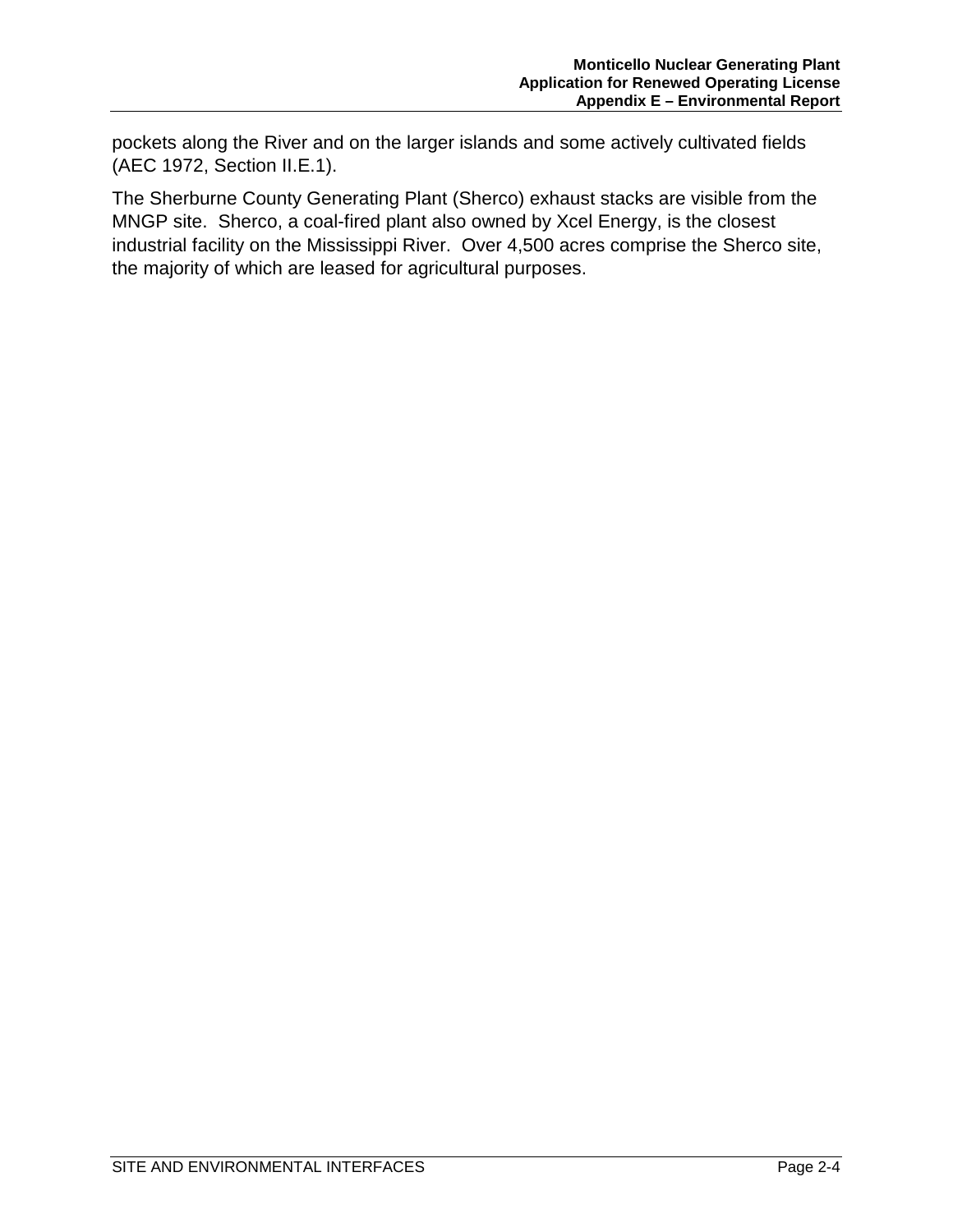pockets along the River and on the larger islands and some actively cultivated fields (AEC 1972, Section II.E.1).

The Sherburne County Generating Plant (Sherco) exhaust stacks are visible from the MNGP site. Sherco, a coal-fired plant also owned by Xcel Energy, is the closest industrial facility on the Mississippi River. Over 4,500 acres comprise the Sherco site, the majority of which are leased for agricultural purposes.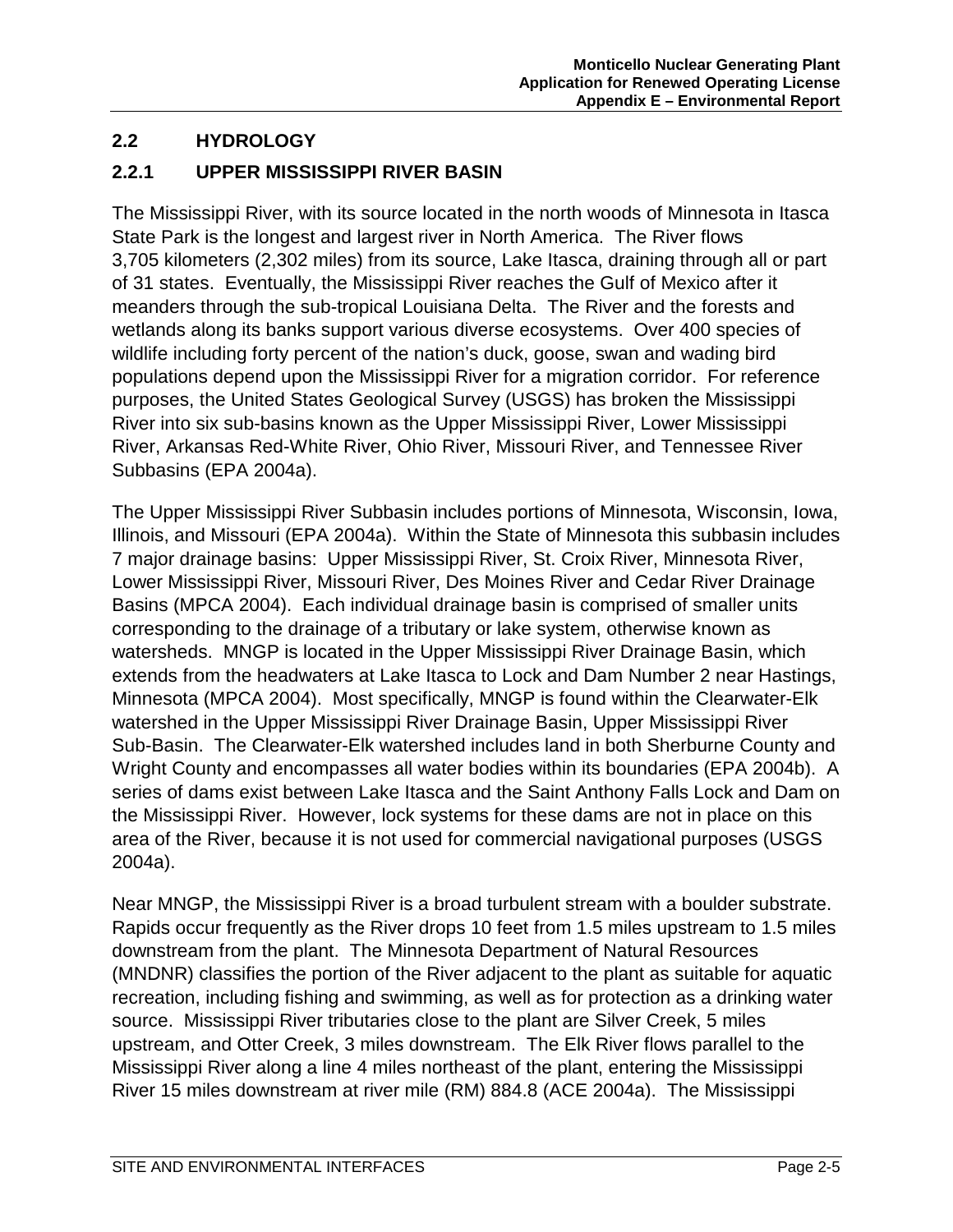#### **2.2 HYDROLOGY**

#### **2.2.1 UPPER MISSISSIPPI RIVER BASIN**

The Mississippi River, with its source located in the north woods of Minnesota in Itasca State Park is the longest and largest river in North America. The River flows 3,705 kilometers (2,302 miles) from its source, Lake Itasca, draining through all or part of 31 states. Eventually, the Mississippi River reaches the Gulf of Mexico after it meanders through the sub-tropical Louisiana Delta. The River and the forests and wetlands along its banks support various diverse ecosystems. Over 400 species of wildlife including forty percent of the nation's duck, goose, swan and wading bird populations depend upon the Mississippi River for a migration corridor. For reference purposes, the United States Geological Survey (USGS) has broken the Mississippi River into six sub-basins known as the Upper Mississippi River, Lower Mississippi River, Arkansas Red-White River, Ohio River, Missouri River, and Tennessee River Subbasins (EPA 2004a).

The Upper Mississippi River Subbasin includes portions of Minnesota, Wisconsin, Iowa, Illinois, and Missouri (EPA 2004a). Within the State of Minnesota this subbasin includes 7 major drainage basins: Upper Mississippi River, St. Croix River, Minnesota River, Lower Mississippi River, Missouri River, Des Moines River and Cedar River Drainage Basins (MPCA 2004). Each individual drainage basin is comprised of smaller units corresponding to the drainage of a tributary or lake system, otherwise known as watersheds. MNGP is located in the Upper Mississippi River Drainage Basin, which extends from the headwaters at Lake Itasca to Lock and Dam Number 2 near Hastings, Minnesota (MPCA 2004). Most specifically, MNGP is found within the Clearwater-Elk watershed in the Upper Mississippi River Drainage Basin, Upper Mississippi River Sub-Basin. The Clearwater-Elk watershed includes land in both Sherburne County and Wright County and encompasses all water bodies within its boundaries (EPA 2004b). A series of dams exist between Lake Itasca and the Saint Anthony Falls Lock and Dam on the Mississippi River. However, lock systems for these dams are not in place on this area of the River, because it is not used for commercial navigational purposes (USGS 2004a).

Near MNGP, the Mississippi River is a broad turbulent stream with a boulder substrate. Rapids occur frequently as the River drops 10 feet from 1.5 miles upstream to 1.5 miles downstream from the plant. The Minnesota Department of Natural Resources (MNDNR) classifies the portion of the River adjacent to the plant as suitable for aquatic recreation, including fishing and swimming, as well as for protection as a drinking water source. Mississippi River tributaries close to the plant are Silver Creek, 5 miles upstream, and Otter Creek, 3 miles downstream. The Elk River flows parallel to the Mississippi River along a line 4 miles northeast of the plant, entering the Mississippi River 15 miles downstream at river mile (RM) 884.8 (ACE 2004a). The Mississippi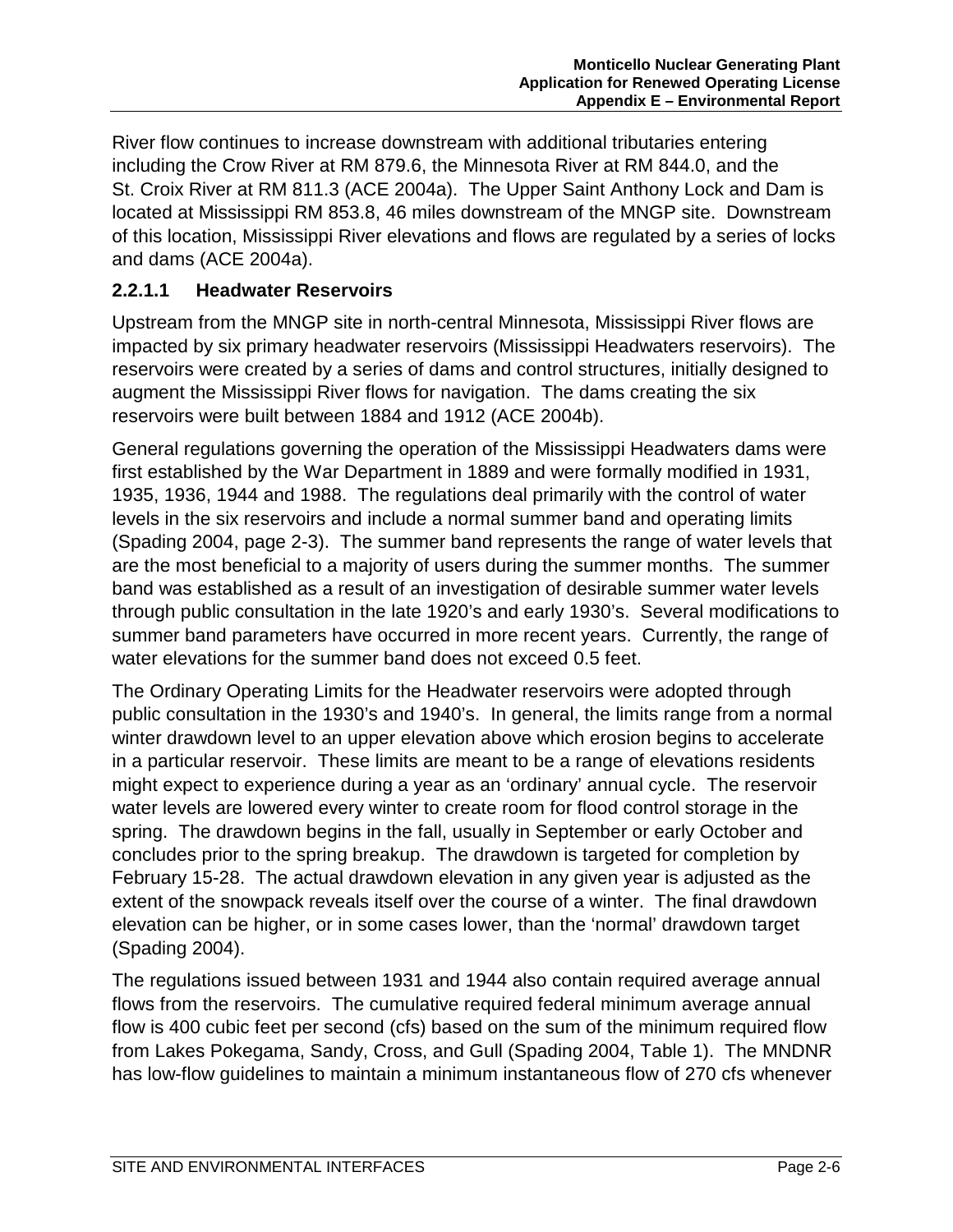River flow continues to increase downstream with additional tributaries entering including the Crow River at RM 879.6, the Minnesota River at RM 844.0, and the St. Croix River at RM 811.3 (ACE 2004a). The Upper Saint Anthony Lock and Dam is located at Mississippi RM 853.8, 46 miles downstream of the MNGP site. Downstream of this location, Mississippi River elevations and flows are regulated by a series of locks and dams (ACE 2004a).

#### **2.2.1.1 Headwater Reservoirs**

Upstream from the MNGP site in north-central Minnesota, Mississippi River flows are impacted by six primary headwater reservoirs (Mississippi Headwaters reservoirs). The reservoirs were created by a series of dams and control structures, initially designed to augment the Mississippi River flows for navigation. The dams creating the six reservoirs were built between 1884 and 1912 (ACE 2004b).

General regulations governing the operation of the Mississippi Headwaters dams were first established by the War Department in 1889 and were formally modified in 1931, 1935, 1936, 1944 and 1988. The regulations deal primarily with the control of water levels in the six reservoirs and include a normal summer band and operating limits (Spading 2004, page 2-3). The summer band represents the range of water levels that are the most beneficial to a majority of users during the summer months. The summer band was established as a result of an investigation of desirable summer water levels through public consultation in the late 1920's and early 1930's. Several modifications to summer band parameters have occurred in more recent years. Currently, the range of water elevations for the summer band does not exceed 0.5 feet.

The Ordinary Operating Limits for the Headwater reservoirs were adopted through public consultation in the 1930's and 1940's. In general, the limits range from a normal winter drawdown level to an upper elevation above which erosion begins to accelerate in a particular reservoir. These limits are meant to be a range of elevations residents might expect to experience during a year as an 'ordinary' annual cycle. The reservoir water levels are lowered every winter to create room for flood control storage in the spring. The drawdown begins in the fall, usually in September or early October and concludes prior to the spring breakup. The drawdown is targeted for completion by February 15-28. The actual drawdown elevation in any given year is adjusted as the extent of the snowpack reveals itself over the course of a winter. The final drawdown elevation can be higher, or in some cases lower, than the 'normal' drawdown target (Spading 2004).

The regulations issued between 1931 and 1944 also contain required average annual flows from the reservoirs. The cumulative required federal minimum average annual flow is 400 cubic feet per second (cfs) based on the sum of the minimum required flow from Lakes Pokegama, Sandy, Cross, and Gull (Spading 2004, Table 1). The MNDNR has low-flow guidelines to maintain a minimum instantaneous flow of 270 cfs whenever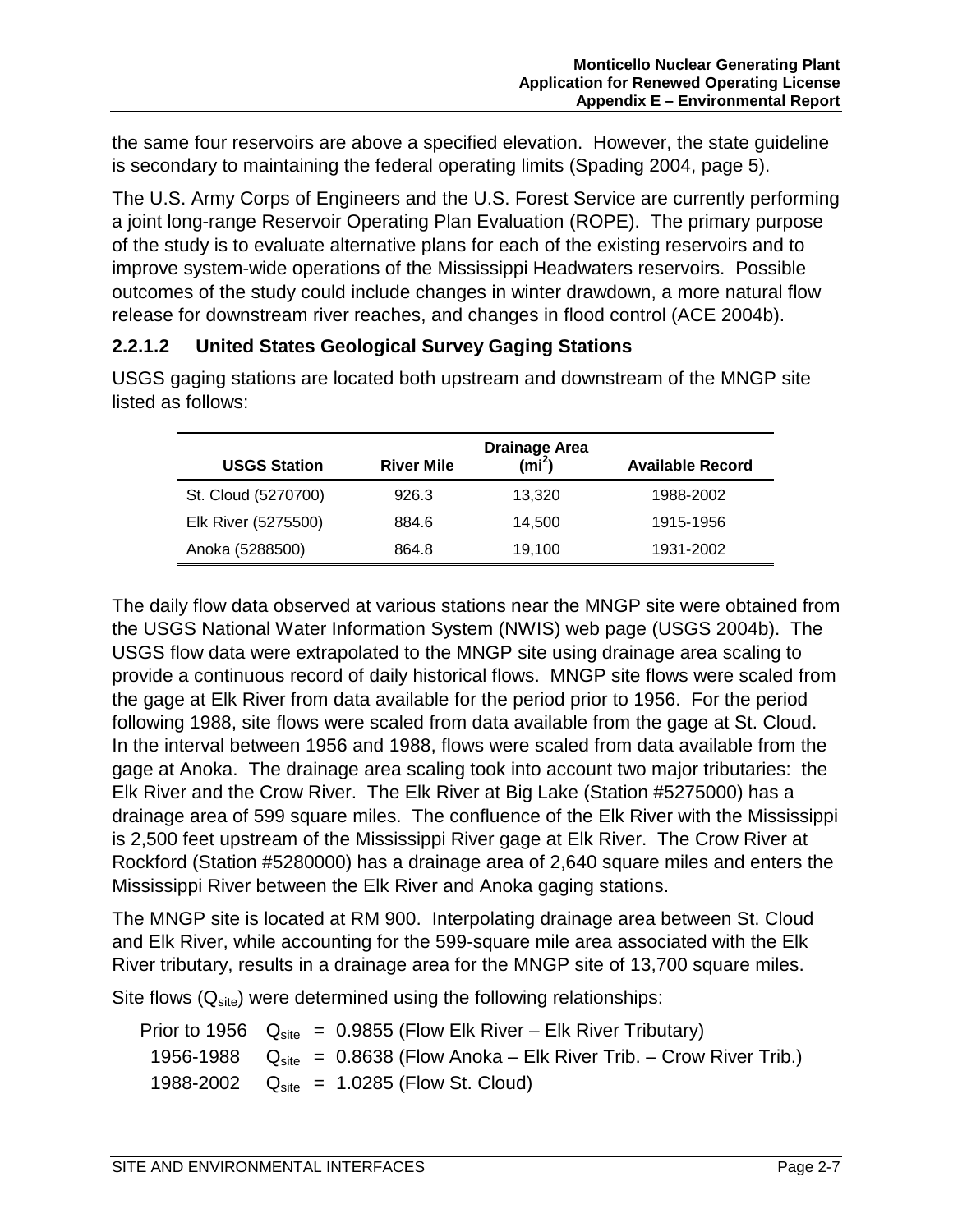the same four reservoirs are above a specified elevation. However, the state guideline is secondary to maintaining the federal operating limits (Spading 2004, page 5).

The U.S. Army Corps of Engineers and the U.S. Forest Service are currently performing a joint long-range Reservoir Operating Plan Evaluation (ROPE). The primary purpose of the study is to evaluate alternative plans for each of the existing reservoirs and to improve system-wide operations of the Mississippi Headwaters reservoirs. Possible outcomes of the study could include changes in winter drawdown, a more natural flow release for downstream river reaches, and changes in flood control (ACE 2004b).

#### **2.2.1.2 United States Geological Survey Gaging Stations**

| listed as follows:  |                   |                                    |                         |
|---------------------|-------------------|------------------------------------|-------------------------|
| <b>USGS Station</b> | <b>River Mile</b> | <b>Drainage Area</b><br>(mi $^2$ ) | <b>Available Record</b> |

USGS gaging stations are located both upstream and downstream of the MNGP site

| St. Cloud (5270700) | 926.3 | 13,320 | 1988-2002 |
|---------------------|-------|--------|-----------|
| Elk River (5275500) | 884.6 | 14.500 | 1915-1956 |
| Anoka (5288500)     | 864.8 | 19.100 | 1931-2002 |

The daily flow data observed at various stations near the MNGP site were obtained from the USGS National Water Information System (NWIS) web page (USGS 2004b). The USGS flow data were extrapolated to the MNGP site using drainage area scaling to provide a continuous record of daily historical flows. MNGP site flows were scaled from the gage at Elk River from data available for the period prior to 1956. For the period following 1988, site flows were scaled from data available from the gage at St. Cloud. In the interval between 1956 and 1988, flows were scaled from data available from the gage at Anoka. The drainage area scaling took into account two major tributaries: the Elk River and the Crow River. The Elk River at Big Lake (Station #5275000) has a drainage area of 599 square miles. The confluence of the Elk River with the Mississippi is 2,500 feet upstream of the Mississippi River gage at Elk River. The Crow River at Rockford (Station #5280000) has a drainage area of 2,640 square miles and enters the Mississippi River between the Elk River and Anoka gaging stations.

The MNGP site is located at RM 900. Interpolating drainage area between St. Cloud and Elk River, while accounting for the 599-square mile area associated with the Elk River tributary, results in a drainage area for the MNGP site of 13,700 square miles.

Site flows  $(Q<sub>site</sub>)$  were determined using the following relationships:

Prior to 1956  $Q_{site} = 0.9855$  (Flow Elk River – Elk River Tributary) 1956-1988  $Q_{site} = 0.8638$  (Flow Anoka – Elk River Trib. – Crow River Trib.) 1988-2002  $Q_{site} = 1.0285$  (Flow St. Cloud)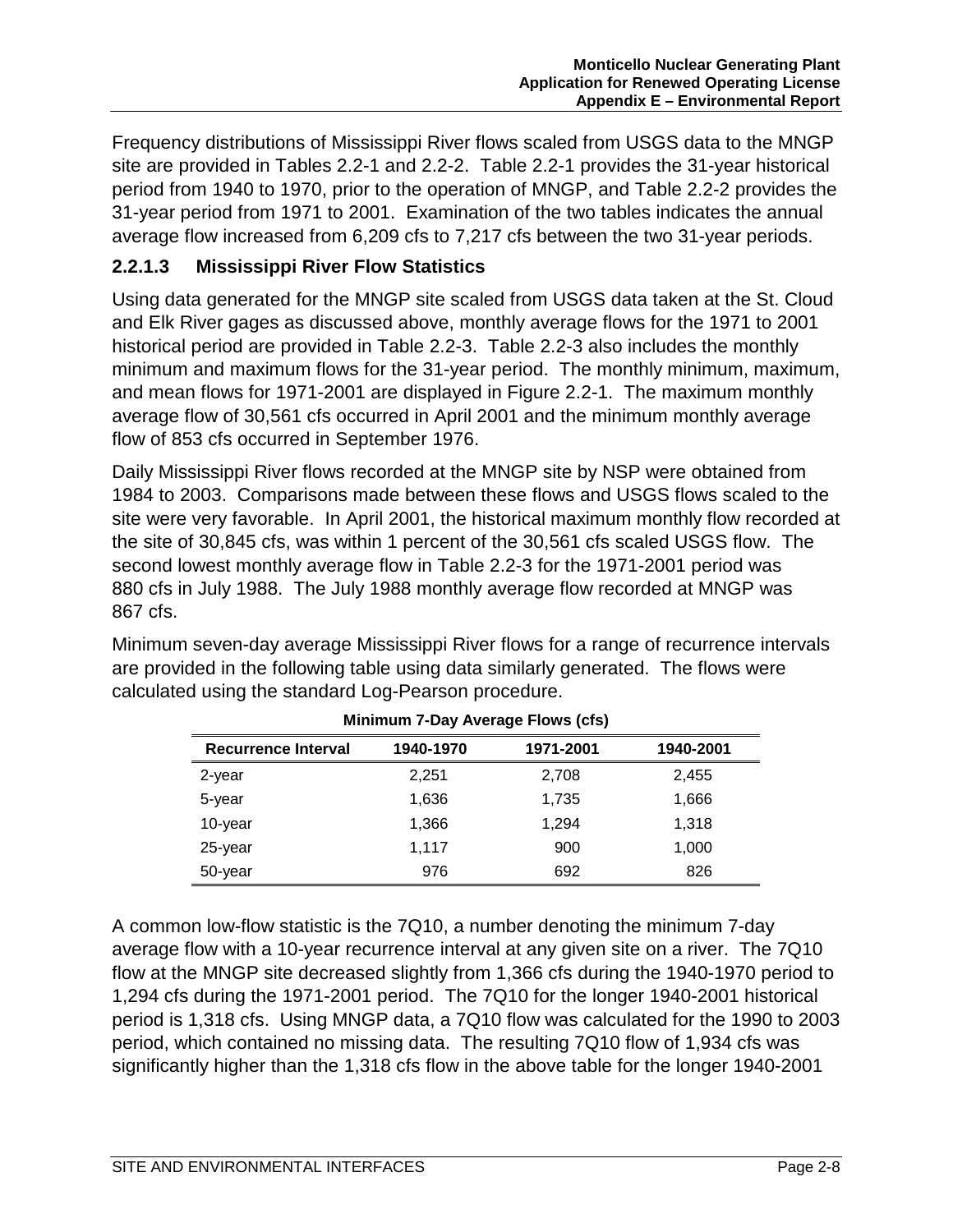Frequency distributions of Mississippi River flows scaled from USGS data to the MNGP site are provided in Tables 2.2-1 and 2.2-2. Table 2.2-1 provides the 31-year historical period from 1940 to 1970, prior to the operation of MNGP, and Table 2.2-2 provides the 31-year period from 1971 to 2001. Examination of the two tables indicates the annual average flow increased from 6,209 cfs to 7,217 cfs between the two 31-year periods.

#### **2.2.1.3 Mississippi River Flow Statistics**

Using data generated for the MNGP site scaled from USGS data taken at the St. Cloud and Elk River gages as discussed above, monthly average flows for the 1971 to 2001 historical period are provided in Table 2.2-3. Table 2.2-3 also includes the monthly minimum and maximum flows for the 31-year period. The monthly minimum, maximum, and mean flows for 1971-2001 are displayed in Figure 2.2-1. The maximum monthly average flow of 30,561 cfs occurred in April 2001 and the minimum monthly average flow of 853 cfs occurred in September 1976.

Daily Mississippi River flows recorded at the MNGP site by NSP were obtained from 1984 to 2003. Comparisons made between these flows and USGS flows scaled to the site were very favorable. In April 2001, the historical maximum monthly flow recorded at the site of 30,845 cfs, was within 1 percent of the 30,561 cfs scaled USGS flow. The second lowest monthly average flow in Table 2.2-3 for the 1971-2001 period was 880 cfs in July 1988. The July 1988 monthly average flow recorded at MNGP was 867 cfs.

Minimum seven-day average Mississippi River flows for a range of recurrence intervals are provided in the following table using data similarly generated. The flows were calculated using the standard Log-Pearson procedure.

| <b>Recurrence Interval</b> | 1940-1970 | 1971-2001 | 1940-2001 |
|----------------------------|-----------|-----------|-----------|
| 2-year                     | 2,251     | 2,708     | 2,455     |
| 5-year                     | 1,636     | 1,735     | 1,666     |
| 10-year                    | 1,366     | 1,294     | 1,318     |
| 25-year                    | 1.117     | 900       | 1,000     |
| 50-year                    | 976       | 692       | 826       |

#### **Minimum 7-Day Average Flows (cfs)**

A common low-flow statistic is the 7Q10, a number denoting the minimum 7-day average flow with a 10-year recurrence interval at any given site on a river. The 7Q10 flow at the MNGP site decreased slightly from 1,366 cfs during the 1940-1970 period to 1,294 cfs during the 1971-2001 period. The 7Q10 for the longer 1940-2001 historical period is 1,318 cfs. Using MNGP data, a 7Q10 flow was calculated for the 1990 to 2003 period, which contained no missing data. The resulting 7Q10 flow of 1,934 cfs was significantly higher than the 1,318 cfs flow in the above table for the longer 1940-2001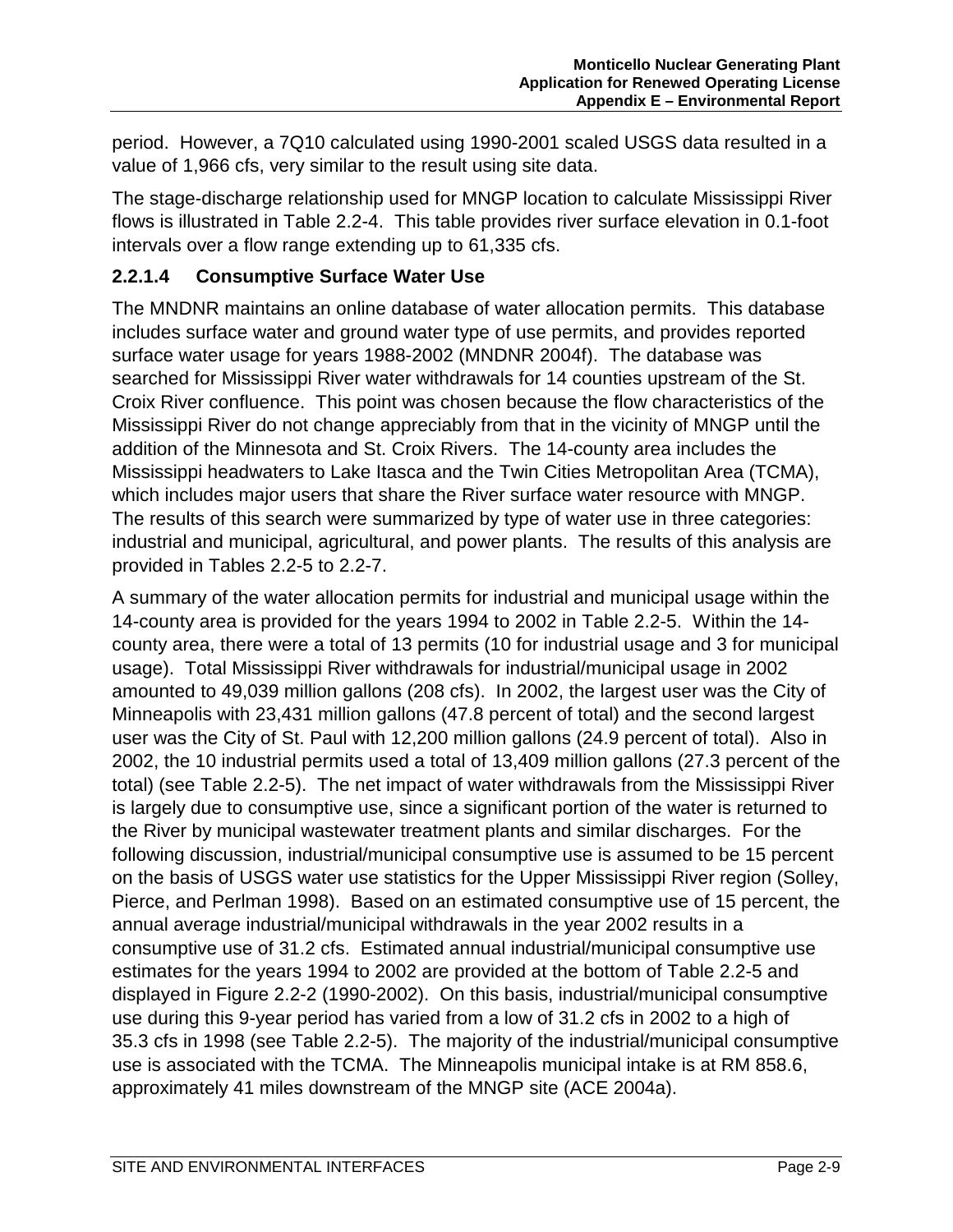period. However, a 7Q10 calculated using 1990-2001 scaled USGS data resulted in a value of 1,966 cfs, very similar to the result using site data.

The stage-discharge relationship used for MNGP location to calculate Mississippi River flows is illustrated in Table 2.2-4. This table provides river surface elevation in 0.1-foot intervals over a flow range extending up to 61,335 cfs.

#### **2.2.1.4 Consumptive Surface Water Use**

The MNDNR maintains an online database of water allocation permits. This database includes surface water and ground water type of use permits, and provides reported surface water usage for years 1988-2002 (MNDNR 2004f). The database was searched for Mississippi River water withdrawals for 14 counties upstream of the St. Croix River confluence. This point was chosen because the flow characteristics of the Mississippi River do not change appreciably from that in the vicinity of MNGP until the addition of the Minnesota and St. Croix Rivers. The 14-county area includes the Mississippi headwaters to Lake Itasca and the Twin Cities Metropolitan Area (TCMA), which includes major users that share the River surface water resource with MNGP. The results of this search were summarized by type of water use in three categories: industrial and municipal, agricultural, and power plants. The results of this analysis are provided in Tables 2.2-5 to 2.2-7.

A summary of the water allocation permits for industrial and municipal usage within the 14-county area is provided for the years 1994 to 2002 in Table 2.2-5. Within the 14 county area, there were a total of 13 permits (10 for industrial usage and 3 for municipal usage). Total Mississippi River withdrawals for industrial/municipal usage in 2002 amounted to 49,039 million gallons (208 cfs). In 2002, the largest user was the City of Minneapolis with 23,431 million gallons (47.8 percent of total) and the second largest user was the City of St. Paul with 12,200 million gallons (24.9 percent of total). Also in 2002, the 10 industrial permits used a total of 13,409 million gallons (27.3 percent of the total) (see Table 2.2-5). The net impact of water withdrawals from the Mississippi River is largely due to consumptive use, since a significant portion of the water is returned to the River by municipal wastewater treatment plants and similar discharges. For the following discussion, industrial/municipal consumptive use is assumed to be 15 percent on the basis of USGS water use statistics for the Upper Mississippi River region (Solley, Pierce, and Perlman 1998). Based on an estimated consumptive use of 15 percent, the annual average industrial/municipal withdrawals in the year 2002 results in a consumptive use of 31.2 cfs. Estimated annual industrial/municipal consumptive use estimates for the years 1994 to 2002 are provided at the bottom of Table 2.2-5 and displayed in Figure 2.2-2 (1990-2002). On this basis, industrial/municipal consumptive use during this 9-year period has varied from a low of 31.2 cfs in 2002 to a high of 35.3 cfs in 1998 (see Table 2.2-5). The majority of the industrial/municipal consumptive use is associated with the TCMA. The Minneapolis municipal intake is at RM 858.6, approximately 41 miles downstream of the MNGP site (ACE 2004a).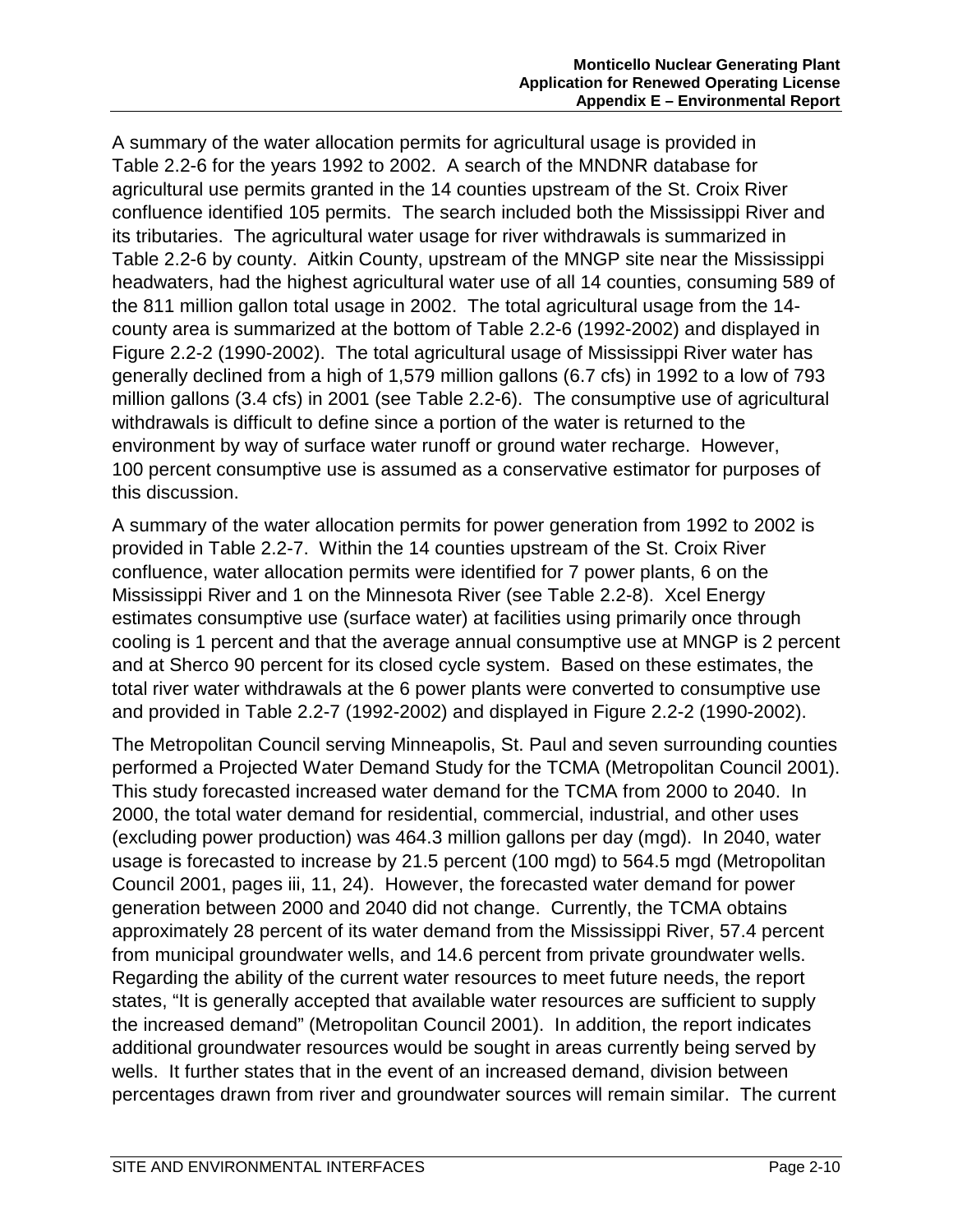A summary of the water allocation permits for agricultural usage is provided in Table 2.2-6 for the years 1992 to 2002. A search of the MNDNR database for agricultural use permits granted in the 14 counties upstream of the St. Croix River confluence identified 105 permits. The search included both the Mississippi River and its tributaries. The agricultural water usage for river withdrawals is summarized in Table 2.2-6 by county. Aitkin County, upstream of the MNGP site near the Mississippi headwaters, had the highest agricultural water use of all 14 counties, consuming 589 of the 811 million gallon total usage in 2002. The total agricultural usage from the 14 county area is summarized at the bottom of Table 2.2-6 (1992-2002) and displayed in Figure 2.2-2 (1990-2002). The total agricultural usage of Mississippi River water has generally declined from a high of 1,579 million gallons (6.7 cfs) in 1992 to a low of 793 million gallons (3.4 cfs) in 2001 (see Table 2.2-6). The consumptive use of agricultural withdrawals is difficult to define since a portion of the water is returned to the environment by way of surface water runoff or ground water recharge. However, 100 percent consumptive use is assumed as a conservative estimator for purposes of this discussion.

A summary of the water allocation permits for power generation from 1992 to 2002 is provided in Table 2.2-7. Within the 14 counties upstream of the St. Croix River confluence, water allocation permits were identified for 7 power plants, 6 on the Mississippi River and 1 on the Minnesota River (see Table 2.2-8). Xcel Energy estimates consumptive use (surface water) at facilities using primarily once through cooling is 1 percent and that the average annual consumptive use at MNGP is 2 percent and at Sherco 90 percent for its closed cycle system. Based on these estimates, the total river water withdrawals at the 6 power plants were converted to consumptive use and provided in Table 2.2-7 (1992-2002) and displayed in Figure 2.2-2 (1990-2002).

The Metropolitan Council serving Minneapolis, St. Paul and seven surrounding counties performed a Projected Water Demand Study for the TCMA (Metropolitan Council 2001). This study forecasted increased water demand for the TCMA from 2000 to 2040. In 2000, the total water demand for residential, commercial, industrial, and other uses (excluding power production) was 464.3 million gallons per day (mgd). In 2040, water usage is forecasted to increase by 21.5 percent (100 mgd) to 564.5 mgd (Metropolitan Council 2001, pages iii, 11, 24). However, the forecasted water demand for power generation between 2000 and 2040 did not change. Currently, the TCMA obtains approximately 28 percent of its water demand from the Mississippi River, 57.4 percent from municipal groundwater wells, and 14.6 percent from private groundwater wells. Regarding the ability of the current water resources to meet future needs, the report states, "It is generally accepted that available water resources are sufficient to supply the increased demand" (Metropolitan Council 2001). In addition, the report indicates additional groundwater resources would be sought in areas currently being served by wells. It further states that in the event of an increased demand, division between percentages drawn from river and groundwater sources will remain similar. The current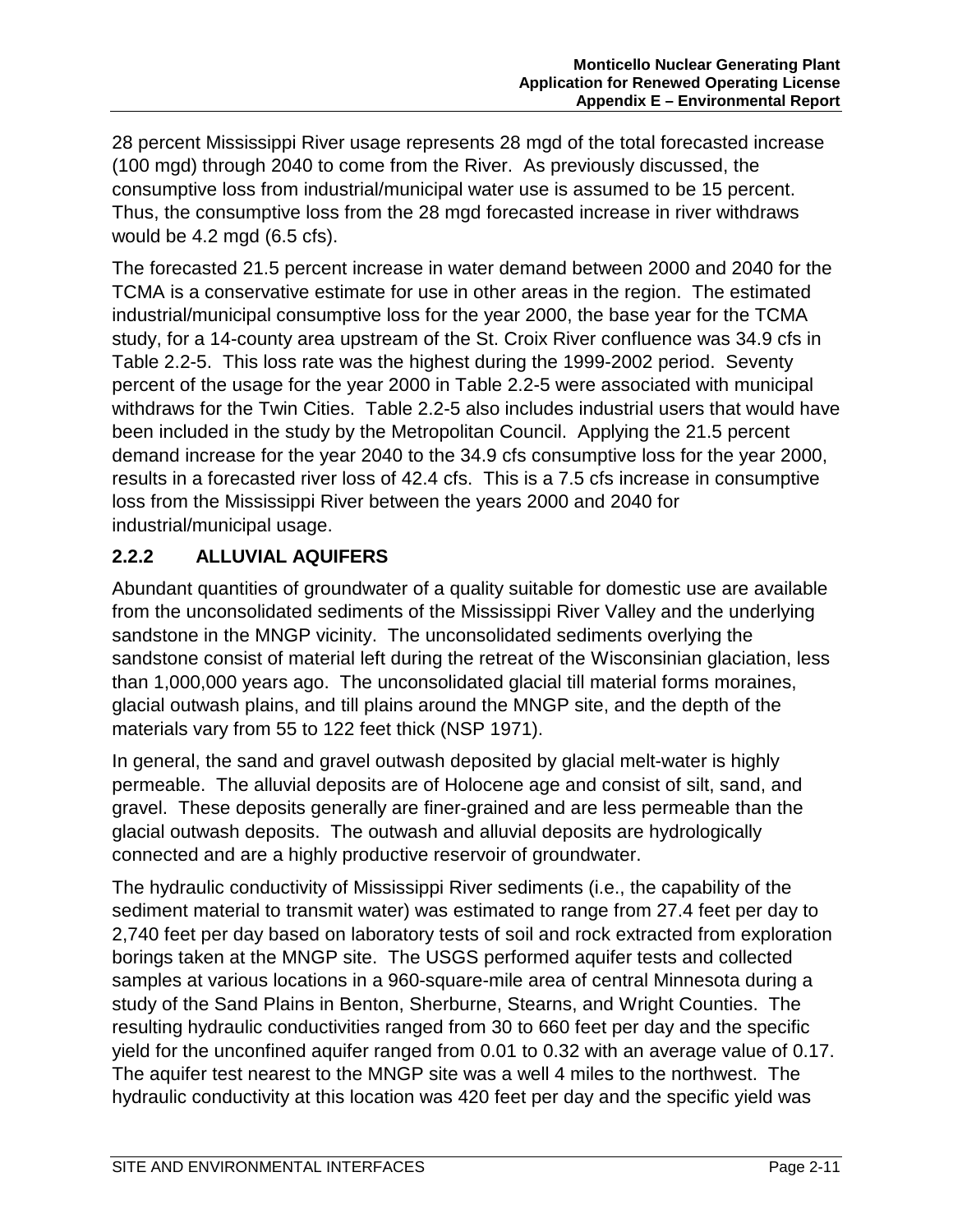28 percent Mississippi River usage represents 28 mgd of the total forecasted increase (100 mgd) through 2040 to come from the River. As previously discussed, the consumptive loss from industrial/municipal water use is assumed to be 15 percent. Thus, the consumptive loss from the 28 mgd forecasted increase in river withdraws would be 4.2 mgd (6.5 cfs).

The forecasted 21.5 percent increase in water demand between 2000 and 2040 for the TCMA is a conservative estimate for use in other areas in the region. The estimated industrial/municipal consumptive loss for the year 2000, the base year for the TCMA study, for a 14-county area upstream of the St. Croix River confluence was 34.9 cfs in Table 2.2-5. This loss rate was the highest during the 1999-2002 period. Seventy percent of the usage for the year 2000 in Table 2.2-5 were associated with municipal withdraws for the Twin Cities. Table 2.2-5 also includes industrial users that would have been included in the study by the Metropolitan Council. Applying the 21.5 percent demand increase for the year 2040 to the 34.9 cfs consumptive loss for the year 2000, results in a forecasted river loss of 42.4 cfs. This is a 7.5 cfs increase in consumptive loss from the Mississippi River between the years 2000 and 2040 for industrial/municipal usage.

## **2.2.2 ALLUVIAL AQUIFERS**

Abundant quantities of groundwater of a quality suitable for domestic use are available from the unconsolidated sediments of the Mississippi River Valley and the underlying sandstone in the MNGP vicinity. The unconsolidated sediments overlying the sandstone consist of material left during the retreat of the Wisconsinian glaciation, less than 1,000,000 years ago. The unconsolidated glacial till material forms moraines, glacial outwash plains, and till plains around the MNGP site, and the depth of the materials vary from 55 to 122 feet thick (NSP 1971).

In general, the sand and gravel outwash deposited by glacial melt-water is highly permeable. The alluvial deposits are of Holocene age and consist of silt, sand, and gravel. These deposits generally are finer-grained and are less permeable than the glacial outwash deposits. The outwash and alluvial deposits are hydrologically connected and are a highly productive reservoir of groundwater.

The hydraulic conductivity of Mississippi River sediments (i.e., the capability of the sediment material to transmit water) was estimated to range from 27.4 feet per day to 2,740 feet per day based on laboratory tests of soil and rock extracted from exploration borings taken at the MNGP site. The USGS performed aquifer tests and collected samples at various locations in a 960-square-mile area of central Minnesota during a study of the Sand Plains in Benton, Sherburne, Stearns, and Wright Counties. The resulting hydraulic conductivities ranged from 30 to 660 feet per day and the specific yield for the unconfined aquifer ranged from 0.01 to 0.32 with an average value of 0.17. The aquifer test nearest to the MNGP site was a well 4 miles to the northwest. The hydraulic conductivity at this location was 420 feet per day and the specific yield was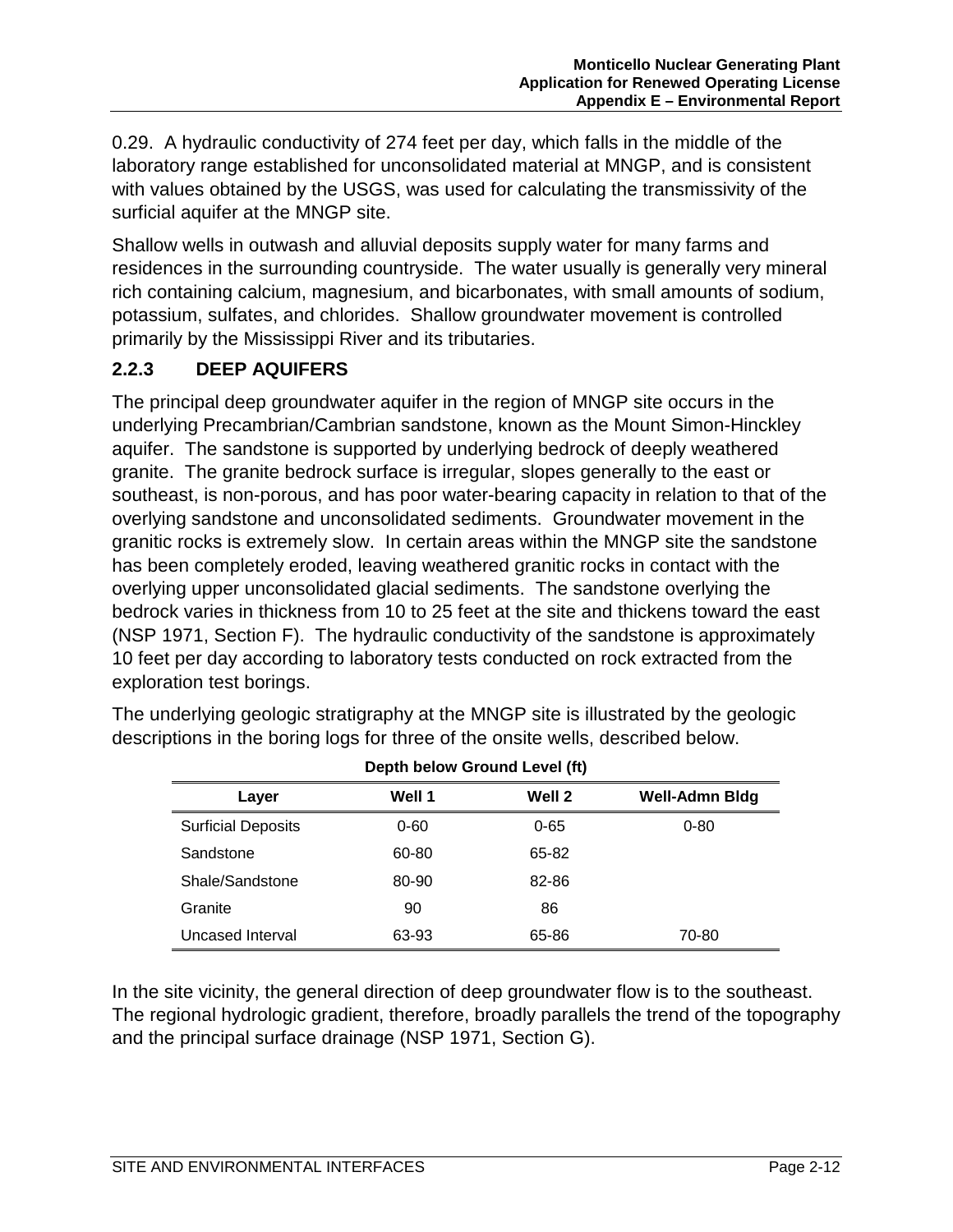0.29. A hydraulic conductivity of 274 feet per day, which falls in the middle of the laboratory range established for unconsolidated material at MNGP, and is consistent with values obtained by the USGS, was used for calculating the transmissivity of the surficial aquifer at the MNGP site.

Shallow wells in outwash and alluvial deposits supply water for many farms and residences in the surrounding countryside. The water usually is generally very mineral rich containing calcium, magnesium, and bicarbonates, with small amounts of sodium, potassium, sulfates, and chlorides. Shallow groundwater movement is controlled primarily by the Mississippi River and its tributaries.

## **2.2.3 DEEP AQUIFERS**

The principal deep groundwater aquifer in the region of MNGP site occurs in the underlying Precambrian/Cambrian sandstone, known as the Mount Simon-Hinckley aquifer. The sandstone is supported by underlying bedrock of deeply weathered granite. The granite bedrock surface is irregular, slopes generally to the east or southeast, is non-porous, and has poor water-bearing capacity in relation to that of the overlying sandstone and unconsolidated sediments. Groundwater movement in the granitic rocks is extremely slow. In certain areas within the MNGP site the sandstone has been completely eroded, leaving weathered granitic rocks in contact with the overlying upper unconsolidated glacial sediments. The sandstone overlying the bedrock varies in thickness from 10 to 25 feet at the site and thickens toward the east (NSP 1971, Section F). The hydraulic conductivity of the sandstone is approximately 10 feet per day according to laboratory tests conducted on rock extracted from the exploration test borings.

| Depth below Ground Level (ft)                      |          |          |          |  |  |
|----------------------------------------------------|----------|----------|----------|--|--|
| Well 2<br>Well 1<br><b>Well-Admn Bldg</b><br>Layer |          |          |          |  |  |
| <b>Surficial Deposits</b>                          | $0 - 60$ | $0 - 65$ | $0 - 80$ |  |  |
| Sandstone                                          | 60-80    | 65-82    |          |  |  |
| Shale/Sandstone                                    | 80-90    | 82-86    |          |  |  |
| Granite                                            | 90       | 86       |          |  |  |
| Uncased Interval                                   | 63-93    | 65-86    | 70-80    |  |  |

The underlying geologic stratigraphy at the MNGP site is illustrated by the geologic descriptions in the boring logs for three of the onsite wells, described below.

In the site vicinity, the general direction of deep groundwater flow is to the southeast. The regional hydrologic gradient, therefore, broadly parallels the trend of the topography and the principal surface drainage (NSP 1971, Section G).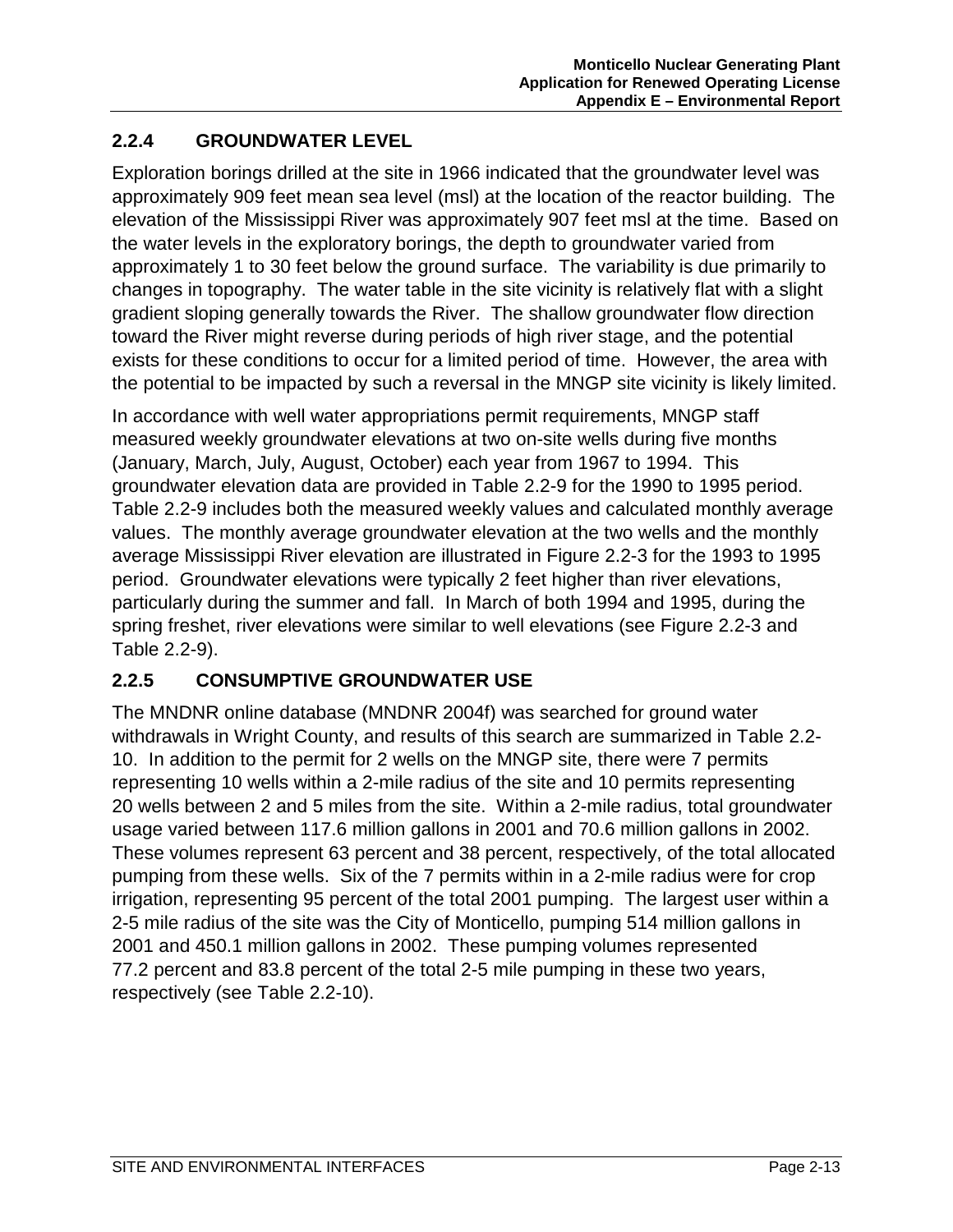# **2.2.4 GROUNDWATER LEVEL**

Exploration borings drilled at the site in 1966 indicated that the groundwater level was approximately 909 feet mean sea level (msl) at the location of the reactor building. The elevation of the Mississippi River was approximately 907 feet msl at the time. Based on the water levels in the exploratory borings, the depth to groundwater varied from approximately 1 to 30 feet below the ground surface. The variability is due primarily to changes in topography. The water table in the site vicinity is relatively flat with a slight gradient sloping generally towards the River. The shallow groundwater flow direction toward the River might reverse during periods of high river stage, and the potential exists for these conditions to occur for a limited period of time. However, the area with the potential to be impacted by such a reversal in the MNGP site vicinity is likely limited.

In accordance with well water appropriations permit requirements, MNGP staff measured weekly groundwater elevations at two on-site wells during five months (January, March, July, August, October) each year from 1967 to 1994. This groundwater elevation data are provided in Table 2.2-9 for the 1990 to 1995 period. Table 2.2-9 includes both the measured weekly values and calculated monthly average values. The monthly average groundwater elevation at the two wells and the monthly average Mississippi River elevation are illustrated in Figure 2.2-3 for the 1993 to 1995 period. Groundwater elevations were typically 2 feet higher than river elevations, particularly during the summer and fall. In March of both 1994 and 1995, during the spring freshet, river elevations were similar to well elevations (see Figure 2.2-3 and Table 2.2-9).

# **2.2.5 CONSUMPTIVE GROUNDWATER USE**

The MNDNR online database (MNDNR 2004f) was searched for ground water withdrawals in Wright County, and results of this search are summarized in Table 2.2- 10. In addition to the permit for 2 wells on the MNGP site, there were 7 permits representing 10 wells within a 2-mile radius of the site and 10 permits representing 20 wells between 2 and 5 miles from the site. Within a 2-mile radius, total groundwater usage varied between 117.6 million gallons in 2001 and 70.6 million gallons in 2002. These volumes represent 63 percent and 38 percent, respectively, of the total allocated pumping from these wells. Six of the 7 permits within in a 2-mile radius were for crop irrigation, representing 95 percent of the total 2001 pumping. The largest user within a 2-5 mile radius of the site was the City of Monticello, pumping 514 million gallons in 2001 and 450.1 million gallons in 2002. These pumping volumes represented 77.2 percent and 83.8 percent of the total 2-5 mile pumping in these two years, respectively (see Table 2.2-10).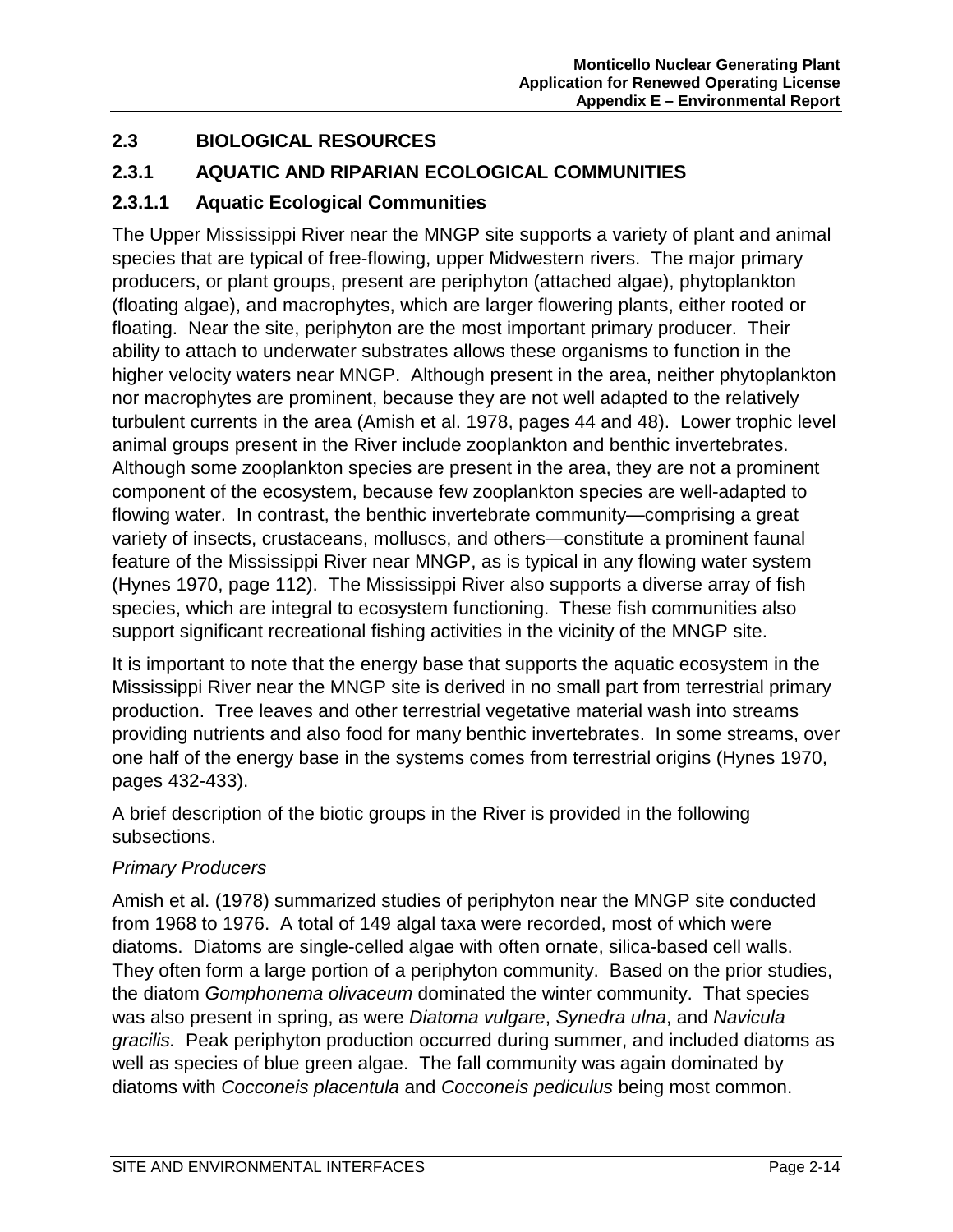# **2.3 BIOLOGICAL RESOURCES**

#### **2.3.1 AQUATIC AND RIPARIAN ECOLOGICAL COMMUNITIES**

#### **2.3.1.1 Aquatic Ecological Communities**

The Upper Mississippi River near the MNGP site supports a variety of plant and animal species that are typical of free-flowing, upper Midwestern rivers. The major primary producers, or plant groups, present are periphyton (attached algae), phytoplankton (floating algae), and macrophytes, which are larger flowering plants, either rooted or floating. Near the site, periphyton are the most important primary producer. Their ability to attach to underwater substrates allows these organisms to function in the higher velocity waters near MNGP. Although present in the area, neither phytoplankton nor macrophytes are prominent, because they are not well adapted to the relatively turbulent currents in the area (Amish et al. 1978, pages 44 and 48). Lower trophic level animal groups present in the River include zooplankton and benthic invertebrates. Although some zooplankton species are present in the area, they are not a prominent component of the ecosystem, because few zooplankton species are well-adapted to flowing water. In contrast, the benthic invertebrate community—comprising a great variety of insects, crustaceans, molluscs, and others—constitute a prominent faunal feature of the Mississippi River near MNGP, as is typical in any flowing water system (Hynes 1970, page 112). The Mississippi River also supports a diverse array of fish species, which are integral to ecosystem functioning. These fish communities also support significant recreational fishing activities in the vicinity of the MNGP site.

It is important to note that the energy base that supports the aquatic ecosystem in the Mississippi River near the MNGP site is derived in no small part from terrestrial primary production. Tree leaves and other terrestrial vegetative material wash into streams providing nutrients and also food for many benthic invertebrates. In some streams, over one half of the energy base in the systems comes from terrestrial origins (Hynes 1970, pages 432-433).

A brief description of the biotic groups in the River is provided in the following subsections.

#### *Primary Producers*

Amish et al. (1978) summarized studies of periphyton near the MNGP site conducted from 1968 to 1976. A total of 149 algal taxa were recorded, most of which were diatoms. Diatoms are single-celled algae with often ornate, silica-based cell walls. They often form a large portion of a periphyton community. Based on the prior studies, the diatom *Gomphonema olivaceum* dominated the winter community. That species was also present in spring, as were *Diatoma vulgare*, *Synedra ulna*, and *Navicula gracilis.* Peak periphyton production occurred during summer, and included diatoms as well as species of blue green algae. The fall community was again dominated by diatoms with *Cocconeis placentula* and *Cocconeis pediculus* being most common.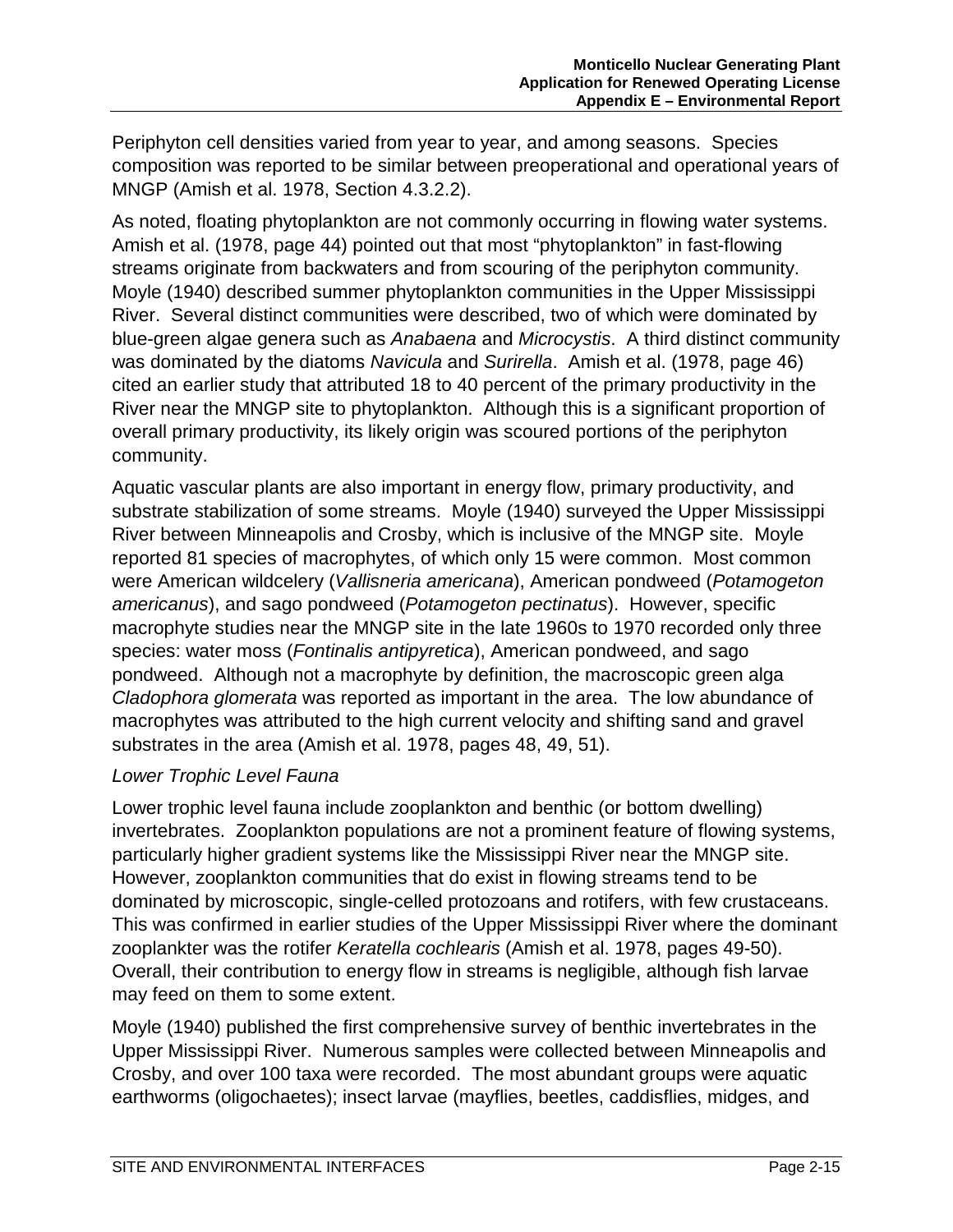Periphyton cell densities varied from year to year, and among seasons. Species composition was reported to be similar between preoperational and operational years of MNGP (Amish et al. 1978, Section 4.3.2.2).

As noted, floating phytoplankton are not commonly occurring in flowing water systems. Amish et al. (1978, page 44) pointed out that most "phytoplankton" in fast-flowing streams originate from backwaters and from scouring of the periphyton community. Moyle (1940) described summer phytoplankton communities in the Upper Mississippi River. Several distinct communities were described, two of which were dominated by blue-green algae genera such as *Anabaena* and *Microcystis*. A third distinct community was dominated by the diatoms *Navicula* and *Surirella*. Amish et al. (1978, page 46) cited an earlier study that attributed 18 to 40 percent of the primary productivity in the River near the MNGP site to phytoplankton. Although this is a significant proportion of overall primary productivity, its likely origin was scoured portions of the periphyton community.

Aquatic vascular plants are also important in energy flow, primary productivity, and substrate stabilization of some streams. Moyle (1940) surveyed the Upper Mississippi River between Minneapolis and Crosby, which is inclusive of the MNGP site. Moyle reported 81 species of macrophytes, of which only 15 were common. Most common were American wildcelery (*Vallisneria americana*), American pondweed (*Potamogeton americanus*), and sago pondweed (*Potamogeton pectinatus*). However, specific macrophyte studies near the MNGP site in the late 1960s to 1970 recorded only three species: water moss (*Fontinalis antipyretica*), American pondweed, and sago pondweed. Although not a macrophyte by definition, the macroscopic green alga *Cladophora glomerata* was reported as important in the area. The low abundance of macrophytes was attributed to the high current velocity and shifting sand and gravel substrates in the area (Amish et al. 1978, pages 48, 49, 51).

#### *Lower Trophic Level Fauna*

Lower trophic level fauna include zooplankton and benthic (or bottom dwelling) invertebrates. Zooplankton populations are not a prominent feature of flowing systems, particularly higher gradient systems like the Mississippi River near the MNGP site. However, zooplankton communities that do exist in flowing streams tend to be dominated by microscopic, single-celled protozoans and rotifers, with few crustaceans. This was confirmed in earlier studies of the Upper Mississippi River where the dominant zooplankter was the rotifer *Keratella cochlearis* (Amish et al. 1978, pages 49-50). Overall, their contribution to energy flow in streams is negligible, although fish larvae may feed on them to some extent.

Moyle (1940) published the first comprehensive survey of benthic invertebrates in the Upper Mississippi River. Numerous samples were collected between Minneapolis and Crosby, and over 100 taxa were recorded. The most abundant groups were aquatic earthworms (oligochaetes); insect larvae (mayflies, beetles, caddisflies, midges, and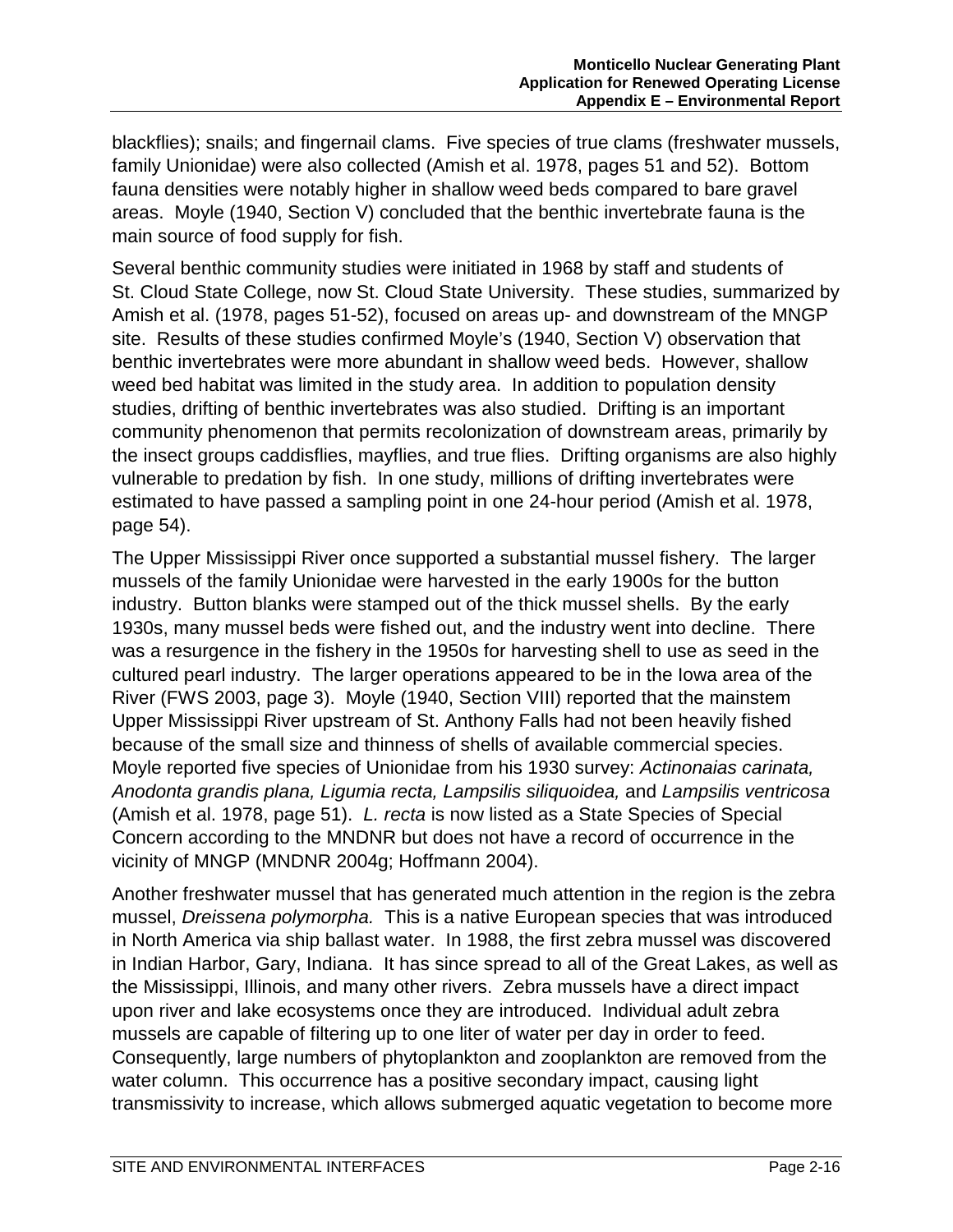blackflies); snails; and fingernail clams. Five species of true clams (freshwater mussels, family Unionidae) were also collected (Amish et al. 1978, pages 51 and 52). Bottom fauna densities were notably higher in shallow weed beds compared to bare gravel areas. Moyle (1940, Section V) concluded that the benthic invertebrate fauna is the main source of food supply for fish.

Several benthic community studies were initiated in 1968 by staff and students of St. Cloud State College, now St. Cloud State University. These studies, summarized by Amish et al. (1978, pages 51-52), focused on areas up- and downstream of the MNGP site. Results of these studies confirmed Moyle's (1940, Section V) observation that benthic invertebrates were more abundant in shallow weed beds. However, shallow weed bed habitat was limited in the study area. In addition to population density studies, drifting of benthic invertebrates was also studied. Drifting is an important community phenomenon that permits recolonization of downstream areas, primarily by the insect groups caddisflies, mayflies, and true flies. Drifting organisms are also highly vulnerable to predation by fish. In one study, millions of drifting invertebrates were estimated to have passed a sampling point in one 24-hour period (Amish et al. 1978, page 54).

The Upper Mississippi River once supported a substantial mussel fishery. The larger mussels of the family Unionidae were harvested in the early 1900s for the button industry. Button blanks were stamped out of the thick mussel shells. By the early 1930s, many mussel beds were fished out, and the industry went into decline. There was a resurgence in the fishery in the 1950s for harvesting shell to use as seed in the cultured pearl industry. The larger operations appeared to be in the Iowa area of the River (FWS 2003, page 3). Moyle (1940, Section VIII) reported that the mainstem Upper Mississippi River upstream of St. Anthony Falls had not been heavily fished because of the small size and thinness of shells of available commercial species. Moyle reported five species of Unionidae from his 1930 survey: *Actinonaias carinata, Anodonta grandis plana, Ligumia recta, Lampsilis siliquoidea,* and *Lampsilis ventricosa* (Amish et al. 1978, page 51). *L. recta* is now listed as a State Species of Special Concern according to the MNDNR but does not have a record of occurrence in the vicinity of MNGP (MNDNR 2004g; Hoffmann 2004).

Another freshwater mussel that has generated much attention in the region is the zebra mussel, *Dreissena polymorpha.* This is a native European species that was introduced in North America via ship ballast water. In 1988, the first zebra mussel was discovered in Indian Harbor, Gary, Indiana. It has since spread to all of the Great Lakes, as well as the Mississippi, Illinois, and many other rivers. Zebra mussels have a direct impact upon river and lake ecosystems once they are introduced. Individual adult zebra mussels are capable of filtering up to one liter of water per day in order to feed. Consequently, large numbers of phytoplankton and zooplankton are removed from the water column. This occurrence has a positive secondary impact, causing light transmissivity to increase, which allows submerged aquatic vegetation to become more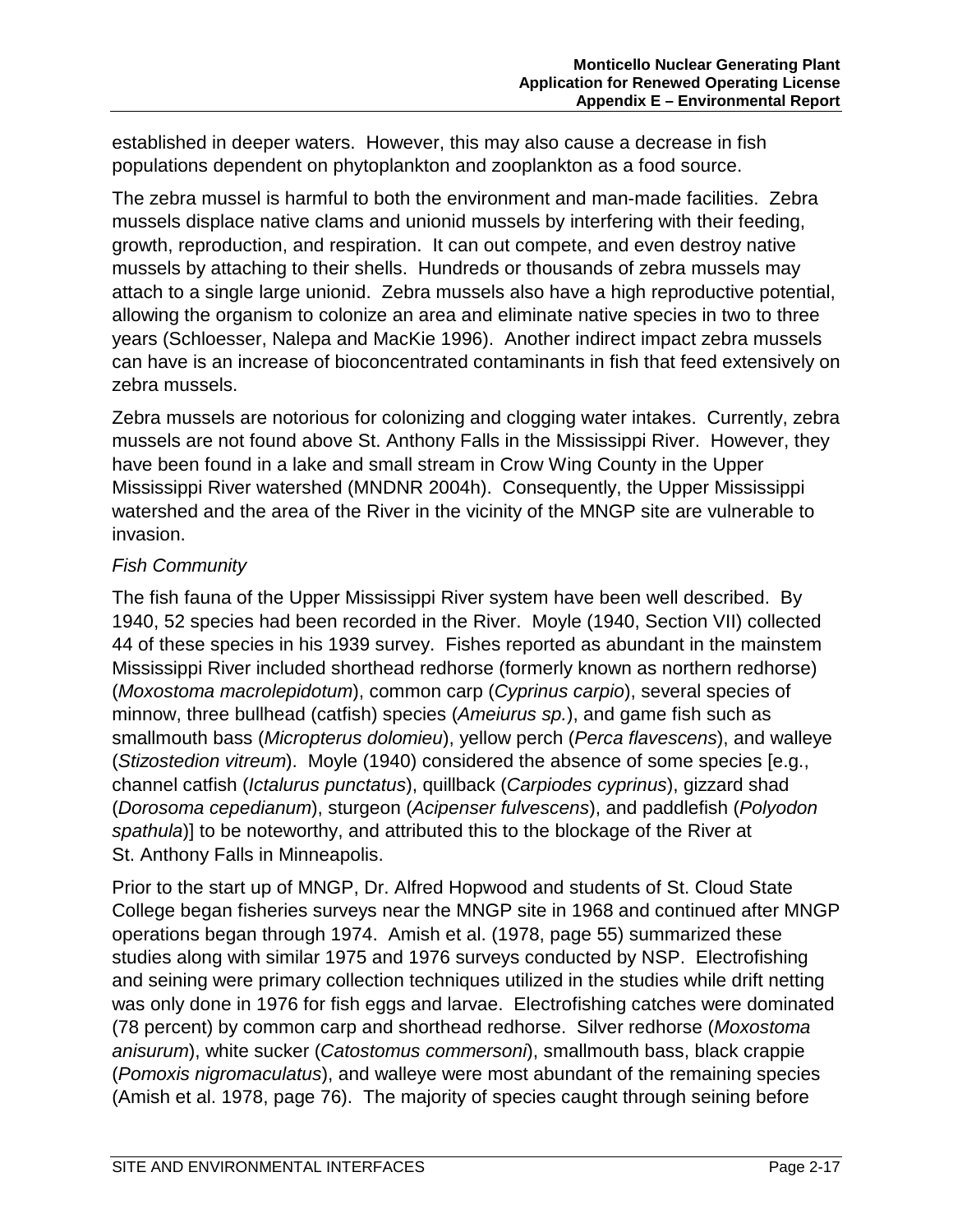established in deeper waters. However, this may also cause a decrease in fish populations dependent on phytoplankton and zooplankton as a food source.

The zebra mussel is harmful to both the environment and man-made facilities. Zebra mussels displace native clams and unionid mussels by interfering with their feeding, growth, reproduction, and respiration. It can out compete, and even destroy native mussels by attaching to their shells. Hundreds or thousands of zebra mussels may attach to a single large unionid. Zebra mussels also have a high reproductive potential, allowing the organism to colonize an area and eliminate native species in two to three years (Schloesser, Nalepa and MacKie 1996). Another indirect impact zebra mussels can have is an increase of bioconcentrated contaminants in fish that feed extensively on zebra mussels.

Zebra mussels are notorious for colonizing and clogging water intakes. Currently, zebra mussels are not found above St. Anthony Falls in the Mississippi River. However, they have been found in a lake and small stream in Crow Wing County in the Upper Mississippi River watershed (MNDNR 2004h). Consequently, the Upper Mississippi watershed and the area of the River in the vicinity of the MNGP site are vulnerable to invasion.

#### *Fish Community*

The fish fauna of the Upper Mississippi River system have been well described. By 1940, 52 species had been recorded in the River. Moyle (1940, Section VII) collected 44 of these species in his 1939 survey. Fishes reported as abundant in the mainstem Mississippi River included shorthead redhorse (formerly known as northern redhorse) (*Moxostoma macrolepidotum*), common carp (*Cyprinus carpio*), several species of minnow, three bullhead (catfish) species (*Ameiurus sp.*), and game fish such as smallmouth bass (*Micropterus dolomieu*), yellow perch (*Perca flavescens*), and walleye (*Stizostedion vitreum*). Moyle (1940) considered the absence of some species [e.g., channel catfish (*Ictalurus punctatus*), quillback (*Carpiodes cyprinus*), gizzard shad (*Dorosoma cepedianum*), sturgeon (*Acipenser fulvescens*), and paddlefish (*Polyodon spathula*)] to be noteworthy, and attributed this to the blockage of the River at St. Anthony Falls in Minneapolis.

Prior to the start up of MNGP, Dr. Alfred Hopwood and students of St. Cloud State College began fisheries surveys near the MNGP site in 1968 and continued after MNGP operations began through 1974. Amish et al. (1978, page 55) summarized these studies along with similar 1975 and 1976 surveys conducted by NSP. Electrofishing and seining were primary collection techniques utilized in the studies while drift netting was only done in 1976 for fish eggs and larvae. Electrofishing catches were dominated (78 percent) by common carp and shorthead redhorse. Silver redhorse (*Moxostoma anisurum*), white sucker (*Catostomus commersoni*), smallmouth bass, black crappie (*Pomoxis nigromaculatus*), and walleye were most abundant of the remaining species (Amish et al. 1978, page 76). The majority of species caught through seining before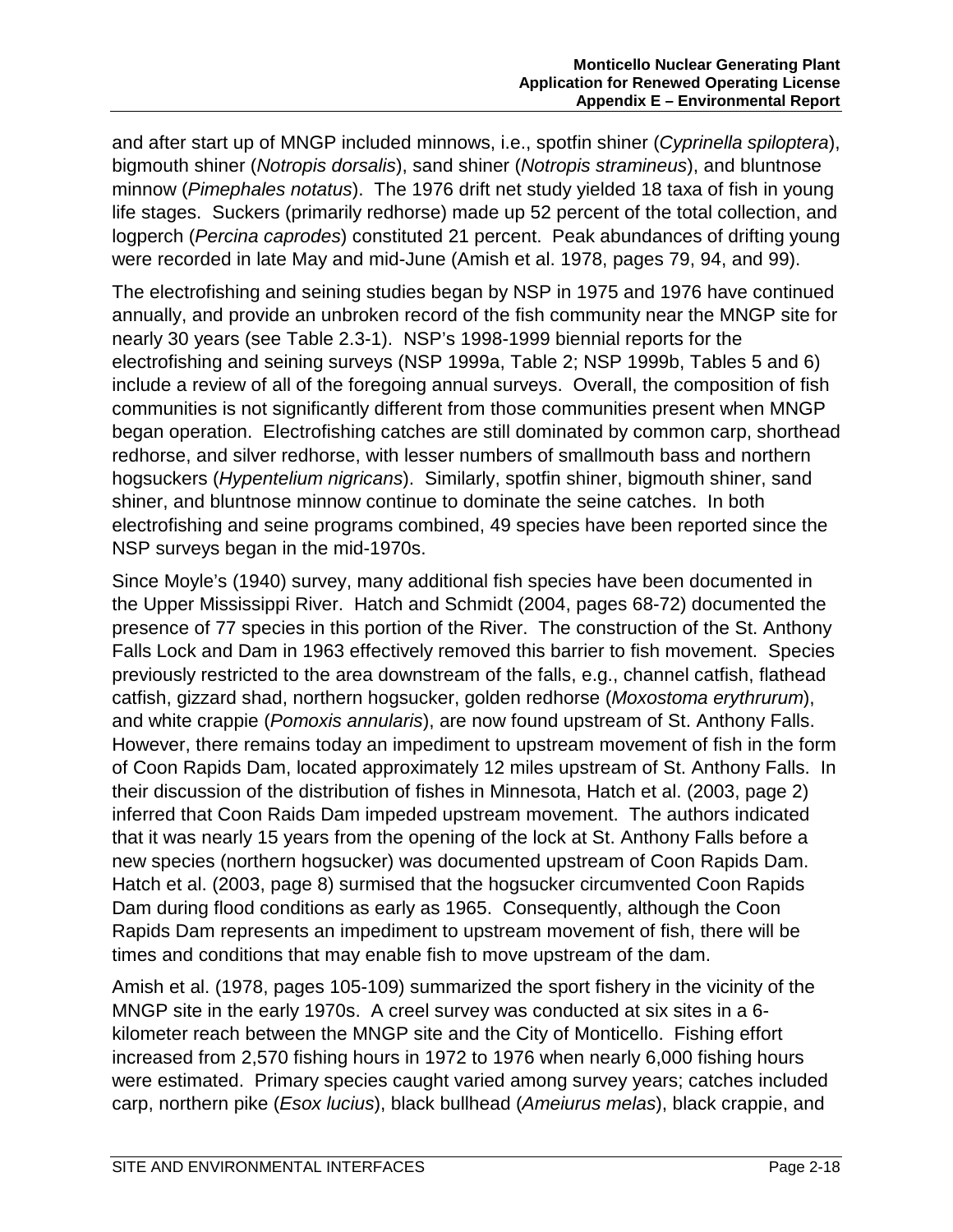and after start up of MNGP included minnows, i.e., spotfin shiner (*Cyprinella spiloptera*), bigmouth shiner (*Notropis dorsalis*), sand shiner (*Notropis stramineus*), and bluntnose minnow (*Pimephales notatus*). The 1976 drift net study yielded 18 taxa of fish in young life stages. Suckers (primarily redhorse) made up 52 percent of the total collection, and logperch (*Percina caprodes*) constituted 21 percent. Peak abundances of drifting young were recorded in late May and mid-June (Amish et al. 1978, pages 79, 94, and 99).

The electrofishing and seining studies began by NSP in 1975 and 1976 have continued annually, and provide an unbroken record of the fish community near the MNGP site for nearly 30 years (see Table 2.3-1). NSP's 1998-1999 biennial reports for the electrofishing and seining surveys (NSP 1999a, Table 2; NSP 1999b, Tables 5 and 6) include a review of all of the foregoing annual surveys. Overall, the composition of fish communities is not significantly different from those communities present when MNGP began operation. Electrofishing catches are still dominated by common carp, shorthead redhorse, and silver redhorse, with lesser numbers of smallmouth bass and northern hogsuckers (*Hypentelium nigricans*). Similarly, spotfin shiner, bigmouth shiner, sand shiner, and bluntnose minnow continue to dominate the seine catches. In both electrofishing and seine programs combined, 49 species have been reported since the NSP surveys began in the mid-1970s.

Since Moyle's (1940) survey, many additional fish species have been documented in the Upper Mississippi River. Hatch and Schmidt (2004, pages 68-72) documented the presence of 77 species in this portion of the River. The construction of the St. Anthony Falls Lock and Dam in 1963 effectively removed this barrier to fish movement. Species previously restricted to the area downstream of the falls, e.g., channel catfish, flathead catfish, gizzard shad, northern hogsucker, golden redhorse (*Moxostoma erythrurum*), and white crappie (*Pomoxis annularis*), are now found upstream of St. Anthony Falls. However, there remains today an impediment to upstream movement of fish in the form of Coon Rapids Dam, located approximately 12 miles upstream of St. Anthony Falls. In their discussion of the distribution of fishes in Minnesota, Hatch et al. (2003, page 2) inferred that Coon Raids Dam impeded upstream movement. The authors indicated that it was nearly 15 years from the opening of the lock at St. Anthony Falls before a new species (northern hogsucker) was documented upstream of Coon Rapids Dam. Hatch et al. (2003, page 8) surmised that the hogsucker circumvented Coon Rapids Dam during flood conditions as early as 1965. Consequently, although the Coon Rapids Dam represents an impediment to upstream movement of fish, there will be times and conditions that may enable fish to move upstream of the dam.

Amish et al. (1978, pages 105-109) summarized the sport fishery in the vicinity of the MNGP site in the early 1970s. A creel survey was conducted at six sites in a 6 kilometer reach between the MNGP site and the City of Monticello. Fishing effort increased from 2,570 fishing hours in 1972 to 1976 when nearly 6,000 fishing hours were estimated. Primary species caught varied among survey years; catches included carp, northern pike (*Esox lucius*), black bullhead (*Ameiurus melas*), black crappie, and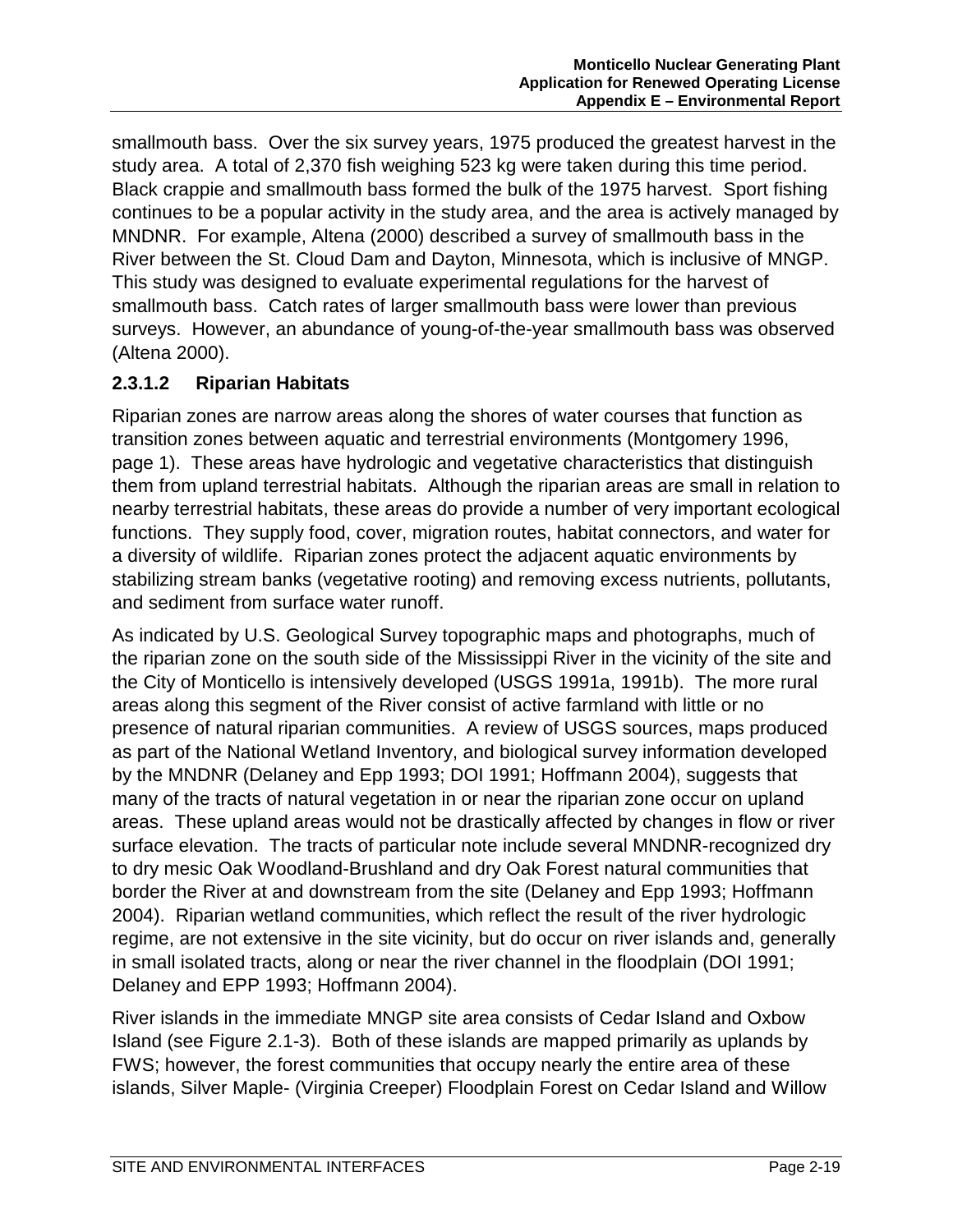smallmouth bass. Over the six survey years, 1975 produced the greatest harvest in the study area. A total of 2,370 fish weighing 523 kg were taken during this time period. Black crappie and smallmouth bass formed the bulk of the 1975 harvest. Sport fishing continues to be a popular activity in the study area, and the area is actively managed by MNDNR. For example, Altena (2000) described a survey of smallmouth bass in the River between the St. Cloud Dam and Dayton, Minnesota, which is inclusive of MNGP. This study was designed to evaluate experimental regulations for the harvest of smallmouth bass. Catch rates of larger smallmouth bass were lower than previous surveys. However, an abundance of young-of-the-year smallmouth bass was observed (Altena 2000).

#### **2.3.1.2 Riparian Habitats**

Riparian zones are narrow areas along the shores of water courses that function as transition zones between aquatic and terrestrial environments (Montgomery 1996, page 1). These areas have hydrologic and vegetative characteristics that distinguish them from upland terrestrial habitats. Although the riparian areas are small in relation to nearby terrestrial habitats, these areas do provide a number of very important ecological functions. They supply food, cover, migration routes, habitat connectors, and water for a diversity of wildlife. Riparian zones protect the adjacent aquatic environments by stabilizing stream banks (vegetative rooting) and removing excess nutrients, pollutants, and sediment from surface water runoff.

As indicated by U.S. Geological Survey topographic maps and photographs, much of the riparian zone on the south side of the Mississippi River in the vicinity of the site and the City of Monticello is intensively developed (USGS 1991a, 1991b). The more rural areas along this segment of the River consist of active farmland with little or no presence of natural riparian communities. A review of USGS sources, maps produced as part of the National Wetland Inventory, and biological survey information developed by the MNDNR (Delaney and Epp 1993; DOI 1991; Hoffmann 2004), suggests that many of the tracts of natural vegetation in or near the riparian zone occur on upland areas. These upland areas would not be drastically affected by changes in flow or river surface elevation. The tracts of particular note include several MNDNR-recognized dry to dry mesic Oak Woodland-Brushland and dry Oak Forest natural communities that border the River at and downstream from the site (Delaney and Epp 1993; Hoffmann 2004). Riparian wetland communities, which reflect the result of the river hydrologic regime, are not extensive in the site vicinity, but do occur on river islands and, generally in small isolated tracts, along or near the river channel in the floodplain (DOI 1991; Delaney and EPP 1993; Hoffmann 2004).

River islands in the immediate MNGP site area consists of Cedar Island and Oxbow Island (see Figure 2.1-3). Both of these islands are mapped primarily as uplands by FWS; however, the forest communities that occupy nearly the entire area of these islands, Silver Maple- (Virginia Creeper) Floodplain Forest on Cedar Island and Willow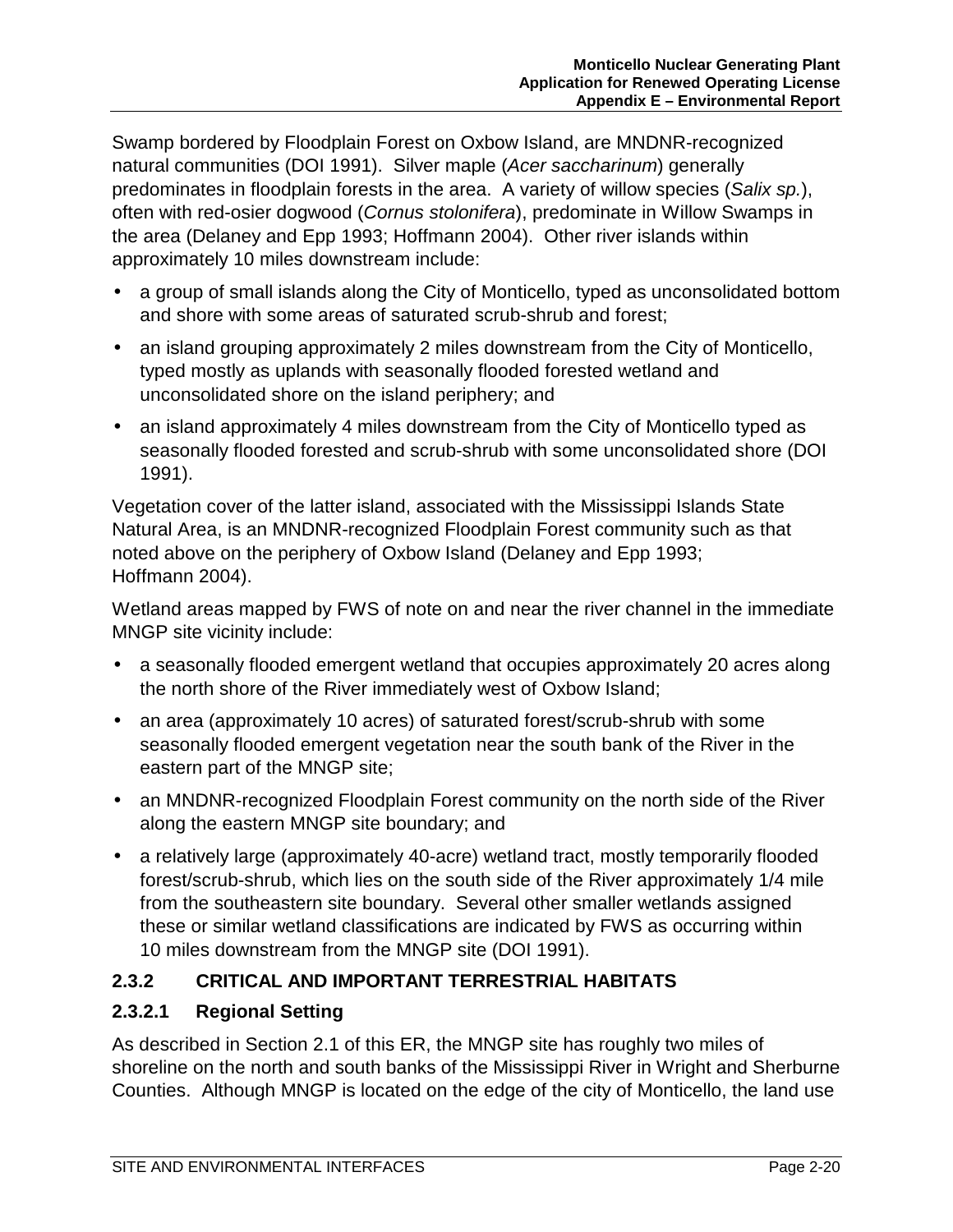Swamp bordered by Floodplain Forest on Oxbow Island, are MNDNR-recognized natural communities (DOI 1991). Silver maple (*Acer saccharinum*) generally predominates in floodplain forests in the area. A variety of willow species (*Salix sp.*), often with red-osier dogwood (*Cornus stolonifera*), predominate in Willow Swamps in the area (Delaney and Epp 1993; Hoffmann 2004). Other river islands within approximately 10 miles downstream include:

- a group of small islands along the City of Monticello, typed as unconsolidated bottom and shore with some areas of saturated scrub-shrub and forest;
- an island grouping approximately 2 miles downstream from the City of Monticello, typed mostly as uplands with seasonally flooded forested wetland and unconsolidated shore on the island periphery; and
- an island approximately 4 miles downstream from the City of Monticello typed as seasonally flooded forested and scrub-shrub with some unconsolidated shore (DOI 1991).

Vegetation cover of the latter island, associated with the Mississippi Islands State Natural Area, is an MNDNR-recognized Floodplain Forest community such as that noted above on the periphery of Oxbow Island (Delaney and Epp 1993; Hoffmann 2004).

Wetland areas mapped by FWS of note on and near the river channel in the immediate MNGP site vicinity include:

- a seasonally flooded emergent wetland that occupies approximately 20 acres along the north shore of the River immediately west of Oxbow Island;
- an area (approximately 10 acres) of saturated forest/scrub-shrub with some seasonally flooded emergent vegetation near the south bank of the River in the eastern part of the MNGP site;
- an MNDNR-recognized Floodplain Forest community on the north side of the River along the eastern MNGP site boundary; and
- a relatively large (approximately 40-acre) wetland tract, mostly temporarily flooded forest/scrub-shrub, which lies on the south side of the River approximately 1/4 mile from the southeastern site boundary. Several other smaller wetlands assigned these or similar wetland classifications are indicated by FWS as occurring within 10 miles downstream from the MNGP site (DOI 1991).

## **2.3.2 CRITICAL AND IMPORTANT TERRESTRIAL HABITATS**

## **2.3.2.1 Regional Setting**

As described in Section 2.1 of this ER, the MNGP site has roughly two miles of shoreline on the north and south banks of the Mississippi River in Wright and Sherburne Counties. Although MNGP is located on the edge of the city of Monticello, the land use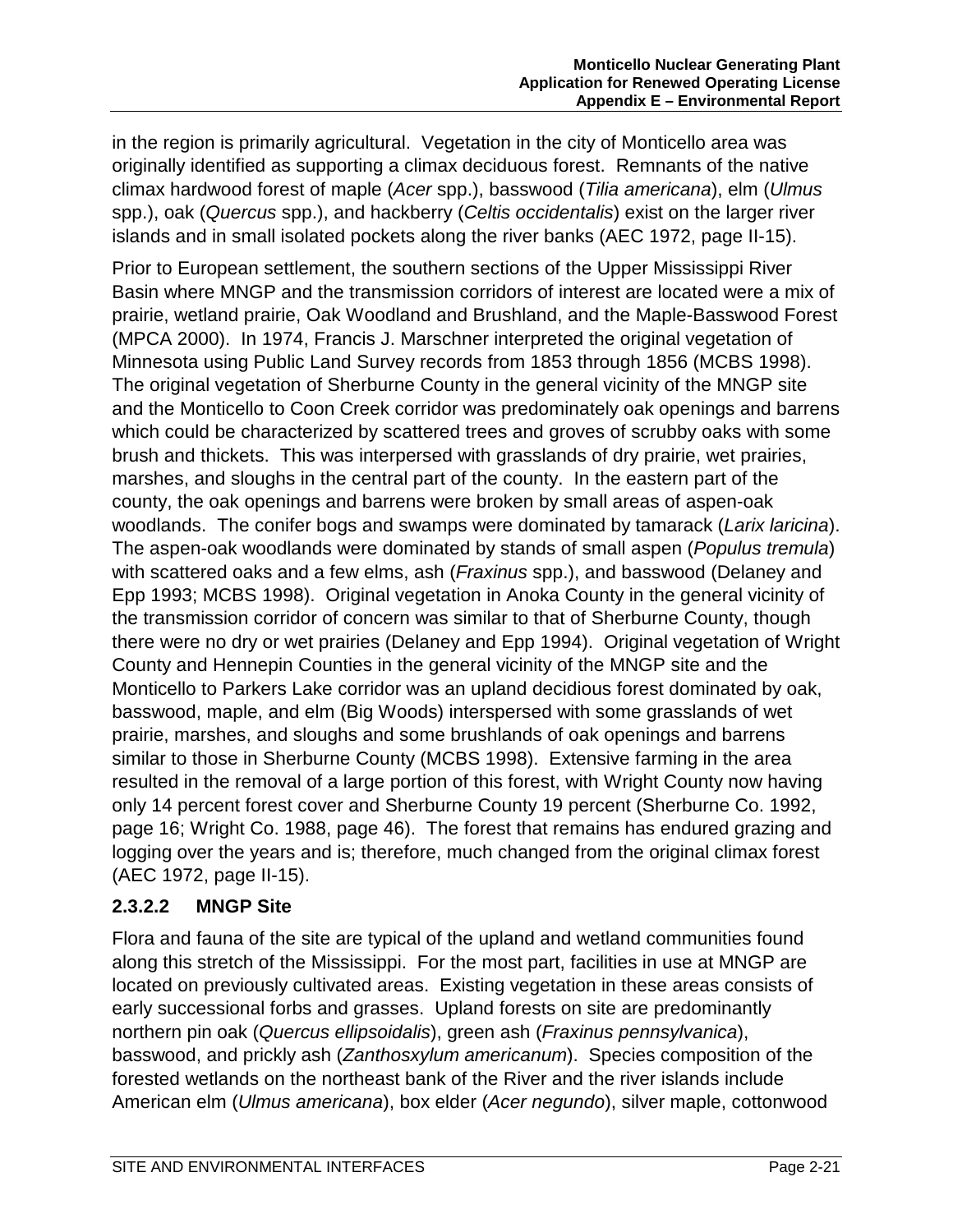in the region is primarily agricultural. Vegetation in the city of Monticello area was originally identified as supporting a climax deciduous forest. Remnants of the native climax hardwood forest of maple (*Acer* spp.), basswood (*Tilia americana*), elm (*Ulmus* spp.), oak (*Quercus* spp.), and hackberry (*Celtis occidentalis*) exist on the larger river islands and in small isolated pockets along the river banks (AEC 1972, page II-15).

Prior to European settlement, the southern sections of the Upper Mississippi River Basin where MNGP and the transmission corridors of interest are located were a mix of prairie, wetland prairie, Oak Woodland and Brushland, and the Maple-Basswood Forest (MPCA 2000). In 1974, Francis J. Marschner interpreted the original vegetation of Minnesota using Public Land Survey records from 1853 through 1856 (MCBS 1998). The original vegetation of Sherburne County in the general vicinity of the MNGP site and the Monticello to Coon Creek corridor was predominately oak openings and barrens which could be characterized by scattered trees and groves of scrubby oaks with some brush and thickets. This was interpersed with grasslands of dry prairie, wet prairies, marshes, and sloughs in the central part of the county. In the eastern part of the county, the oak openings and barrens were broken by small areas of aspen-oak woodlands. The conifer bogs and swamps were dominated by tamarack (*Larix laricina*). The aspen-oak woodlands were dominated by stands of small aspen (*Populus tremula*) with scattered oaks and a few elms, ash (*Fraxinus* spp.), and basswood (Delaney and Epp 1993; MCBS 1998). Original vegetation in Anoka County in the general vicinity of the transmission corridor of concern was similar to that of Sherburne County, though there were no dry or wet prairies (Delaney and Epp 1994). Original vegetation of Wright County and Hennepin Counties in the general vicinity of the MNGP site and the Monticello to Parkers Lake corridor was an upland decidious forest dominated by oak, basswood, maple, and elm (Big Woods) interspersed with some grasslands of wet prairie, marshes, and sloughs and some brushlands of oak openings and barrens similar to those in Sherburne County (MCBS 1998). Extensive farming in the area resulted in the removal of a large portion of this forest, with Wright County now having only 14 percent forest cover and Sherburne County 19 percent (Sherburne Co. 1992, page 16; Wright Co. 1988, page 46). The forest that remains has endured grazing and logging over the years and is; therefore, much changed from the original climax forest (AEC 1972, page II-15).

#### **2.3.2.2 MNGP Site**

Flora and fauna of the site are typical of the upland and wetland communities found along this stretch of the Mississippi. For the most part, facilities in use at MNGP are located on previously cultivated areas. Existing vegetation in these areas consists of early successional forbs and grasses. Upland forests on site are predominantly northern pin oak (*Quercus ellipsoidalis*), green ash (*Fraxinus pennsylvanica*), basswood, and prickly ash (*Zanthosxylum americanum*). Species composition of the forested wetlands on the northeast bank of the River and the river islands include American elm (*Ulmus americana*), box elder (*Acer negundo*), silver maple, cottonwood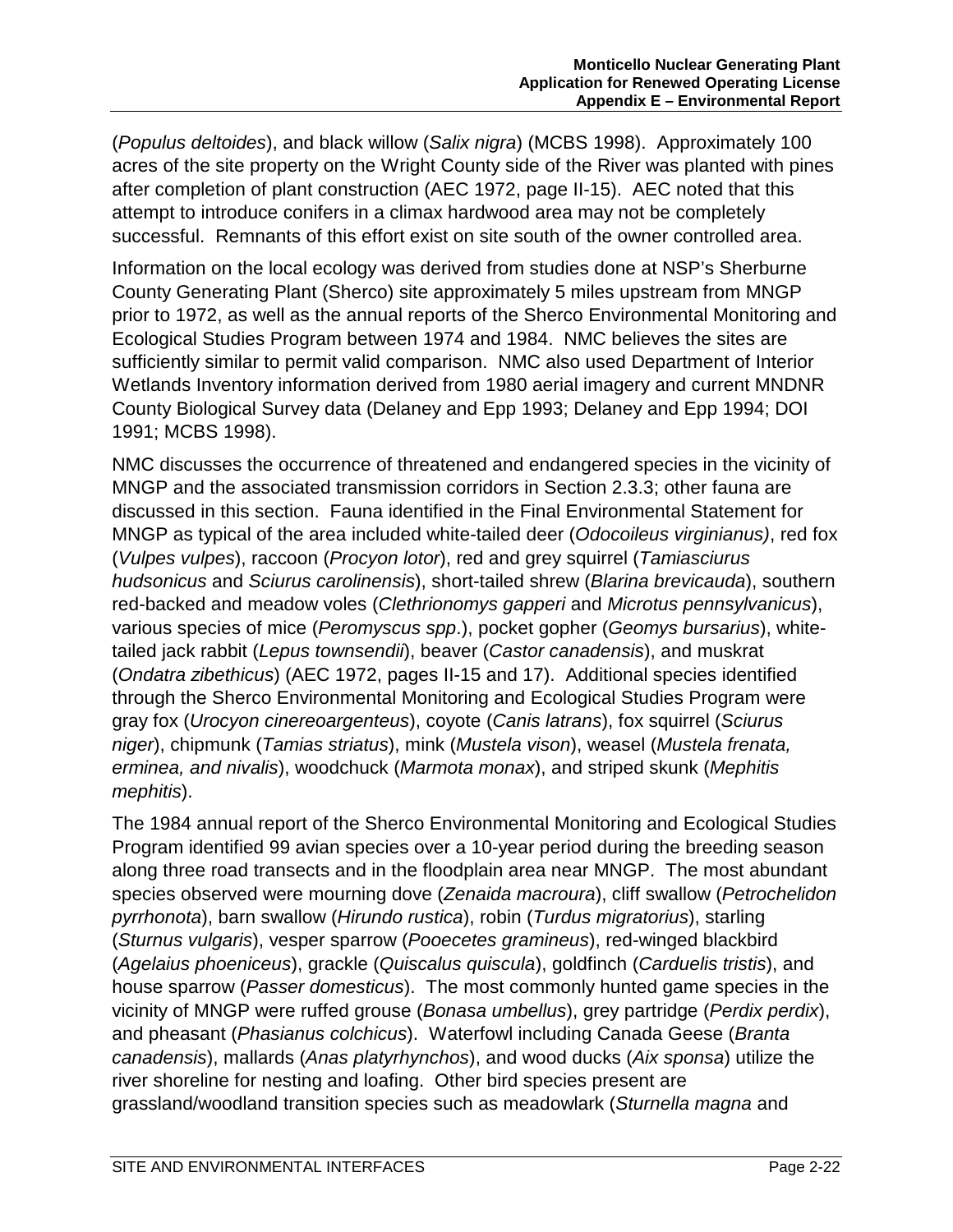(*Populus deltoides*), and black willow (*Salix nigra*) (MCBS 1998). Approximately 100 acres of the site property on the Wright County side of the River was planted with pines after completion of plant construction (AEC 1972, page II-15). AEC noted that this attempt to introduce conifers in a climax hardwood area may not be completely successful. Remnants of this effort exist on site south of the owner controlled area.

Information on the local ecology was derived from studies done at NSP's Sherburne County Generating Plant (Sherco) site approximately 5 miles upstream from MNGP prior to 1972, as well as the annual reports of the Sherco Environmental Monitoring and Ecological Studies Program between 1974 and 1984. NMC believes the sites are sufficiently similar to permit valid comparison. NMC also used Department of Interior Wetlands Inventory information derived from 1980 aerial imagery and current MNDNR County Biological Survey data (Delaney and Epp 1993; Delaney and Epp 1994; DOI 1991; MCBS 1998).

NMC discusses the occurrence of threatened and endangered species in the vicinity of MNGP and the associated transmission corridors in Section 2.3.3; other fauna are discussed in this section. Fauna identified in the Final Environmental Statement for MNGP as typical of the area included white-tailed deer (*Odocoileus virginianus)*, red fox (*Vulpes vulpes*), raccoon (*Procyon lotor*), red and grey squirrel (*Tamiasciurus hudsonicus* and *Sciurus carolinensis*), short-tailed shrew (*Blarina brevicauda*), southern red-backed and meadow voles (*Clethrionomys gapperi* and *Microtus pennsylvanicus*), various species of mice (*Peromyscus spp*.), pocket gopher (*Geomys bursarius*), whitetailed jack rabbit (*Lepus townsendii*), beaver (*Castor canadensis*), and muskrat (*Ondatra zibethicus*) (AEC 1972, pages II-15 and 17). Additional species identified through the Sherco Environmental Monitoring and Ecological Studies Program were gray fox (*Urocyon cinereoargenteus*), coyote (*Canis latrans*), fox squirrel (*Sciurus niger*), chipmunk (*Tamias striatus*), mink (*Mustela vison*), weasel (*Mustela frenata, erminea, and nivalis*), woodchuck (*Marmota monax*), and striped skunk (*Mephitis mephitis*).

The 1984 annual report of the Sherco Environmental Monitoring and Ecological Studies Program identified 99 avian species over a 10-year period during the breeding season along three road transects and in the floodplain area near MNGP. The most abundant species observed were mourning dove (*Zenaida macroura*), cliff swallow (*Petrochelidon pyrrhonota*), barn swallow (*Hirundo rustica*), robin (*Turdus migratorius*), starling (*Sturnus vulgaris*), vesper sparrow (*Pooecetes gramineus*), red-winged blackbird (*Agelaius phoeniceus*), grackle (*Quiscalus quiscula*), goldfinch (*Carduelis tristis*), and house sparrow (*Passer domesticus*). The most commonly hunted game species in the vicinity of MNGP were ruffed grouse (*Bonasa umbellus*), grey partridge (*Perdix perdix*), and pheasant (*Phasianus colchicus*). Waterfowl including Canada Geese (*Branta canadensis*), mallards (*Anas platyrhynchos*), and wood ducks (*Aix sponsa*) utilize the river shoreline for nesting and loafing. Other bird species present are grassland/woodland transition species such as meadowlark (*Sturnella magna* and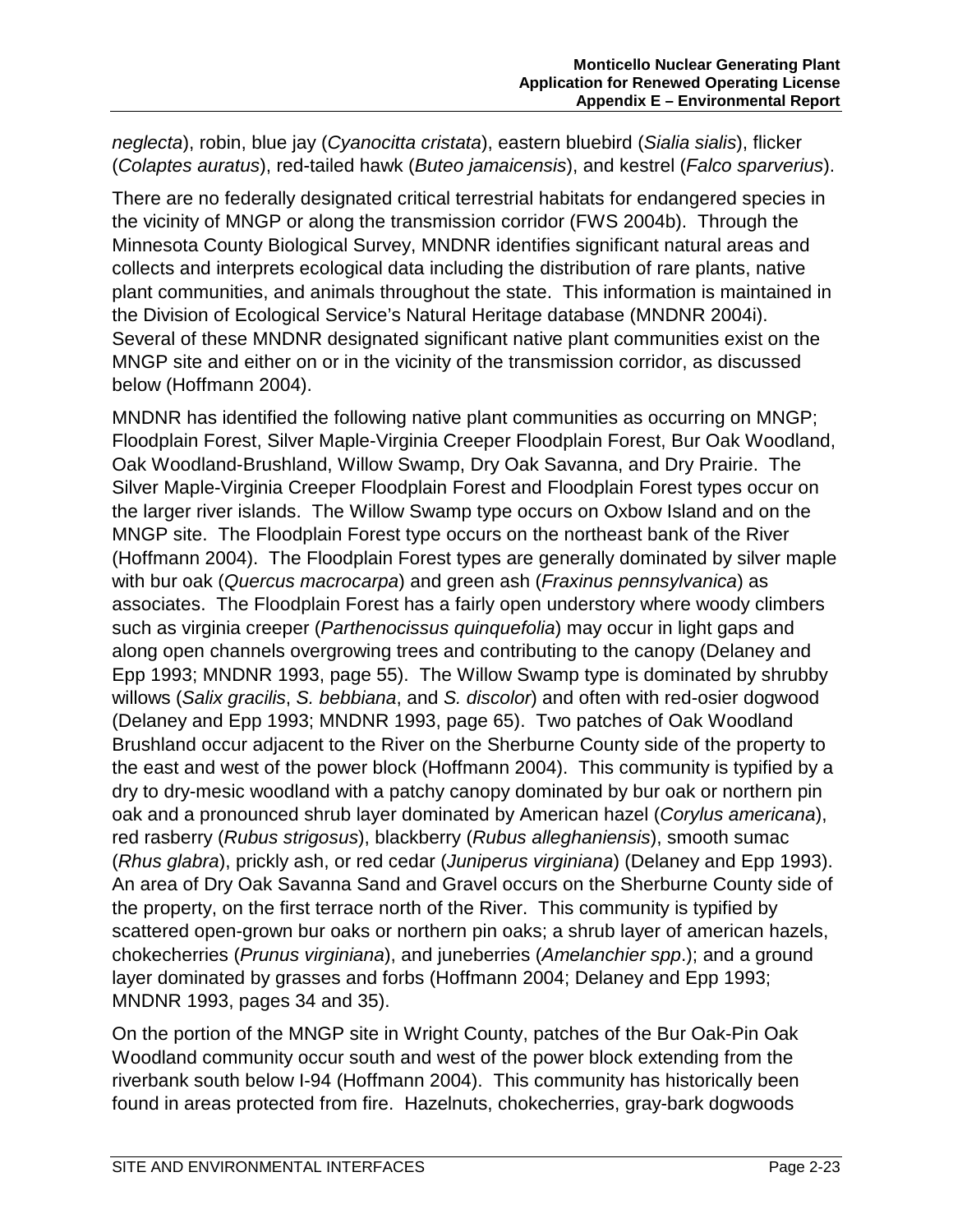*neglecta*), robin, blue jay (*Cyanocitta cristata*), eastern bluebird (*Sialia sialis*), flicker (*Colaptes auratus*), red-tailed hawk (*Buteo jamaicensis*), and kestrel (*Falco sparverius*).

There are no federally designated critical terrestrial habitats for endangered species in the vicinity of MNGP or along the transmission corridor (FWS 2004b). Through the Minnesota County Biological Survey, MNDNR identifies significant natural areas and collects and interprets ecological data including the distribution of rare plants, native plant communities, and animals throughout the state. This information is maintained in the Division of Ecological Service's Natural Heritage database (MNDNR 2004i). Several of these MNDNR designated significant native plant communities exist on the MNGP site and either on or in the vicinity of the transmission corridor, as discussed below (Hoffmann 2004).

MNDNR has identified the following native plant communities as occurring on MNGP; Floodplain Forest, Silver Maple-Virginia Creeper Floodplain Forest, Bur Oak Woodland, Oak Woodland-Brushland, Willow Swamp, Dry Oak Savanna, and Dry Prairie. The Silver Maple-Virginia Creeper Floodplain Forest and Floodplain Forest types occur on the larger river islands. The Willow Swamp type occurs on Oxbow Island and on the MNGP site. The Floodplain Forest type occurs on the northeast bank of the River (Hoffmann 2004). The Floodplain Forest types are generally dominated by silver maple with bur oak (*Quercus macrocarpa*) and green ash (*Fraxinus pennsylvanica*) as associates. The Floodplain Forest has a fairly open understory where woody climbers such as virginia creeper (*Parthenocissus quinquefolia*) may occur in light gaps and along open channels overgrowing trees and contributing to the canopy (Delaney and Epp 1993; MNDNR 1993, page 55). The Willow Swamp type is dominated by shrubby willows (*Salix gracilis*, *S. bebbiana*, and *S. discolor*) and often with red-osier dogwood (Delaney and Epp 1993; MNDNR 1993, page 65). Two patches of Oak Woodland Brushland occur adjacent to the River on the Sherburne County side of the property to the east and west of the power block (Hoffmann 2004). This community is typified by a dry to dry-mesic woodland with a patchy canopy dominated by bur oak or northern pin oak and a pronounced shrub layer dominated by American hazel (*Corylus americana*), red rasberry (*Rubus strigosus*), blackberry (*Rubus alleghaniensis*), smooth sumac (*Rhus glabra*), prickly ash, or red cedar (*Juniperus virginiana*) (Delaney and Epp 1993). An area of Dry Oak Savanna Sand and Gravel occurs on the Sherburne County side of the property, on the first terrace north of the River. This community is typified by scattered open-grown bur oaks or northern pin oaks; a shrub layer of american hazels, chokecherries (*Prunus virginiana*), and juneberries (*Amelanchier spp*.); and a ground layer dominated by grasses and forbs (Hoffmann 2004; Delaney and Epp 1993; MNDNR 1993, pages 34 and 35).

On the portion of the MNGP site in Wright County, patches of the Bur Oak-Pin Oak Woodland community occur south and west of the power block extending from the riverbank south below I-94 (Hoffmann 2004). This community has historically been found in areas protected from fire. Hazelnuts, chokecherries, gray-bark dogwoods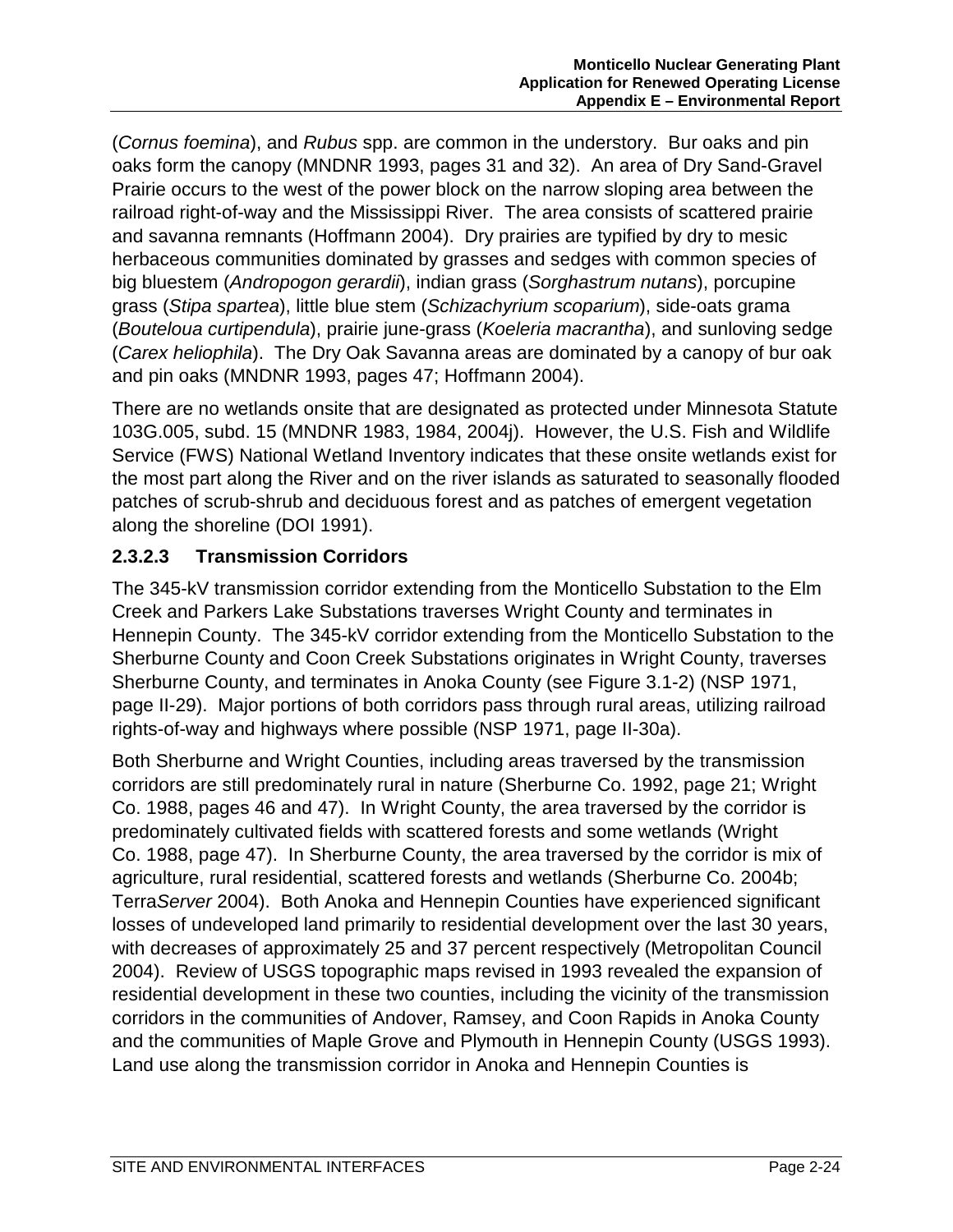(*Cornus foemina*), and *Rubus* spp. are common in the understory. Bur oaks and pin oaks form the canopy (MNDNR 1993, pages 31 and 32). An area of Dry Sand-Gravel Prairie occurs to the west of the power block on the narrow sloping area between the railroad right-of-way and the Mississippi River. The area consists of scattered prairie and savanna remnants (Hoffmann 2004). Dry prairies are typified by dry to mesic herbaceous communities dominated by grasses and sedges with common species of big bluestem (*Andropogon gerardii*), indian grass (*Sorghastrum nutans*), porcupine grass (*Stipa spartea*), little blue stem (*Schizachyrium scoparium*), side-oats grama (*Bouteloua curtipendula*), prairie june-grass (*Koeleria macrantha*), and sunloving sedge (*Carex heliophila*). The Dry Oak Savanna areas are dominated by a canopy of bur oak and pin oaks (MNDNR 1993, pages 47; Hoffmann 2004).

There are no wetlands onsite that are designated as protected under Minnesota Statute 103G.005, subd. 15 (MNDNR 1983, 1984, 2004j). However, the U.S. Fish and Wildlife Service (FWS) National Wetland Inventory indicates that these onsite wetlands exist for the most part along the River and on the river islands as saturated to seasonally flooded patches of scrub-shrub and deciduous forest and as patches of emergent vegetation along the shoreline (DOI 1991).

## **2.3.2.3 Transmission Corridors**

The 345-kV transmission corridor extending from the Monticello Substation to the Elm Creek and Parkers Lake Substations traverses Wright County and terminates in Hennepin County. The 345-kV corridor extending from the Monticello Substation to the Sherburne County and Coon Creek Substations originates in Wright County, traverses Sherburne County, and terminates in Anoka County (see Figure 3.1-2) (NSP 1971, page II-29). Major portions of both corridors pass through rural areas, utilizing railroad rights-of-way and highways where possible (NSP 1971, page II-30a).

Both Sherburne and Wright Counties, including areas traversed by the transmission corridors are still predominately rural in nature (Sherburne Co. 1992, page 21; Wright Co. 1988, pages 46 and 47). In Wright County, the area traversed by the corridor is predominately cultivated fields with scattered forests and some wetlands (Wright Co. 1988, page 47). In Sherburne County, the area traversed by the corridor is mix of agriculture, rural residential, scattered forests and wetlands (Sherburne Co. 2004b; Terra*Server* 2004). Both Anoka and Hennepin Counties have experienced significant losses of undeveloped land primarily to residential development over the last 30 years, with decreases of approximately 25 and 37 percent respectively (Metropolitan Council 2004). Review of USGS topographic maps revised in 1993 revealed the expansion of residential development in these two counties, including the vicinity of the transmission corridors in the communities of Andover, Ramsey, and Coon Rapids in Anoka County and the communities of Maple Grove and Plymouth in Hennepin County (USGS 1993). Land use along the transmission corridor in Anoka and Hennepin Counties is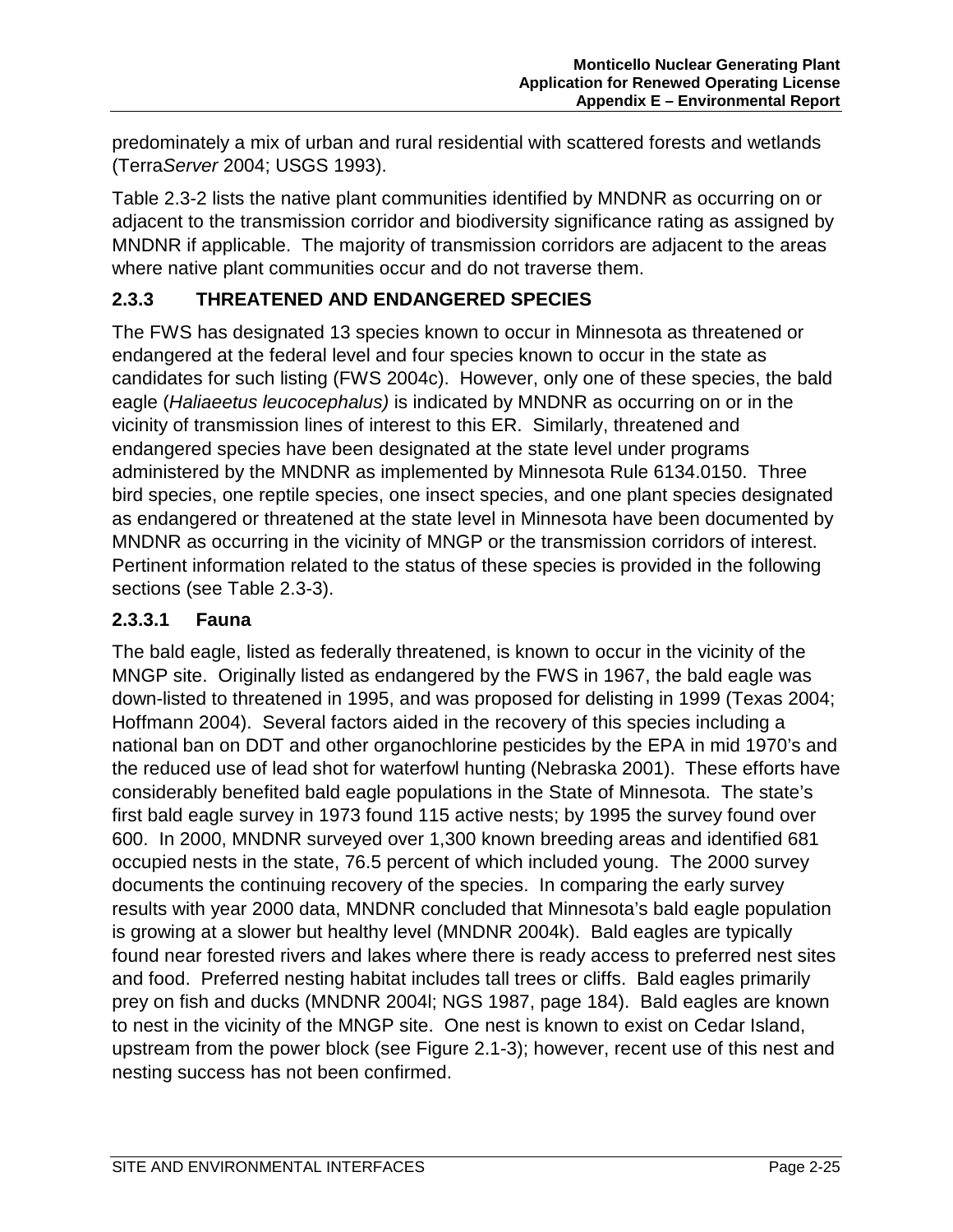predominately a mix of urban and rural residential with scattered forests and wetlands (Terra*Server* 2004; USGS 1993).

Table 2.3-2 lists the native plant communities identified by MNDNR as occurring on or adjacent to the transmission corridor and biodiversity significance rating as assigned by MNDNR if applicable. The majority of transmission corridors are adjacent to the areas where native plant communities occur and do not traverse them.

#### **2.3.3 THREATENED AND ENDANGERED SPECIES**

The FWS has designated 13 species known to occur in Minnesota as threatened or endangered at the federal level and four species known to occur in the state as candidates for such listing (FWS 2004c). However, only one of these species, the bald eagle (*Haliaeetus leucocephalus)* is indicated by MNDNR as occurring on or in the vicinity of transmission lines of interest to this ER. Similarly, threatened and endangered species have been designated at the state level under programs administered by the MNDNR as implemented by Minnesota Rule 6134.0150. Three bird species, one reptile species, one insect species, and one plant species designated as endangered or threatened at the state level in Minnesota have been documented by MNDNR as occurring in the vicinity of MNGP or the transmission corridors of interest. Pertinent information related to the status of these species is provided in the following sections (see Table 2.3-3).

#### **2.3.3.1 Fauna**

The bald eagle, listed as federally threatened, is known to occur in the vicinity of the MNGP site. Originally listed as endangered by the FWS in 1967, the bald eagle was down-listed to threatened in 1995, and was proposed for delisting in 1999 (Texas 2004; Hoffmann 2004). Several factors aided in the recovery of this species including a national ban on DDT and other organochlorine pesticides by the EPA in mid 1970's and the reduced use of lead shot for waterfowl hunting (Nebraska 2001). These efforts have considerably benefited bald eagle populations in the State of Minnesota. The state's first bald eagle survey in 1973 found 115 active nests; by 1995 the survey found over 600. In 2000, MNDNR surveyed over 1,300 known breeding areas and identified 681 occupied nests in the state, 76.5 percent of which included young. The 2000 survey documents the continuing recovery of the species. In comparing the early survey results with year 2000 data, MNDNR concluded that Minnesota's bald eagle population is growing at a slower but healthy level (MNDNR 2004k). Bald eagles are typically found near forested rivers and lakes where there is ready access to preferred nest sites and food. Preferred nesting habitat includes tall trees or cliffs. Bald eagles primarily prey on fish and ducks (MNDNR 2004l; NGS 1987, page 184). Bald eagles are known to nest in the vicinity of the MNGP site. One nest is known to exist on Cedar Island, upstream from the power block (see Figure 2.1-3); however, recent use of this nest and nesting success has not been confirmed.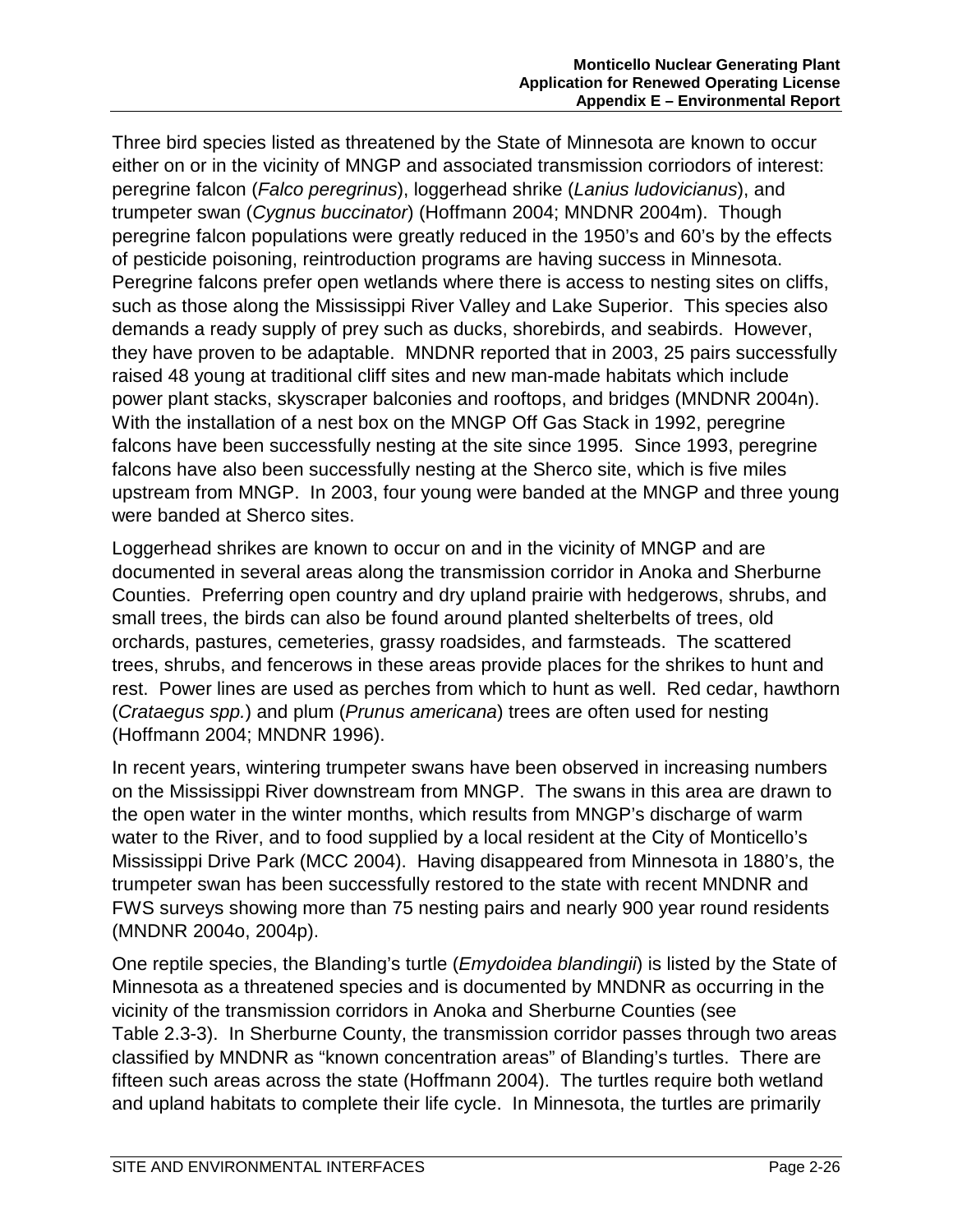Three bird species listed as threatened by the State of Minnesota are known to occur either on or in the vicinity of MNGP and associated transmission corriodors of interest: peregrine falcon (*Falco peregrinus*), loggerhead shrike (*Lanius ludovicianus*), and trumpeter swan (*Cygnus buccinator*) (Hoffmann 2004; MNDNR 2004m). Though peregrine falcon populations were greatly reduced in the 1950's and 60's by the effects of pesticide poisoning, reintroduction programs are having success in Minnesota. Peregrine falcons prefer open wetlands where there is access to nesting sites on cliffs, such as those along the Mississippi River Valley and Lake Superior. This species also demands a ready supply of prey such as ducks, shorebirds, and seabirds. However, they have proven to be adaptable. MNDNR reported that in 2003, 25 pairs successfully raised 48 young at traditional cliff sites and new man-made habitats which include power plant stacks, skyscraper balconies and rooftops, and bridges (MNDNR 2004n). With the installation of a nest box on the MNGP Off Gas Stack in 1992, peregrine falcons have been successfully nesting at the site since 1995. Since 1993, peregrine falcons have also been successfully nesting at the Sherco site, which is five miles upstream from MNGP. In 2003, four young were banded at the MNGP and three young were banded at Sherco sites.

Loggerhead shrikes are known to occur on and in the vicinity of MNGP and are documented in several areas along the transmission corridor in Anoka and Sherburne Counties. Preferring open country and dry upland prairie with hedgerows, shrubs, and small trees, the birds can also be found around planted shelterbelts of trees, old orchards, pastures, cemeteries, grassy roadsides, and farmsteads. The scattered trees, shrubs, and fencerows in these areas provide places for the shrikes to hunt and rest. Power lines are used as perches from which to hunt as well. Red cedar, hawthorn (*Crataegus spp.*) and plum (*Prunus americana*) trees are often used for nesting (Hoffmann 2004; MNDNR 1996).

In recent years, wintering trumpeter swans have been observed in increasing numbers on the Mississippi River downstream from MNGP. The swans in this area are drawn to the open water in the winter months, which results from MNGP's discharge of warm water to the River, and to food supplied by a local resident at the City of Monticello's Mississippi Drive Park (MCC 2004). Having disappeared from Minnesota in 1880's, the trumpeter swan has been successfully restored to the state with recent MNDNR and FWS surveys showing more than 75 nesting pairs and nearly 900 year round residents (MNDNR 2004o, 2004p).

One reptile species, the Blanding's turtle (*Emydoidea blandingii*) is listed by the State of Minnesota as a threatened species and is documented by MNDNR as occurring in the vicinity of the transmission corridors in Anoka and Sherburne Counties (see Table 2.3-3). In Sherburne County, the transmission corridor passes through two areas classified by MNDNR as "known concentration areas" of Blanding's turtles. There are fifteen such areas across the state (Hoffmann 2004). The turtles require both wetland and upland habitats to complete their life cycle. In Minnesota, the turtles are primarily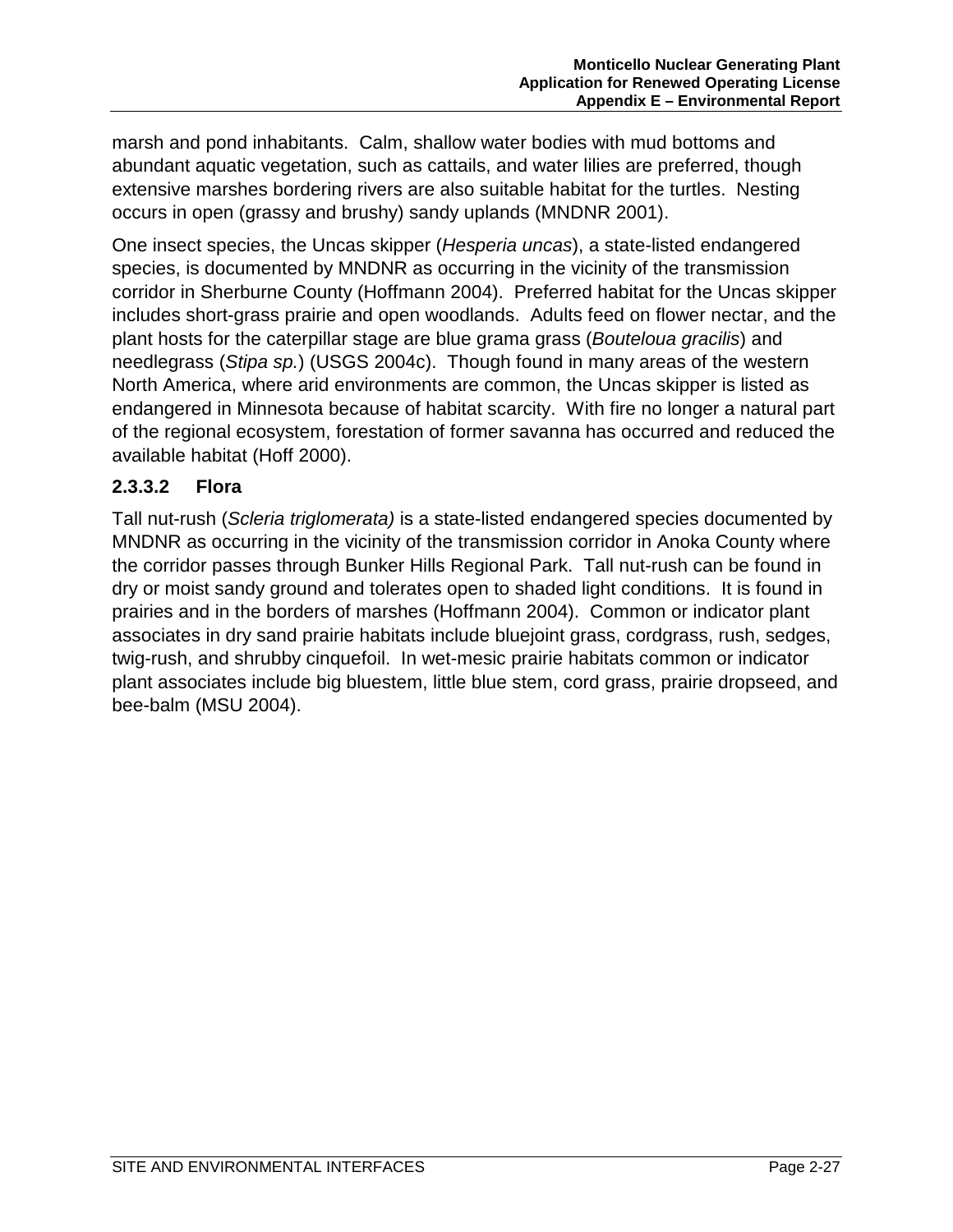marsh and pond inhabitants. Calm, shallow water bodies with mud bottoms and abundant aquatic vegetation, such as cattails, and water lilies are preferred, though extensive marshes bordering rivers are also suitable habitat for the turtles. Nesting occurs in open (grassy and brushy) sandy uplands (MNDNR 2001).

One insect species, the Uncas skipper (*Hesperia uncas*), a state-listed endangered species, is documented by MNDNR as occurring in the vicinity of the transmission corridor in Sherburne County (Hoffmann 2004). Preferred habitat for the Uncas skipper includes short-grass prairie and open woodlands. Adults feed on flower nectar, and the plant hosts for the caterpillar stage are blue grama grass (*Bouteloua gracilis*) and needlegrass (*Stipa sp.*) (USGS 2004c). Though found in many areas of the western North America, where arid environments are common, the Uncas skipper is listed as endangered in Minnesota because of habitat scarcity. With fire no longer a natural part of the regional ecosystem, forestation of former savanna has occurred and reduced the available habitat (Hoff 2000).

#### **2.3.3.2 Flora**

Tall nut-rush (*Scleria triglomerata)* is a state-listed endangered species documented by MNDNR as occurring in the vicinity of the transmission corridor in Anoka County where the corridor passes through Bunker Hills Regional Park. Tall nut-rush can be found in dry or moist sandy ground and tolerates open to shaded light conditions. It is found in prairies and in the borders of marshes (Hoffmann 2004). Common or indicator plant associates in dry sand prairie habitats include bluejoint grass, cordgrass, rush, sedges, twig-rush, and shrubby cinquefoil. In wet-mesic prairie habitats common or indicator plant associates include big bluestem, little blue stem, cord grass, prairie dropseed, and bee-balm (MSU 2004).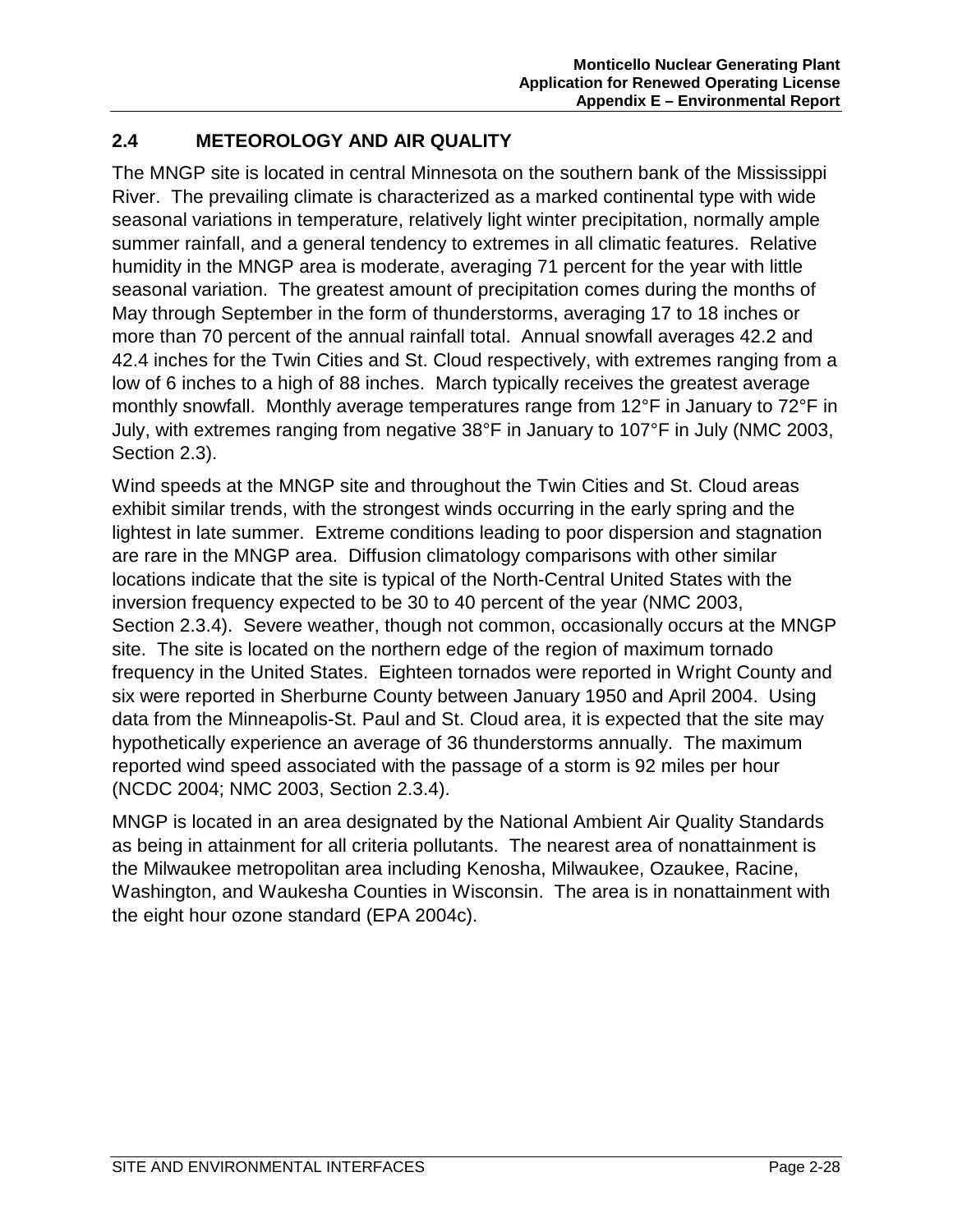## **2.4 METEOROLOGY AND AIR QUALITY**

The MNGP site is located in central Minnesota on the southern bank of the Mississippi River. The prevailing climate is characterized as a marked continental type with wide seasonal variations in temperature, relatively light winter precipitation, normally ample summer rainfall, and a general tendency to extremes in all climatic features. Relative humidity in the MNGP area is moderate, averaging 71 percent for the year with little seasonal variation. The greatest amount of precipitation comes during the months of May through September in the form of thunderstorms, averaging 17 to 18 inches or more than 70 percent of the annual rainfall total. Annual snowfall averages 42.2 and 42.4 inches for the Twin Cities and St. Cloud respectively, with extremes ranging from a low of 6 inches to a high of 88 inches. March typically receives the greatest average monthly snowfall. Monthly average temperatures range from 12°F in January to 72°F in July, with extremes ranging from negative 38°F in January to 107°F in July (NMC 2003, Section 2.3).

Wind speeds at the MNGP site and throughout the Twin Cities and St. Cloud areas exhibit similar trends, with the strongest winds occurring in the early spring and the lightest in late summer. Extreme conditions leading to poor dispersion and stagnation are rare in the MNGP area. Diffusion climatology comparisons with other similar locations indicate that the site is typical of the North-Central United States with the inversion frequency expected to be 30 to 40 percent of the year (NMC 2003, Section 2.3.4). Severe weather, though not common, occasionally occurs at the MNGP site. The site is located on the northern edge of the region of maximum tornado frequency in the United States. Eighteen tornados were reported in Wright County and six were reported in Sherburne County between January 1950 and April 2004. Using data from the Minneapolis-St. Paul and St. Cloud area, it is expected that the site may hypothetically experience an average of 36 thunderstorms annually. The maximum reported wind speed associated with the passage of a storm is 92 miles per hour (NCDC 2004; NMC 2003, Section 2.3.4).

MNGP is located in an area designated by the National Ambient Air Quality Standards as being in attainment for all criteria pollutants. The nearest area of nonattainment is the Milwaukee metropolitan area including Kenosha, Milwaukee, Ozaukee, Racine, Washington, and Waukesha Counties in Wisconsin. The area is in nonattainment with the eight hour ozone standard (EPA 2004c).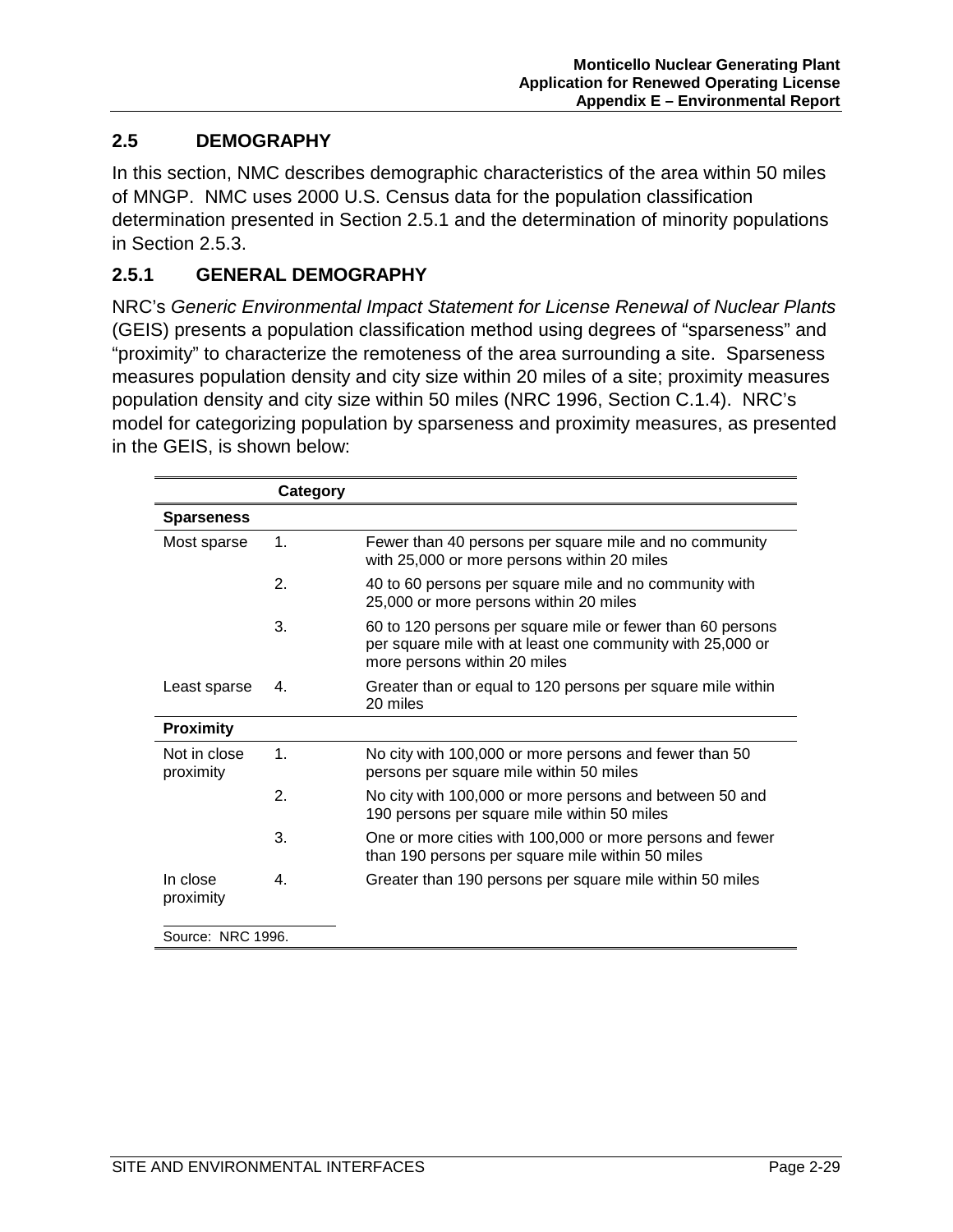#### **2.5 DEMOGRAPHY**

In this section, NMC describes demographic characteristics of the area within 50 miles of MNGP. NMC uses 2000 U.S. Census data for the population classification determination presented in Section 2.5.1 and the determination of minority populations in Section 2.5.3.

#### **2.5.1 GENERAL DEMOGRAPHY**

NRC's *Generic Environmental Impact Statement for License Renewal of Nuclear Plants* (GEIS) presents a population classification method using degrees of "sparseness" and "proximity" to characterize the remoteness of the area surrounding a site. Sparseness measures population density and city size within 20 miles of a site; proximity measures population density and city size within 50 miles (NRC 1996, Section C.1.4). NRC's model for categorizing population by sparseness and proximity measures, as presented in the GEIS, is shown below:

|                           | Category      |                                                                                                                                                          |
|---------------------------|---------------|----------------------------------------------------------------------------------------------------------------------------------------------------------|
| <b>Sparseness</b>         |               |                                                                                                                                                          |
| Most sparse               | $\mathbf 1$ . | Fewer than 40 persons per square mile and no community<br>with 25,000 or more persons within 20 miles                                                    |
|                           | 2.            | 40 to 60 persons per square mile and no community with<br>25,000 or more persons within 20 miles                                                         |
|                           | 3.            | 60 to 120 persons per square mile or fewer than 60 persons<br>per square mile with at least one community with 25,000 or<br>more persons within 20 miles |
| Least sparse              | 4.            | Greater than or equal to 120 persons per square mile within<br>20 miles                                                                                  |
| <b>Proximity</b>          |               |                                                                                                                                                          |
| Not in close<br>proximity | $\mathbf 1$ . | No city with 100,000 or more persons and fewer than 50<br>persons per square mile within 50 miles                                                        |
|                           | 2.            | No city with 100,000 or more persons and between 50 and<br>190 persons per square mile within 50 miles                                                   |
|                           | 3.            | One or more cities with 100,000 or more persons and fewer<br>than 190 persons per square mile within 50 miles                                            |
| In close<br>proximity     | 4.            | Greater than 190 persons per square mile within 50 miles                                                                                                 |
| Source: NRC 1996.         |               |                                                                                                                                                          |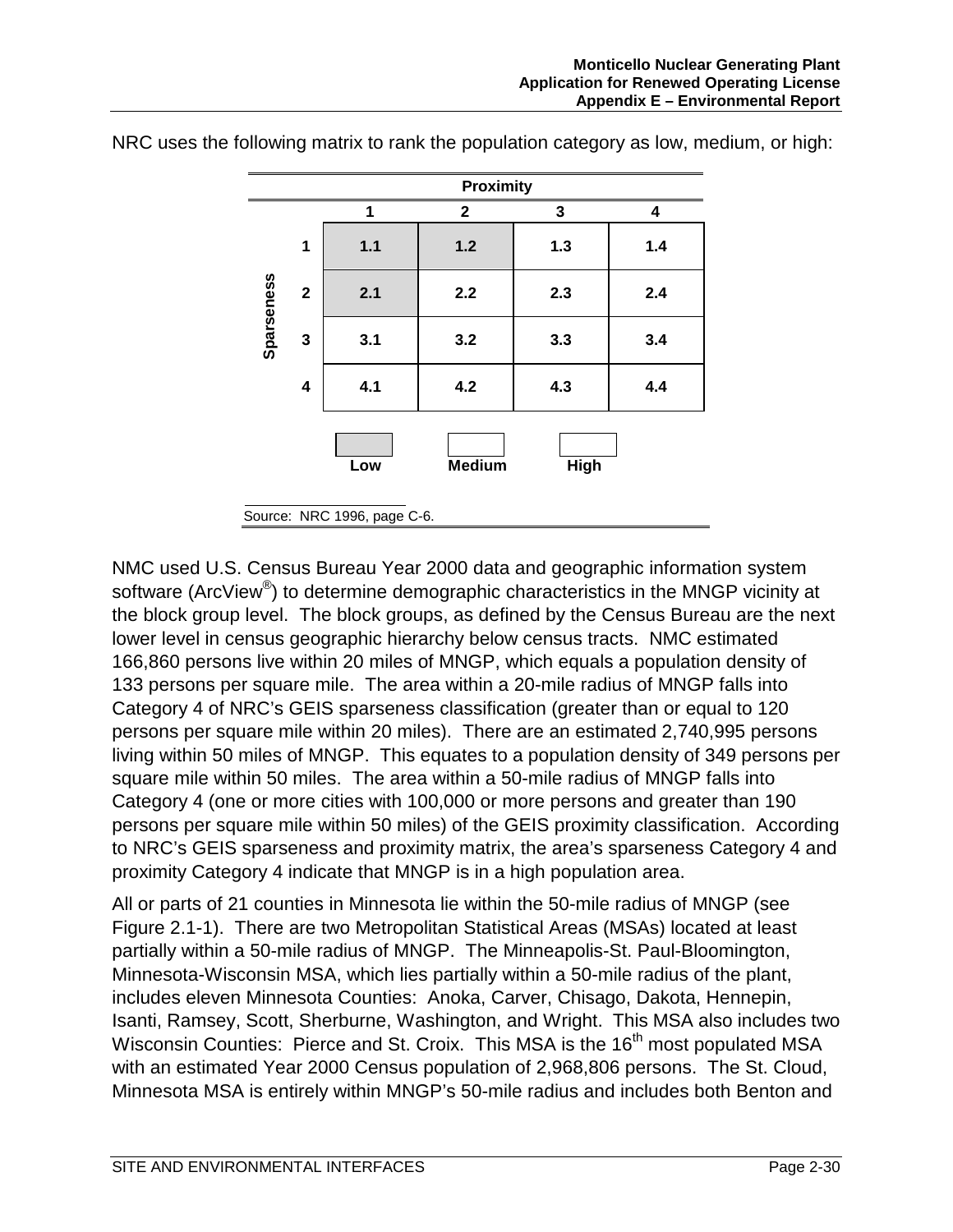

NRC uses the following matrix to rank the population category as low, medium, or high:

NMC used U.S. Census Bureau Year 2000 data and geographic information system software (ArcView<sup>®</sup>) to determine demographic characteristics in the MNGP vicinity at the block group level. The block groups, as defined by the Census Bureau are the next lower level in census geographic hierarchy below census tracts. NMC estimated 166,860 persons live within 20 miles of MNGP, which equals a population density of 133 persons per square mile. The area within a 20-mile radius of MNGP falls into Category 4 of NRC's GEIS sparseness classification (greater than or equal to 120 persons per square mile within 20 miles). There are an estimated 2,740,995 persons living within 50 miles of MNGP. This equates to a population density of 349 persons per square mile within 50 miles. The area within a 50-mile radius of MNGP falls into Category 4 (one or more cities with 100,000 or more persons and greater than 190 persons per square mile within 50 miles) of the GEIS proximity classification. According to NRC's GEIS sparseness and proximity matrix, the area's sparseness Category 4 and proximity Category 4 indicate that MNGP is in a high population area.

All or parts of 21 counties in Minnesota lie within the 50-mile radius of MNGP (see Figure 2.1-1). There are two Metropolitan Statistical Areas (MSAs) located at least partially within a 50-mile radius of MNGP. The Minneapolis-St. Paul-Bloomington, Minnesota-Wisconsin MSA, which lies partially within a 50-mile radius of the plant, includes eleven Minnesota Counties: Anoka, Carver, Chisago, Dakota, Hennepin, Isanti, Ramsey, Scott, Sherburne, Washington, and Wright. This MSA also includes two Wisconsin Counties: Pierce and St. Croix. This MSA is the 16<sup>th</sup> most populated MSA with an estimated Year 2000 Census population of 2,968,806 persons. The St. Cloud, Minnesota MSA is entirely within MNGP's 50-mile radius and includes both Benton and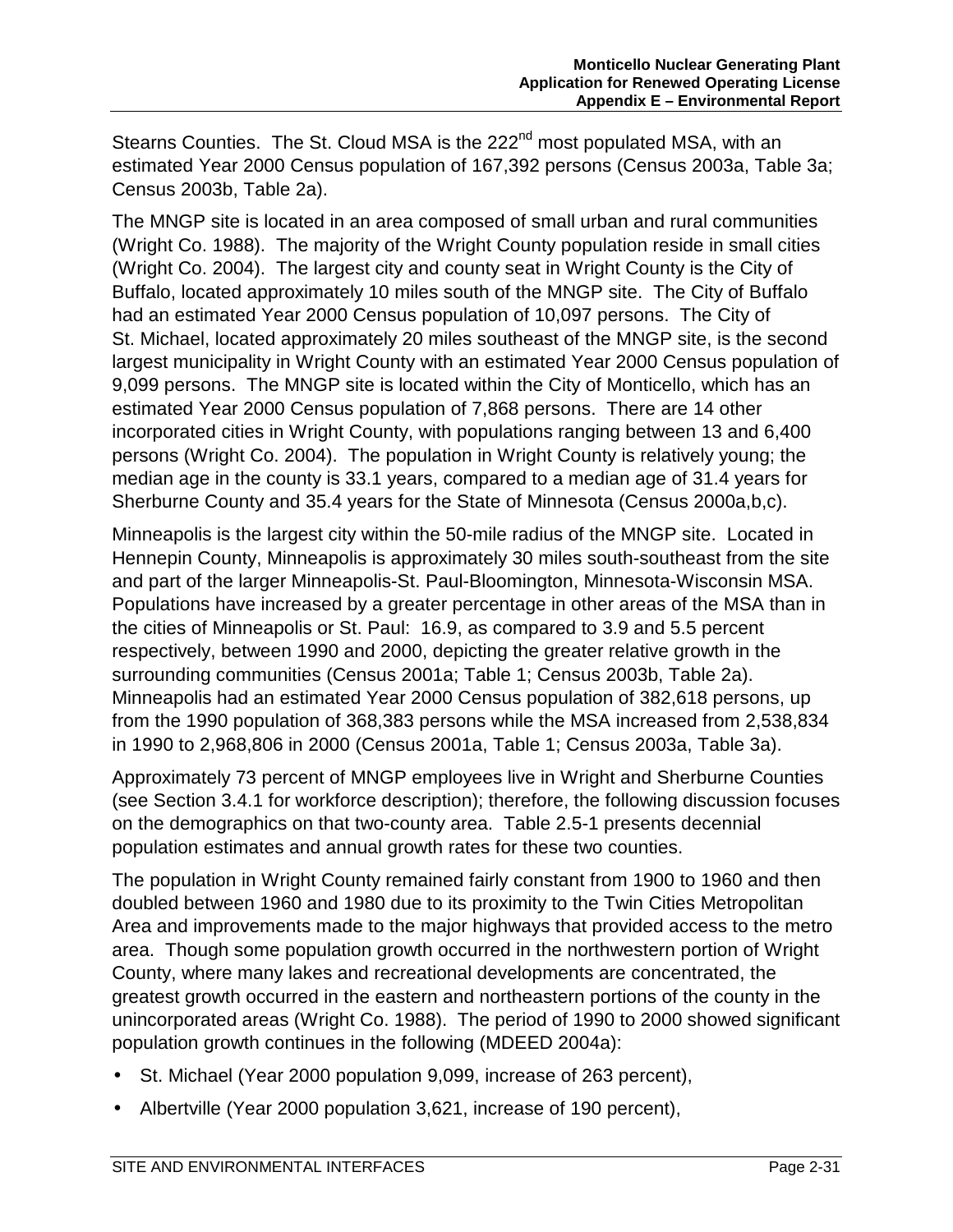Stearns Counties. The St. Cloud MSA is the 222<sup>nd</sup> most populated MSA, with an estimated Year 2000 Census population of 167,392 persons (Census 2003a, Table 3a; Census 2003b, Table 2a).

The MNGP site is located in an area composed of small urban and rural communities (Wright Co. 1988). The majority of the Wright County population reside in small cities (Wright Co. 2004). The largest city and county seat in Wright County is the City of Buffalo, located approximately 10 miles south of the MNGP site. The City of Buffalo had an estimated Year 2000 Census population of 10,097 persons. The City of St. Michael, located approximately 20 miles southeast of the MNGP site, is the second largest municipality in Wright County with an estimated Year 2000 Census population of 9,099 persons. The MNGP site is located within the City of Monticello, which has an estimated Year 2000 Census population of 7,868 persons. There are 14 other incorporated cities in Wright County, with populations ranging between 13 and 6,400 persons (Wright Co. 2004). The population in Wright County is relatively young; the median age in the county is 33.1 years, compared to a median age of 31.4 years for Sherburne County and 35.4 years for the State of Minnesota (Census 2000a,b,c).

Minneapolis is the largest city within the 50-mile radius of the MNGP site. Located in Hennepin County, Minneapolis is approximately 30 miles south-southeast from the site and part of the larger Minneapolis-St. Paul-Bloomington, Minnesota-Wisconsin MSA. Populations have increased by a greater percentage in other areas of the MSA than in the cities of Minneapolis or St. Paul: 16.9, as compared to 3.9 and 5.5 percent respectively, between 1990 and 2000, depicting the greater relative growth in the surrounding communities (Census 2001a; Table 1; Census 2003b, Table 2a). Minneapolis had an estimated Year 2000 Census population of 382,618 persons, up from the 1990 population of 368,383 persons while the MSA increased from 2,538,834 in 1990 to 2,968,806 in 2000 (Census 2001a, Table 1; Census 2003a, Table 3a).

Approximately 73 percent of MNGP employees live in Wright and Sherburne Counties (see Section 3.4.1 for workforce description); therefore, the following discussion focuses on the demographics on that two-county area. Table 2.5-1 presents decennial population estimates and annual growth rates for these two counties.

The population in Wright County remained fairly constant from 1900 to 1960 and then doubled between 1960 and 1980 due to its proximity to the Twin Cities Metropolitan Area and improvements made to the major highways that provided access to the metro area. Though some population growth occurred in the northwestern portion of Wright County, where many lakes and recreational developments are concentrated, the greatest growth occurred in the eastern and northeastern portions of the county in the unincorporated areas (Wright Co. 1988). The period of 1990 to 2000 showed significant population growth continues in the following (MDEED 2004a):

- St. Michael (Year 2000 population 9,099, increase of 263 percent),
- Albertville (Year 2000 population 3,621, increase of 190 percent),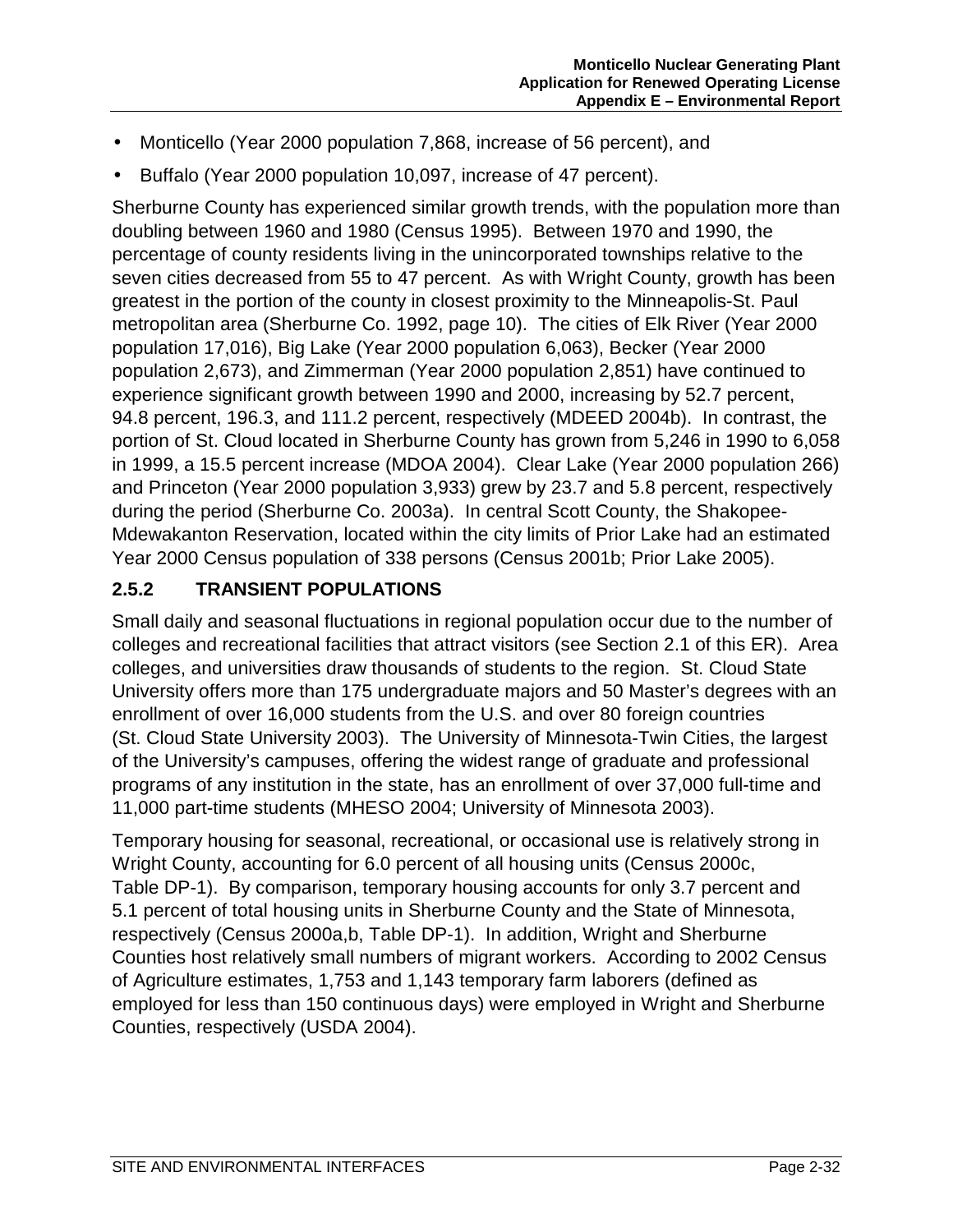- Monticello (Year 2000 population 7,868, increase of 56 percent), and
- Buffalo (Year 2000 population 10,097, increase of 47 percent).

Sherburne County has experienced similar growth trends, with the population more than doubling between 1960 and 1980 (Census 1995). Between 1970 and 1990, the percentage of county residents living in the unincorporated townships relative to the seven cities decreased from 55 to 47 percent. As with Wright County, growth has been greatest in the portion of the county in closest proximity to the Minneapolis-St. Paul metropolitan area (Sherburne Co. 1992, page 10). The cities of Elk River (Year 2000 population 17,016), Big Lake (Year 2000 population 6,063), Becker (Year 2000 population 2,673), and Zimmerman (Year 2000 population 2,851) have continued to experience significant growth between 1990 and 2000, increasing by 52.7 percent, 94.8 percent, 196.3, and 111.2 percent, respectively (MDEED 2004b). In contrast, the portion of St. Cloud located in Sherburne County has grown from 5,246 in 1990 to 6,058 in 1999, a 15.5 percent increase (MDOA 2004). Clear Lake (Year 2000 population 266) and Princeton (Year 2000 population 3,933) grew by 23.7 and 5.8 percent, respectively during the period (Sherburne Co. 2003a). In central Scott County, the Shakopee-Mdewakanton Reservation, located within the city limits of Prior Lake had an estimated Year 2000 Census population of 338 persons (Census 2001b; Prior Lake 2005).

#### **2.5.2 TRANSIENT POPULATIONS**

Small daily and seasonal fluctuations in regional population occur due to the number of colleges and recreational facilities that attract visitors (see Section 2.1 of this ER). Area colleges, and universities draw thousands of students to the region. St. Cloud State University offers more than 175 undergraduate majors and 50 Master's degrees with an enrollment of over 16,000 students from the U.S. and over 80 foreign countries (St. Cloud State University 2003). The University of Minnesota-Twin Cities, the largest of the University's campuses, offering the widest range of graduate and professional programs of any institution in the state, has an enrollment of over 37,000 full-time and 11,000 part-time students (MHESO 2004; University of Minnesota 2003).

Temporary housing for seasonal, recreational, or occasional use is relatively strong in Wright County, accounting for 6.0 percent of all housing units (Census 2000c, Table DP-1). By comparison, temporary housing accounts for only 3.7 percent and 5.1 percent of total housing units in Sherburne County and the State of Minnesota, respectively (Census 2000a,b, Table DP-1). In addition, Wright and Sherburne Counties host relatively small numbers of migrant workers. According to 2002 Census of Agriculture estimates, 1,753 and 1,143 temporary farm laborers (defined as employed for less than 150 continuous days) were employed in Wright and Sherburne Counties, respectively (USDA 2004).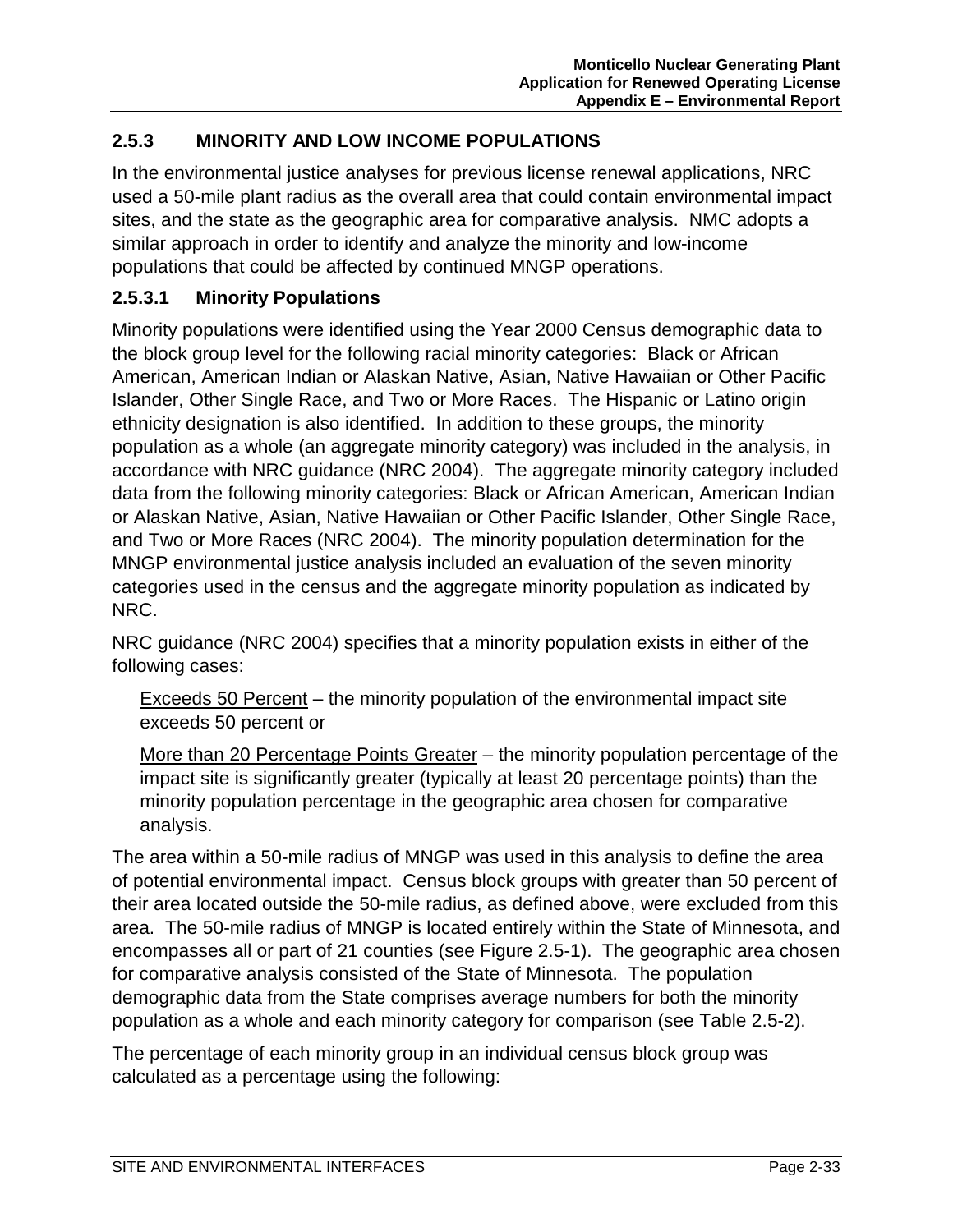## **2.5.3 MINORITY AND LOW INCOME POPULATIONS**

In the environmental justice analyses for previous license renewal applications, NRC used a 50-mile plant radius as the overall area that could contain environmental impact sites, and the state as the geographic area for comparative analysis. NMC adopts a similar approach in order to identify and analyze the minority and low-income populations that could be affected by continued MNGP operations.

#### **2.5.3.1 Minority Populations**

Minority populations were identified using the Year 2000 Census demographic data to the block group level for the following racial minority categories: Black or African American, American Indian or Alaskan Native, Asian, Native Hawaiian or Other Pacific Islander, Other Single Race, and Two or More Races. The Hispanic or Latino origin ethnicity designation is also identified. In addition to these groups, the minority population as a whole (an aggregate minority category) was included in the analysis, in accordance with NRC guidance (NRC 2004). The aggregate minority category included data from the following minority categories: Black or African American, American Indian or Alaskan Native, Asian, Native Hawaiian or Other Pacific Islander, Other Single Race, and Two or More Races (NRC 2004). The minority population determination for the MNGP environmental justice analysis included an evaluation of the seven minority categories used in the census and the aggregate minority population as indicated by NRC.

NRC guidance (NRC 2004) specifies that a minority population exists in either of the following cases:

Exceeds 50 Percent – the minority population of the environmental impact site exceeds 50 percent or

More than 20 Percentage Points Greater – the minority population percentage of the impact site is significantly greater (typically at least 20 percentage points) than the minority population percentage in the geographic area chosen for comparative analysis.

The area within a 50-mile radius of MNGP was used in this analysis to define the area of potential environmental impact. Census block groups with greater than 50 percent of their area located outside the 50-mile radius, as defined above, were excluded from this area. The 50-mile radius of MNGP is located entirely within the State of Minnesota, and encompasses all or part of 21 counties (see Figure 2.5-1). The geographic area chosen for comparative analysis consisted of the State of Minnesota. The population demographic data from the State comprises average numbers for both the minority population as a whole and each minority category for comparison (see Table 2.5-2).

The percentage of each minority group in an individual census block group was calculated as a percentage using the following: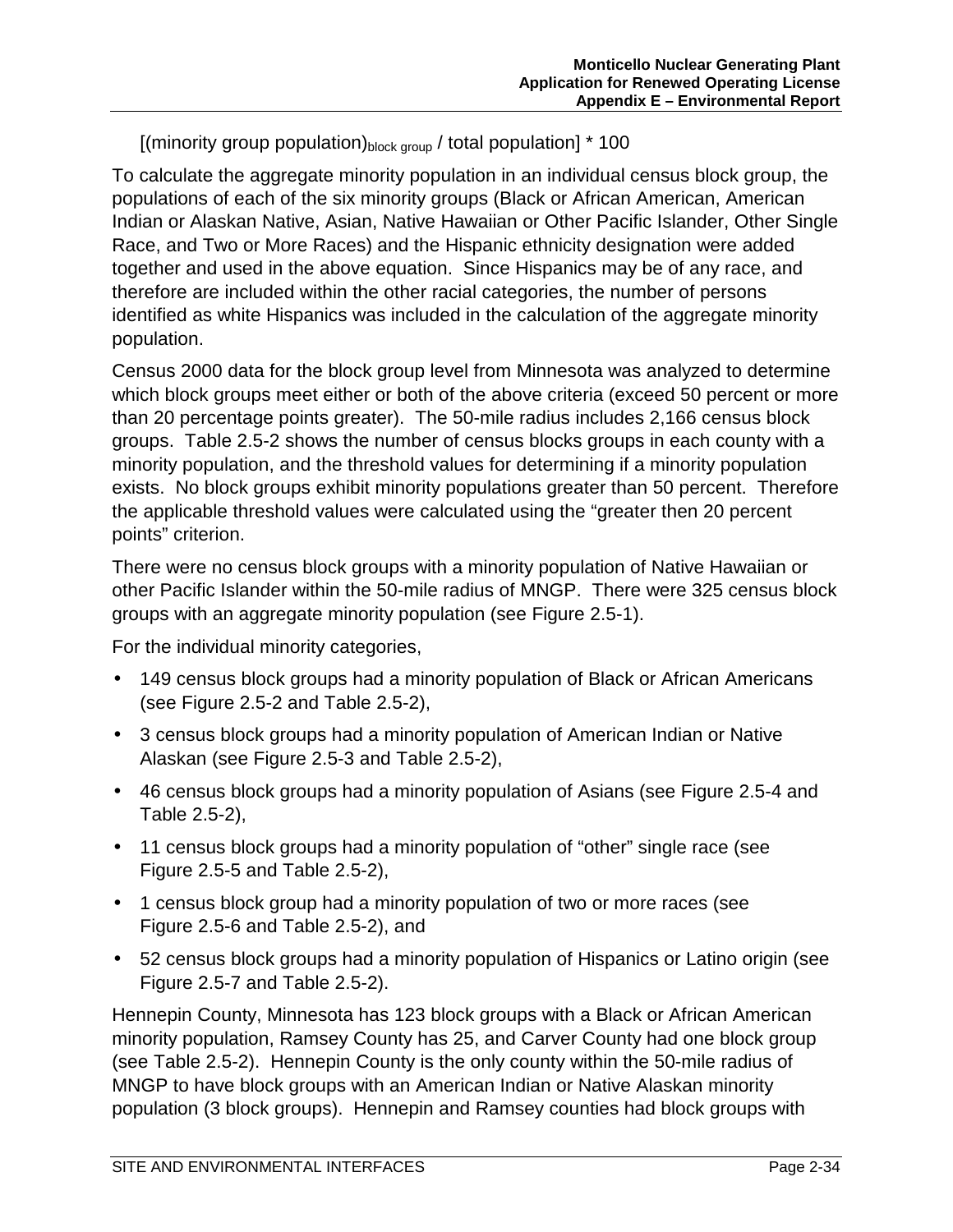[(minority group population) $_{\text{block group}}$  / total population]  $*$  100

To calculate the aggregate minority population in an individual census block group, the populations of each of the six minority groups (Black or African American, American Indian or Alaskan Native, Asian, Native Hawaiian or Other Pacific Islander, Other Single Race, and Two or More Races) and the Hispanic ethnicity designation were added together and used in the above equation. Since Hispanics may be of any race, and therefore are included within the other racial categories, the number of persons identified as white Hispanics was included in the calculation of the aggregate minority population.

Census 2000 data for the block group level from Minnesota was analyzed to determine which block groups meet either or both of the above criteria (exceed 50 percent or more than 20 percentage points greater). The 50-mile radius includes 2,166 census block groups. Table 2.5-2 shows the number of census blocks groups in each county with a minority population, and the threshold values for determining if a minority population exists. No block groups exhibit minority populations greater than 50 percent. Therefore the applicable threshold values were calculated using the "greater then 20 percent points" criterion.

There were no census block groups with a minority population of Native Hawaiian or other Pacific Islander within the 50-mile radius of MNGP. There were 325 census block groups with an aggregate minority population (see Figure 2.5-1).

For the individual minority categories,

- 149 census block groups had a minority population of Black or African Americans (see Figure 2.5-2 and Table 2.5-2),
- 3 census block groups had a minority population of American Indian or Native Alaskan (see Figure 2.5-3 and Table 2.5-2),
- 46 census block groups had a minority population of Asians (see Figure 2.5-4 and Table 2.5-2),
- 11 census block groups had a minority population of "other" single race (see Figure 2.5-5 and Table 2.5-2),
- 1 census block group had a minority population of two or more races (see Figure 2.5-6 and Table 2.5-2), and
- 52 census block groups had a minority population of Hispanics or Latino origin (see Figure 2.5-7 and Table 2.5-2).

Hennepin County, Minnesota has 123 block groups with a Black or African American minority population, Ramsey County has 25, and Carver County had one block group (see Table 2.5-2). Hennepin County is the only county within the 50-mile radius of MNGP to have block groups with an American Indian or Native Alaskan minority population (3 block groups). Hennepin and Ramsey counties had block groups with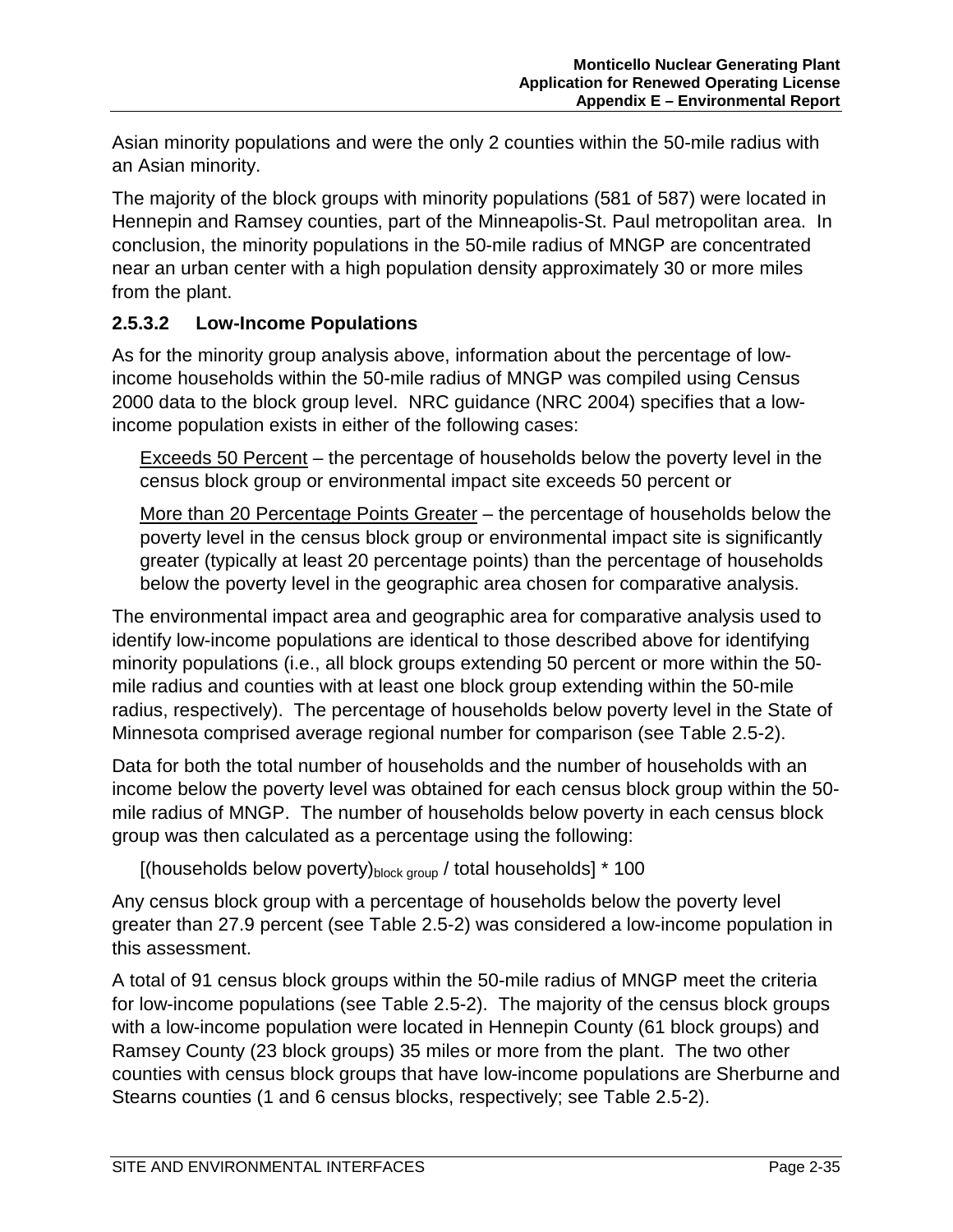Asian minority populations and were the only 2 counties within the 50-mile radius with an Asian minority.

The majority of the block groups with minority populations (581 of 587) were located in Hennepin and Ramsey counties, part of the Minneapolis-St. Paul metropolitan area. In conclusion, the minority populations in the 50-mile radius of MNGP are concentrated near an urban center with a high population density approximately 30 or more miles from the plant.

#### **2.5.3.2 Low-Income Populations**

As for the minority group analysis above, information about the percentage of lowincome households within the 50-mile radius of MNGP was compiled using Census 2000 data to the block group level. NRC guidance (NRC 2004) specifies that a lowincome population exists in either of the following cases:

Exceeds 50 Percent – the percentage of households below the poverty level in the census block group or environmental impact site exceeds 50 percent or

More than 20 Percentage Points Greater – the percentage of households below the poverty level in the census block group or environmental impact site is significantly greater (typically at least 20 percentage points) than the percentage of households below the poverty level in the geographic area chosen for comparative analysis.

The environmental impact area and geographic area for comparative analysis used to identify low-income populations are identical to those described above for identifying minority populations (i.e., all block groups extending 50 percent or more within the 50 mile radius and counties with at least one block group extending within the 50-mile radius, respectively). The percentage of households below poverty level in the State of Minnesota comprised average regional number for comparison (see Table 2.5-2).

Data for both the total number of households and the number of households with an income below the poverty level was obtained for each census block group within the 50 mile radius of MNGP. The number of households below poverty in each census block group was then calculated as a percentage using the following:

[(households below poverty) $_{\text{block group}}/$  total households]  $*$  100

Any census block group with a percentage of households below the poverty level greater than 27.9 percent (see Table 2.5-2) was considered a low-income population in this assessment.

A total of 91 census block groups within the 50-mile radius of MNGP meet the criteria for low-income populations (see Table 2.5-2). The majority of the census block groups with a low-income population were located in Hennepin County (61 block groups) and Ramsey County (23 block groups) 35 miles or more from the plant. The two other counties with census block groups that have low-income populations are Sherburne and Stearns counties (1 and 6 census blocks, respectively; see Table 2.5-2).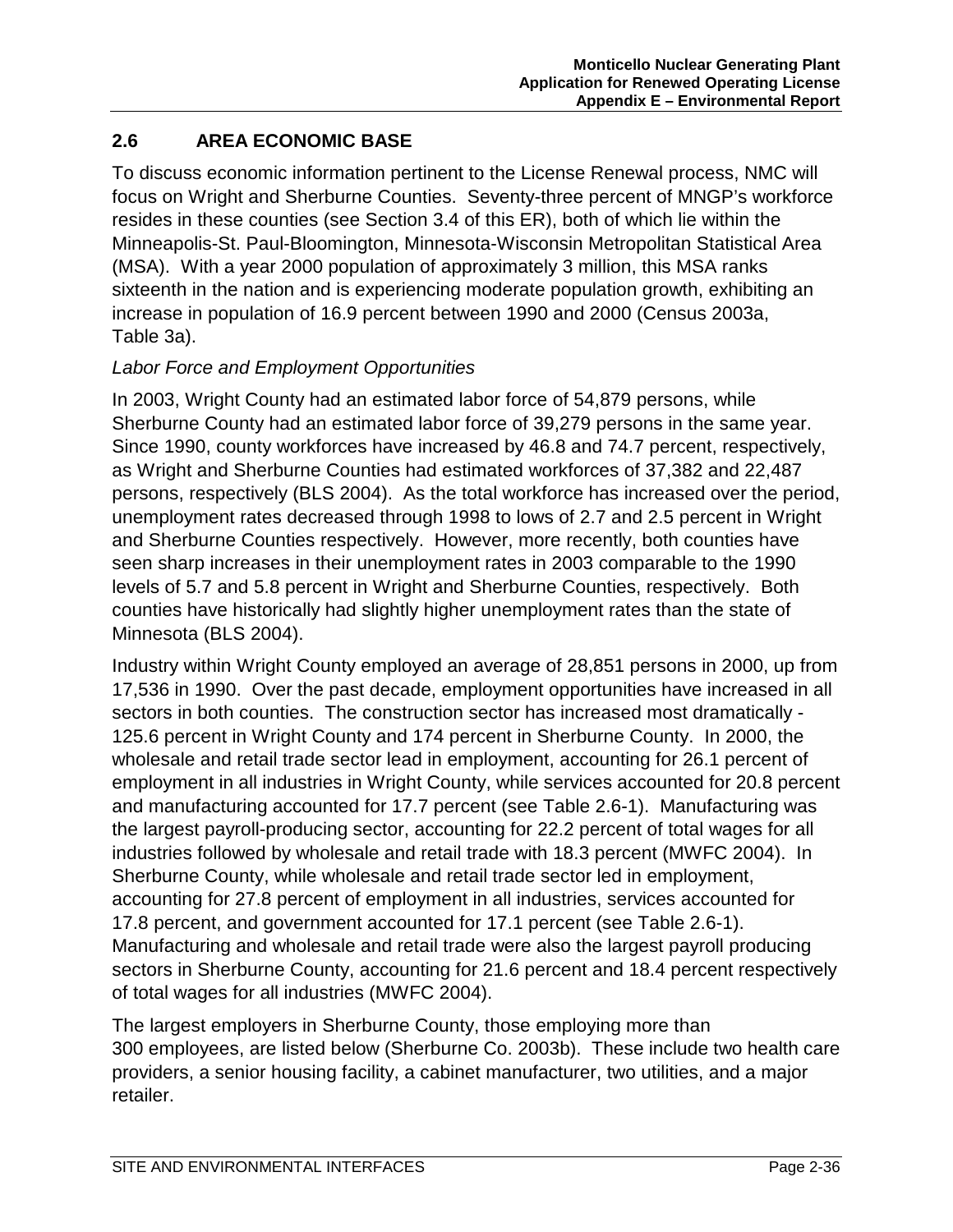## **2.6 AREA ECONOMIC BASE**

To discuss economic information pertinent to the License Renewal process, NMC will focus on Wright and Sherburne Counties. Seventy-three percent of MNGP's workforce resides in these counties (see Section 3.4 of this ER), both of which lie within the Minneapolis-St. Paul-Bloomington, Minnesota-Wisconsin Metropolitan Statistical Area (MSA). With a year 2000 population of approximately 3 million, this MSA ranks sixteenth in the nation and is experiencing moderate population growth, exhibiting an increase in population of 16.9 percent between 1990 and 2000 (Census 2003a, Table 3a).

#### *Labor Force and Employment Opportunities*

In 2003, Wright County had an estimated labor force of 54,879 persons, while Sherburne County had an estimated labor force of 39,279 persons in the same year. Since 1990, county workforces have increased by 46.8 and 74.7 percent, respectively, as Wright and Sherburne Counties had estimated workforces of 37,382 and 22,487 persons, respectively (BLS 2004). As the total workforce has increased over the period, unemployment rates decreased through 1998 to lows of 2.7 and 2.5 percent in Wright and Sherburne Counties respectively. However, more recently, both counties have seen sharp increases in their unemployment rates in 2003 comparable to the 1990 levels of 5.7 and 5.8 percent in Wright and Sherburne Counties, respectively. Both counties have historically had slightly higher unemployment rates than the state of Minnesota (BLS 2004).

Industry within Wright County employed an average of 28,851 persons in 2000, up from 17,536 in 1990. Over the past decade, employment opportunities have increased in all sectors in both counties. The construction sector has increased most dramatically - 125.6 percent in Wright County and 174 percent in Sherburne County. In 2000, the wholesale and retail trade sector lead in employment, accounting for 26.1 percent of employment in all industries in Wright County, while services accounted for 20.8 percent and manufacturing accounted for 17.7 percent (see Table 2.6-1). Manufacturing was the largest payroll-producing sector, accounting for 22.2 percent of total wages for all industries followed by wholesale and retail trade with 18.3 percent (MWFC 2004). In Sherburne County, while wholesale and retail trade sector led in employment, accounting for 27.8 percent of employment in all industries, services accounted for 17.8 percent, and government accounted for 17.1 percent (see Table 2.6-1). Manufacturing and wholesale and retail trade were also the largest payroll producing sectors in Sherburne County, accounting for 21.6 percent and 18.4 percent respectively of total wages for all industries (MWFC 2004).

The largest employers in Sherburne County, those employing more than 300 employees, are listed below (Sherburne Co. 2003b). These include two health care providers, a senior housing facility, a cabinet manufacturer, two utilities, and a major retailer.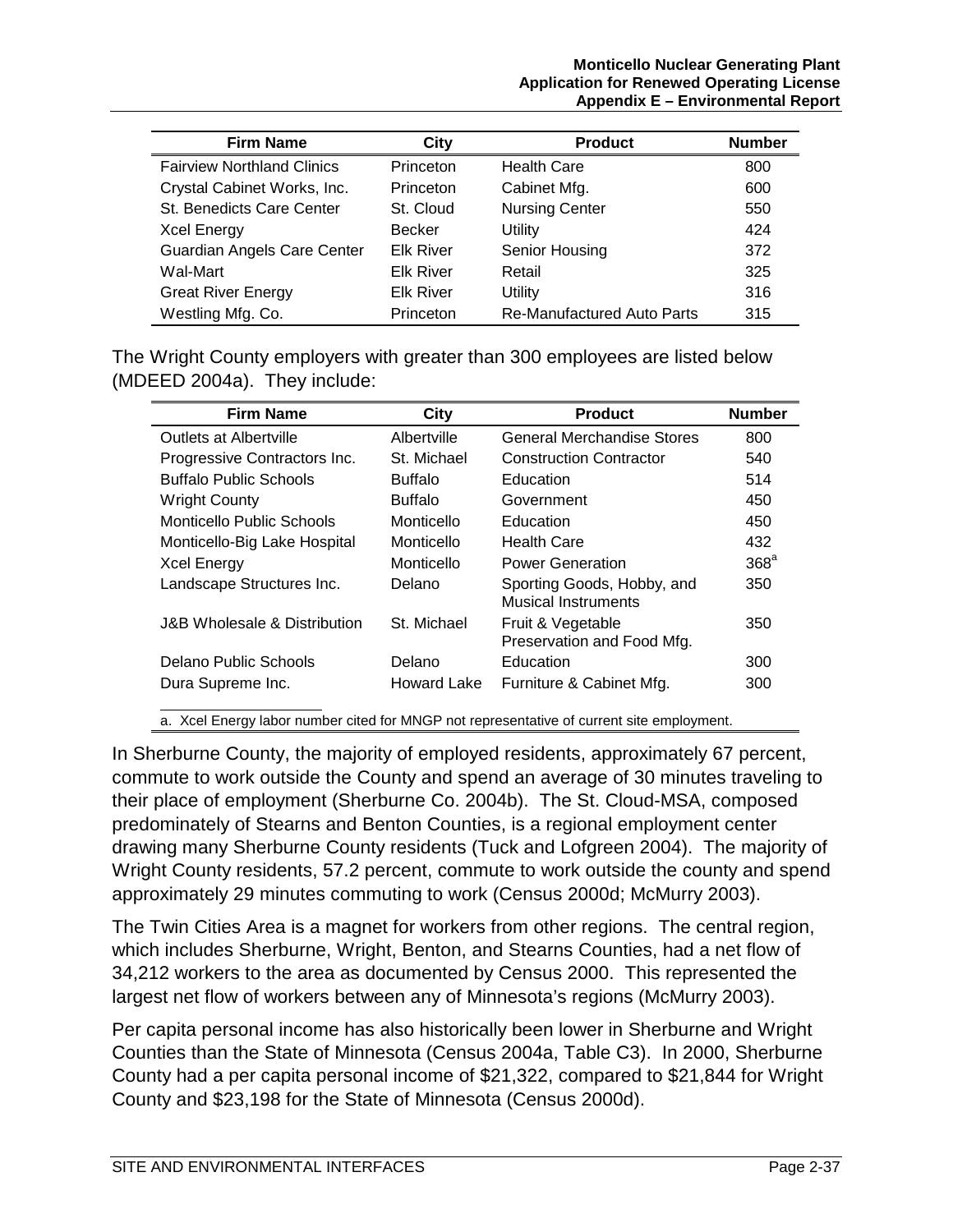| <b>Firm Name</b>                  | City             | <b>Product</b>                    | <b>Number</b> |
|-----------------------------------|------------------|-----------------------------------|---------------|
| <b>Fairview Northland Clinics</b> | Princeton        | <b>Health Care</b>                | 800           |
| Crystal Cabinet Works, Inc.       | Princeton        | Cabinet Mfg.                      | 600           |
| <b>St. Benedicts Care Center</b>  | St. Cloud        | <b>Nursing Center</b>             | 550           |
| <b>Xcel Energy</b>                | <b>Becker</b>    | Utility                           | 424           |
| Guardian Angels Care Center       | <b>Elk River</b> | Senior Housing                    | 372           |
| Wal-Mart                          | <b>Elk River</b> | Retail                            | 325           |
| <b>Great River Energy</b>         | <b>Elk River</b> | Utility                           | 316           |
| Westling Mfg. Co.                 | Princeton        | <b>Re-Manufactured Auto Parts</b> | 315           |

The Wright County employers with greater than 300 employees are listed below (MDEED 2004a). They include:

| <b>Firm Name</b>              | City           | <b>Product</b>                                                                            | <b>Number</b>    |
|-------------------------------|----------------|-------------------------------------------------------------------------------------------|------------------|
| <b>Outlets at Albertville</b> | Albertville    | General Merchandise Stores                                                                | 800              |
| Progressive Contractors Inc.  | St. Michael    | <b>Construction Contractor</b>                                                            | 540              |
| <b>Buffalo Public Schools</b> | <b>Buffalo</b> | Education                                                                                 | 514              |
| <b>Wright County</b>          | <b>Buffalo</b> | Government                                                                                | 450              |
| Monticello Public Schools     | Monticello     | Education                                                                                 | 450              |
| Monticello-Big Lake Hospital  | Monticello     | <b>Health Care</b>                                                                        | 432              |
| <b>Xcel Energy</b>            | Monticello     | <b>Power Generation</b>                                                                   | 368 <sup>a</sup> |
| Landscape Structures Inc.     | Delano         | Sporting Goods, Hobby, and<br><b>Musical Instruments</b>                                  | 350              |
| J&B Wholesale & Distribution  | St. Michael    | Fruit & Vegetable<br>Preservation and Food Mfg.                                           | 350              |
| Delano Public Schools         | Delano         | Education                                                                                 | 300              |
| Dura Supreme Inc.             | Howard Lake    | Furniture & Cabinet Mfg.                                                                  | 300              |
|                               |                | a. Xcel Energy labor number cited for MNGP not representative of current site employment. |                  |

In Sherburne County, the majority of employed residents, approximately 67 percent, commute to work outside the County and spend an average of 30 minutes traveling to their place of employment (Sherburne Co. 2004b). The St. Cloud-MSA, composed predominately of Stearns and Benton Counties, is a regional employment center drawing many Sherburne County residents (Tuck and Lofgreen 2004). The majority of Wright County residents, 57.2 percent, commute to work outside the county and spend approximately 29 minutes commuting to work (Census 2000d; McMurry 2003).

The Twin Cities Area is a magnet for workers from other regions. The central region, which includes Sherburne, Wright, Benton, and Stearns Counties, had a net flow of 34,212 workers to the area as documented by Census 2000. This represented the largest net flow of workers between any of Minnesota's regions (McMurry 2003).

Per capita personal income has also historically been lower in Sherburne and Wright Counties than the State of Minnesota (Census 2004a, Table C3). In 2000, Sherburne County had a per capita personal income of \$21,322, compared to \$21,844 for Wright County and \$23,198 for the State of Minnesota (Census 2000d).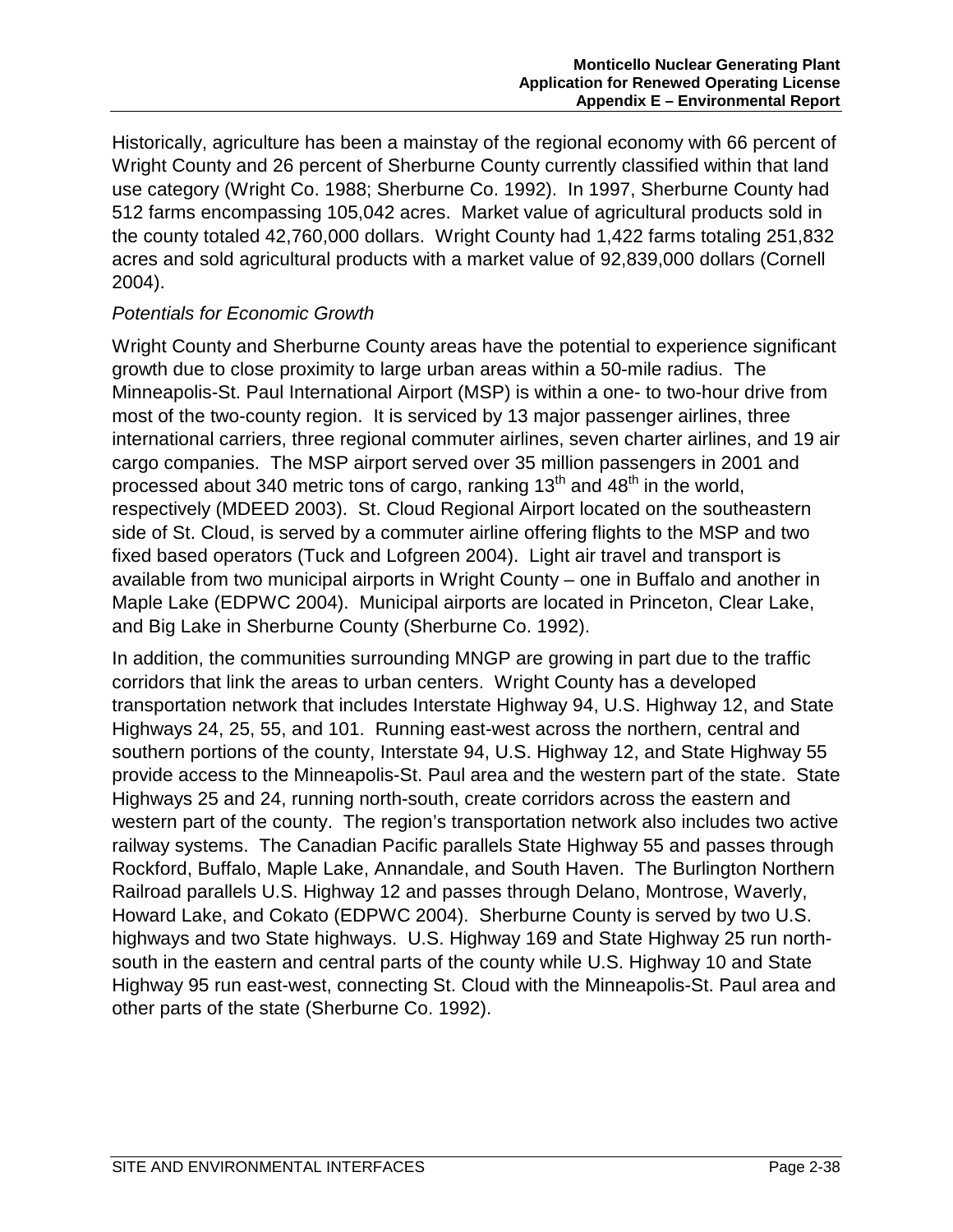Historically, agriculture has been a mainstay of the regional economy with 66 percent of Wright County and 26 percent of Sherburne County currently classified within that land use category (Wright Co. 1988; Sherburne Co. 1992). In 1997, Sherburne County had 512 farms encompassing 105,042 acres. Market value of agricultural products sold in the county totaled 42,760,000 dollars. Wright County had 1,422 farms totaling 251,832 acres and sold agricultural products with a market value of 92,839,000 dollars (Cornell 2004).

#### *Potentials for Economic Growth*

Wright County and Sherburne County areas have the potential to experience significant growth due to close proximity to large urban areas within a 50-mile radius. The Minneapolis-St. Paul International Airport (MSP) is within a one- to two-hour drive from most of the two-county region. It is serviced by 13 major passenger airlines, three international carriers, three regional commuter airlines, seven charter airlines, and 19 air cargo companies. The MSP airport served over 35 million passengers in 2001 and processed about 340 metric tons of cargo, ranking  $13<sup>th</sup>$  and  $48<sup>th</sup>$  in the world, respectively (MDEED 2003). St. Cloud Regional Airport located on the southeastern side of St. Cloud, is served by a commuter airline offering flights to the MSP and two fixed based operators (Tuck and Lofgreen 2004). Light air travel and transport is available from two municipal airports in Wright County – one in Buffalo and another in Maple Lake (EDPWC 2004). Municipal airports are located in Princeton, Clear Lake, and Big Lake in Sherburne County (Sherburne Co. 1992).

In addition, the communities surrounding MNGP are growing in part due to the traffic corridors that link the areas to urban centers. Wright County has a developed transportation network that includes Interstate Highway 94, U.S. Highway 12, and State Highways 24, 25, 55, and 101. Running east-west across the northern, central and southern portions of the county, Interstate 94, U.S. Highway 12, and State Highway 55 provide access to the Minneapolis-St. Paul area and the western part of the state. State Highways 25 and 24, running north-south, create corridors across the eastern and western part of the county. The region's transportation network also includes two active railway systems. The Canadian Pacific parallels State Highway 55 and passes through Rockford, Buffalo, Maple Lake, Annandale, and South Haven. The Burlington Northern Railroad parallels U.S. Highway 12 and passes through Delano, Montrose, Waverly, Howard Lake, and Cokato (EDPWC 2004). Sherburne County is served by two U.S. highways and two State highways. U.S. Highway 169 and State Highway 25 run northsouth in the eastern and central parts of the county while U.S. Highway 10 and State Highway 95 run east-west, connecting St. Cloud with the Minneapolis-St. Paul area and other parts of the state (Sherburne Co. 1992).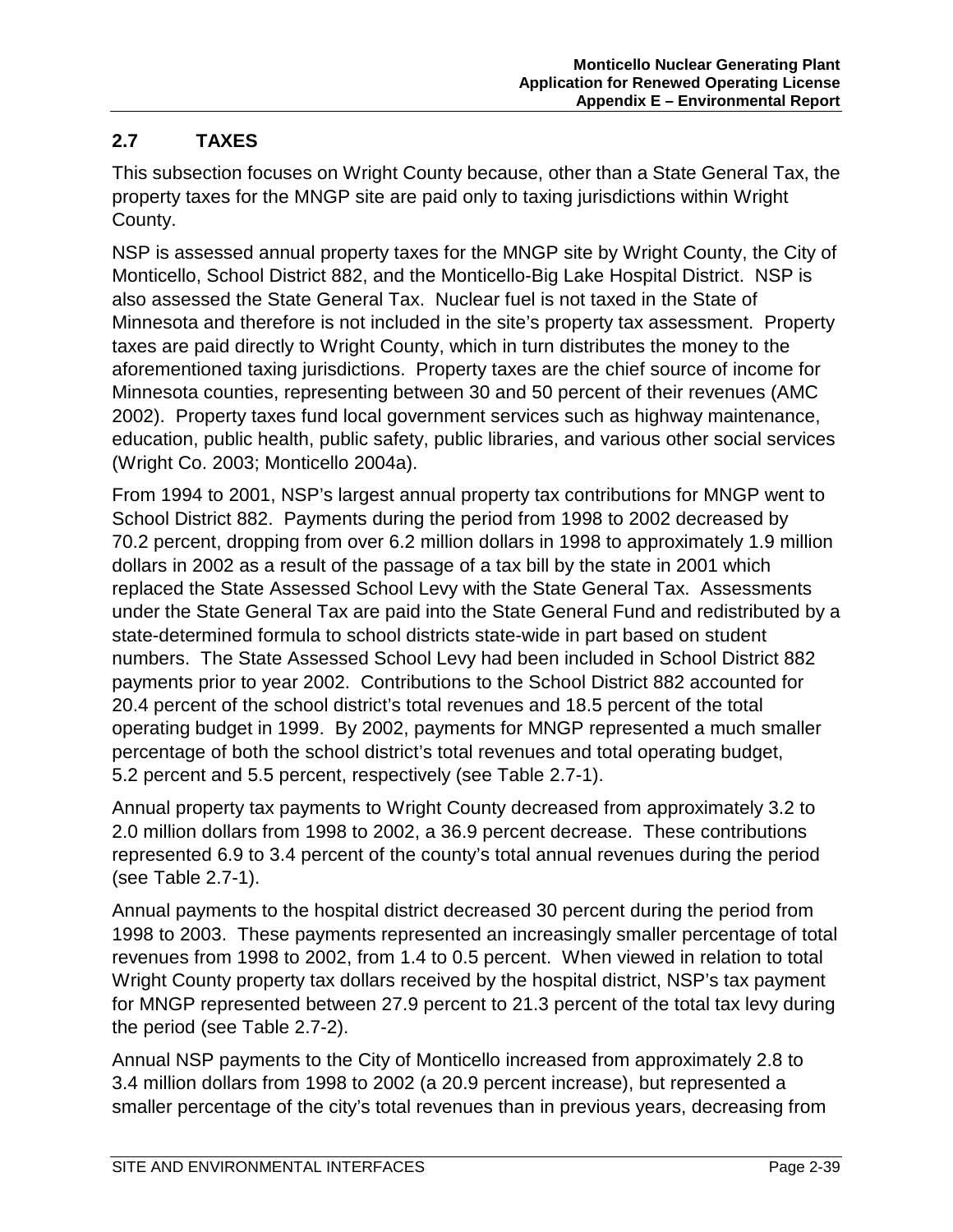## **2.7 TAXES**

This subsection focuses on Wright County because, other than a State General Tax, the property taxes for the MNGP site are paid only to taxing jurisdictions within Wright County.

NSP is assessed annual property taxes for the MNGP site by Wright County, the City of Monticello, School District 882, and the Monticello-Big Lake Hospital District. NSP is also assessed the State General Tax. Nuclear fuel is not taxed in the State of Minnesota and therefore is not included in the site's property tax assessment. Property taxes are paid directly to Wright County, which in turn distributes the money to the aforementioned taxing jurisdictions. Property taxes are the chief source of income for Minnesota counties, representing between 30 and 50 percent of their revenues (AMC 2002). Property taxes fund local government services such as highway maintenance, education, public health, public safety, public libraries, and various other social services (Wright Co. 2003; Monticello 2004a).

From 1994 to 2001, NSP's largest annual property tax contributions for MNGP went to School District 882. Payments during the period from 1998 to 2002 decreased by 70.2 percent, dropping from over 6.2 million dollars in 1998 to approximately 1.9 million dollars in 2002 as a result of the passage of a tax bill by the state in 2001 which replaced the State Assessed School Levy with the State General Tax. Assessments under the State General Tax are paid into the State General Fund and redistributed by a state-determined formula to school districts state-wide in part based on student numbers. The State Assessed School Levy had been included in School District 882 payments prior to year 2002. Contributions to the School District 882 accounted for 20.4 percent of the school district's total revenues and 18.5 percent of the total operating budget in 1999. By 2002, payments for MNGP represented a much smaller percentage of both the school district's total revenues and total operating budget, 5.2 percent and 5.5 percent, respectively (see Table 2.7-1).

Annual property tax payments to Wright County decreased from approximately 3.2 to 2.0 million dollars from 1998 to 2002, a 36.9 percent decrease. These contributions represented 6.9 to 3.4 percent of the county's total annual revenues during the period (see Table 2.7-1).

Annual payments to the hospital district decreased 30 percent during the period from 1998 to 2003. These payments represented an increasingly smaller percentage of total revenues from 1998 to 2002, from 1.4 to 0.5 percent. When viewed in relation to total Wright County property tax dollars received by the hospital district, NSP's tax payment for MNGP represented between 27.9 percent to 21.3 percent of the total tax levy during the period (see Table 2.7-2).

Annual NSP payments to the City of Monticello increased from approximately 2.8 to 3.4 million dollars from 1998 to 2002 (a 20.9 percent increase), but represented a smaller percentage of the city's total revenues than in previous years, decreasing from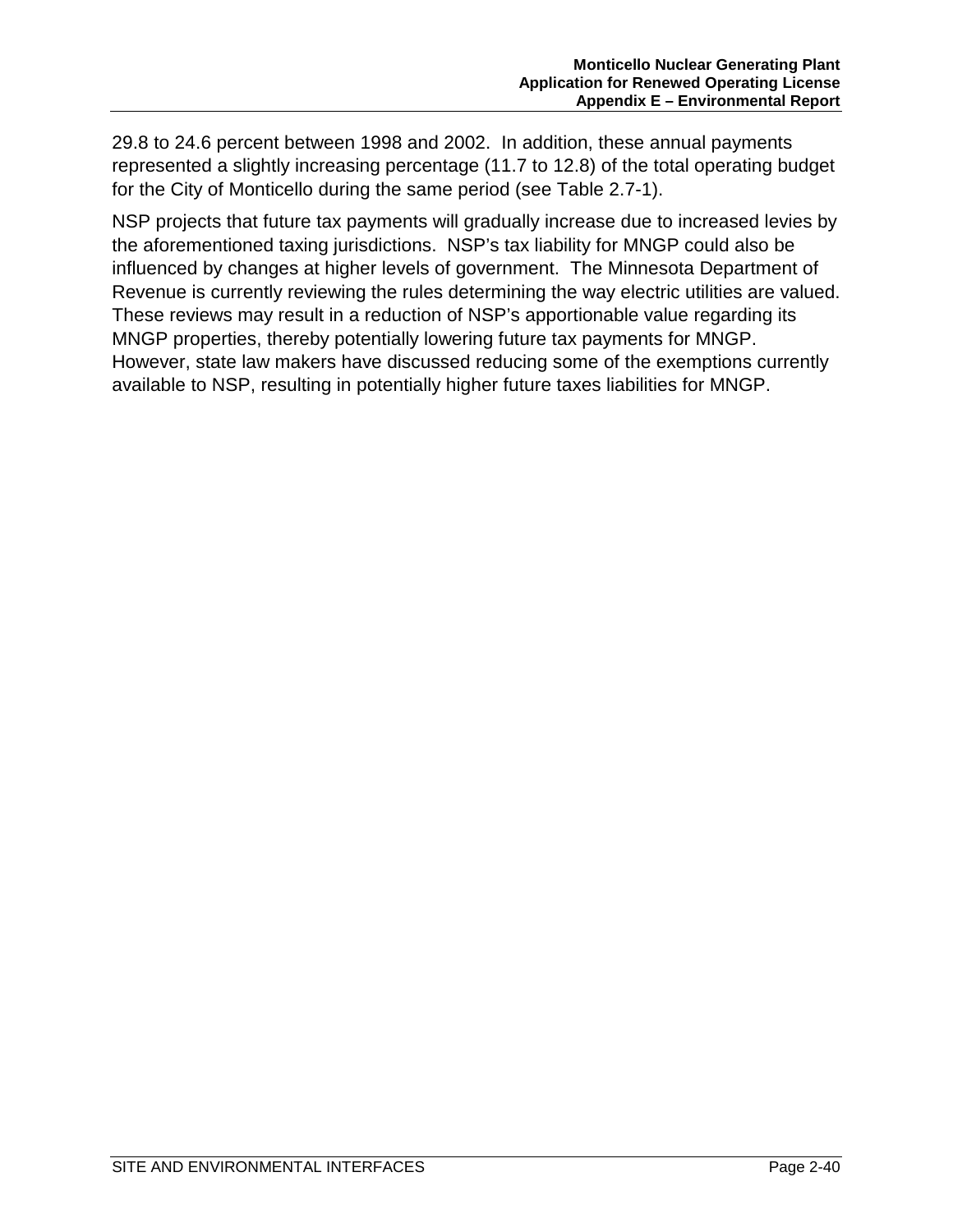29.8 to 24.6 percent between 1998 and 2002. In addition, these annual payments represented a slightly increasing percentage (11.7 to 12.8) of the total operating budget for the City of Monticello during the same period (see Table 2.7-1).

NSP projects that future tax payments will gradually increase due to increased levies by the aforementioned taxing jurisdictions. NSP's tax liability for MNGP could also be influenced by changes at higher levels of government. The Minnesota Department of Revenue is currently reviewing the rules determining the way electric utilities are valued. These reviews may result in a reduction of NSP's apportionable value regarding its MNGP properties, thereby potentially lowering future tax payments for MNGP. However, state law makers have discussed reducing some of the exemptions currently available to NSP, resulting in potentially higher future taxes liabilities for MNGP.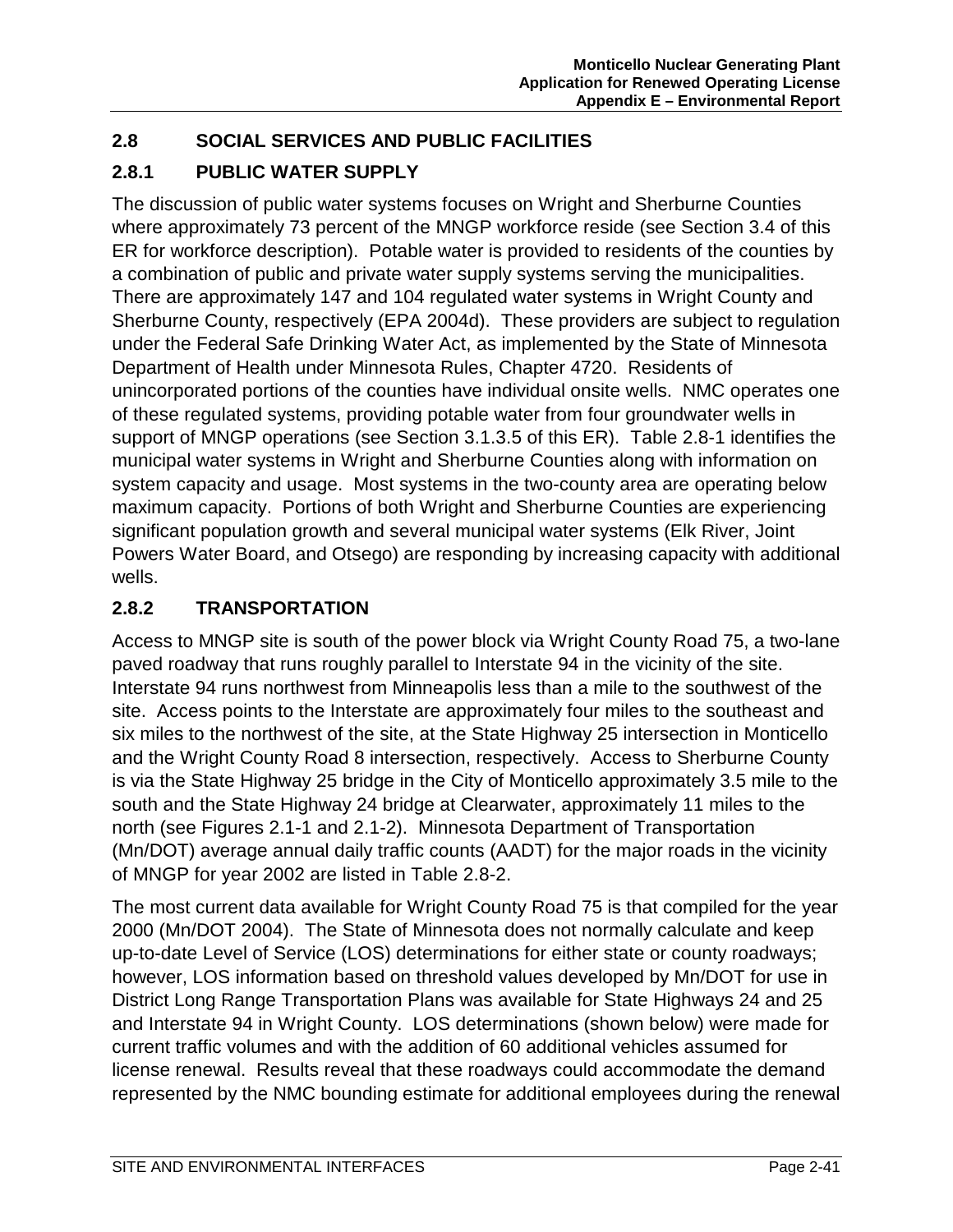# **2.8 SOCIAL SERVICES AND PUBLIC FACILITIES**

# **2.8.1 PUBLIC WATER SUPPLY**

The discussion of public water systems focuses on Wright and Sherburne Counties where approximately 73 percent of the MNGP workforce reside (see Section 3.4 of this ER for workforce description). Potable water is provided to residents of the counties by a combination of public and private water supply systems serving the municipalities. There are approximately 147 and 104 regulated water systems in Wright County and Sherburne County, respectively (EPA 2004d). These providers are subject to regulation under the Federal Safe Drinking Water Act, as implemented by the State of Minnesota Department of Health under Minnesota Rules, Chapter 4720. Residents of unincorporated portions of the counties have individual onsite wells. NMC operates one of these regulated systems, providing potable water from four groundwater wells in support of MNGP operations (see Section 3.1.3.5 of this ER). Table 2.8-1 identifies the municipal water systems in Wright and Sherburne Counties along with information on system capacity and usage. Most systems in the two-county area are operating below maximum capacity. Portions of both Wright and Sherburne Counties are experiencing significant population growth and several municipal water systems (Elk River, Joint Powers Water Board, and Otsego) are responding by increasing capacity with additional wells.

# **2.8.2 TRANSPORTATION**

Access to MNGP site is south of the power block via Wright County Road 75, a two-lane paved roadway that runs roughly parallel to Interstate 94 in the vicinity of the site. Interstate 94 runs northwest from Minneapolis less than a mile to the southwest of the site. Access points to the Interstate are approximately four miles to the southeast and six miles to the northwest of the site, at the State Highway 25 intersection in Monticello and the Wright County Road 8 intersection, respectively. Access to Sherburne County is via the State Highway 25 bridge in the City of Monticello approximately 3.5 mile to the south and the State Highway 24 bridge at Clearwater, approximately 11 miles to the north (see Figures 2.1-1 and 2.1-2). Minnesota Department of Transportation (Mn/DOT) average annual daily traffic counts (AADT) for the major roads in the vicinity of MNGP for year 2002 are listed in Table 2.8-2.

The most current data available for Wright County Road 75 is that compiled for the year 2000 (Mn/DOT 2004). The State of Minnesota does not normally calculate and keep up-to-date Level of Service (LOS) determinations for either state or county roadways; however, LOS information based on threshold values developed by Mn/DOT for use in District Long Range Transportation Plans was available for State Highways 24 and 25 and Interstate 94 in Wright County. LOS determinations (shown below) were made for current traffic volumes and with the addition of 60 additional vehicles assumed for license renewal. Results reveal that these roadways could accommodate the demand represented by the NMC bounding estimate for additional employees during the renewal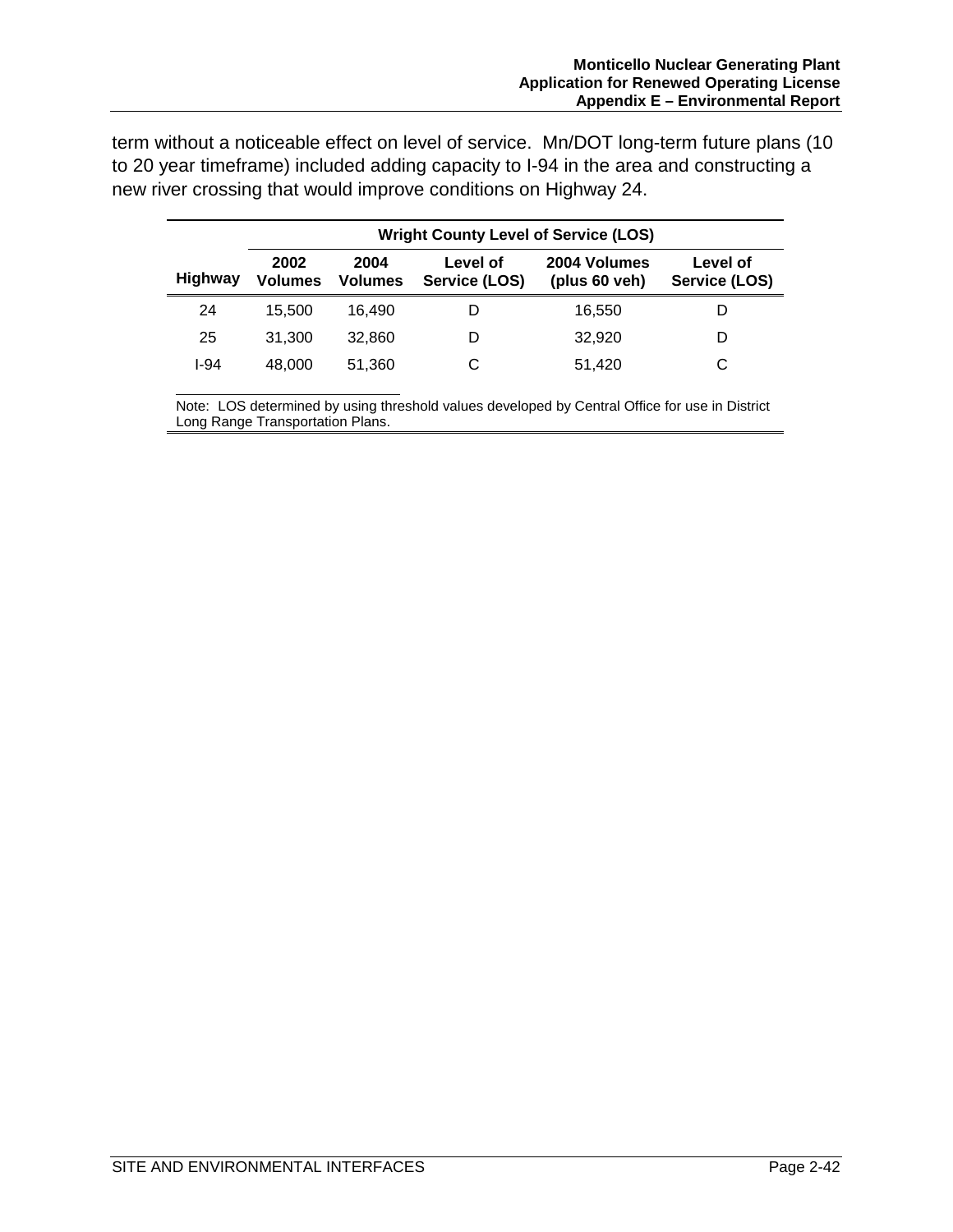term without a noticeable effect on level of service. Mn/DOT long-term future plans (10 to 20 year timeframe) included adding capacity to I-94 in the area and constructing a new river crossing that would improve conditions on Highway 24.

|                | <b>Wright County Level of Service (LOS)</b> |                 |                           |                                 |                           |  |
|----------------|---------------------------------------------|-----------------|---------------------------|---------------------------------|---------------------------|--|
| <b>Highway</b> | 2002<br><b>Volumes</b>                      | 2004<br>Volumes | Level of<br>Service (LOS) | 2004 Volumes<br>(plus $60$ veh) | Level of<br>Service (LOS) |  |
| 24             | 15.500                                      | 16.490          |                           | 16,550                          |                           |  |
| 25             | 31.300                                      | 32,860          |                           | 32.920                          |                           |  |
| I-94           | 48,000                                      | 51.360          |                           | 51,420                          | С                         |  |

Note: LOS determined by using threshold values developed by Central Office for use in District Long Range Transportation Plans.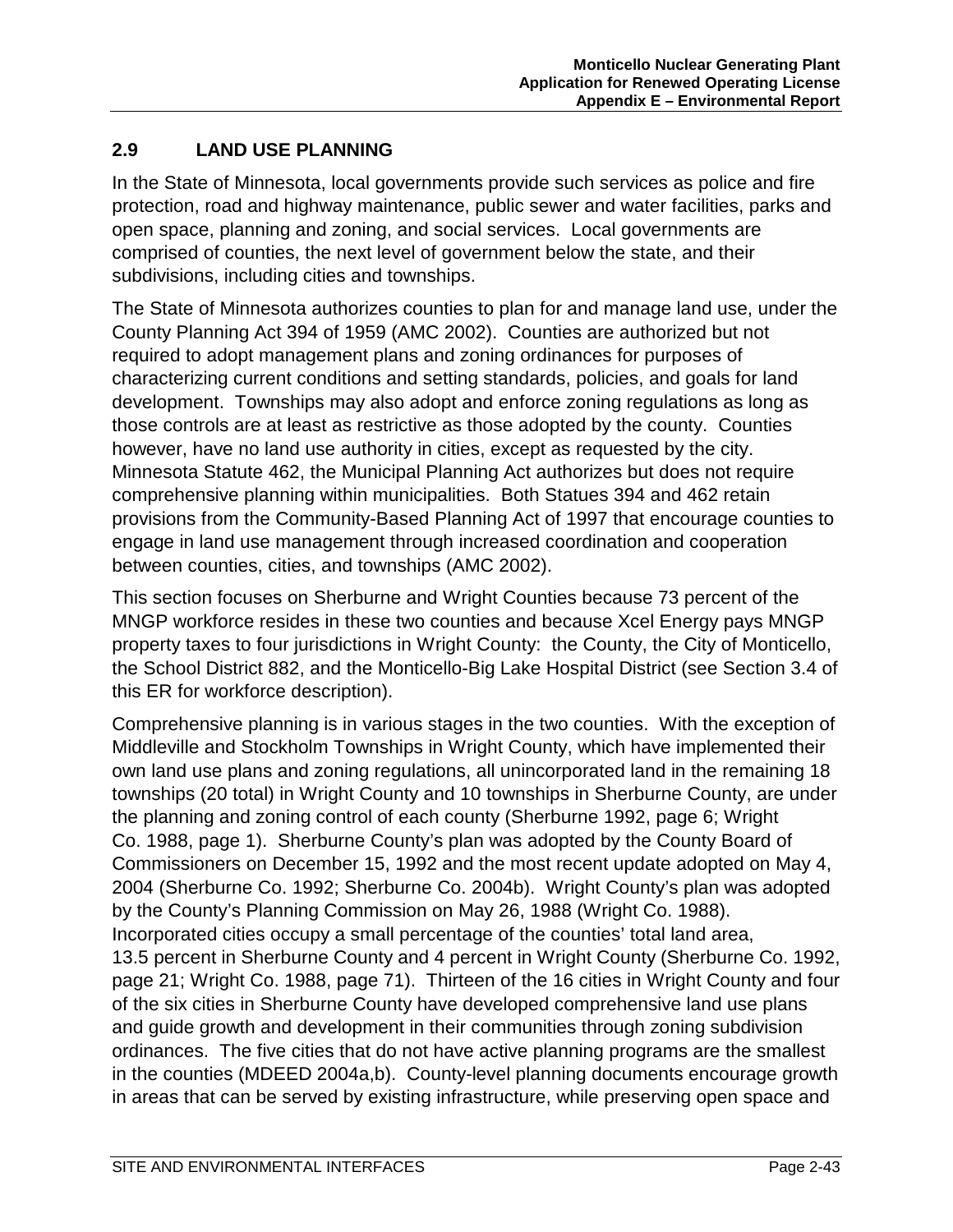## **2.9 LAND USE PLANNING**

In the State of Minnesota, local governments provide such services as police and fire protection, road and highway maintenance, public sewer and water facilities, parks and open space, planning and zoning, and social services. Local governments are comprised of counties, the next level of government below the state, and their subdivisions, including cities and townships.

The State of Minnesota authorizes counties to plan for and manage land use, under the County Planning Act 394 of 1959 (AMC 2002). Counties are authorized but not required to adopt management plans and zoning ordinances for purposes of characterizing current conditions and setting standards, policies, and goals for land development. Townships may also adopt and enforce zoning regulations as long as those controls are at least as restrictive as those adopted by the county. Counties however, have no land use authority in cities, except as requested by the city. Minnesota Statute 462, the Municipal Planning Act authorizes but does not require comprehensive planning within municipalities. Both Statues 394 and 462 retain provisions from the Community-Based Planning Act of 1997 that encourage counties to engage in land use management through increased coordination and cooperation between counties, cities, and townships (AMC 2002).

This section focuses on Sherburne and Wright Counties because 73 percent of the MNGP workforce resides in these two counties and because Xcel Energy pays MNGP property taxes to four jurisdictions in Wright County: the County, the City of Monticello, the School District 882, and the Monticello-Big Lake Hospital District (see Section 3.4 of this ER for workforce description).

Comprehensive planning is in various stages in the two counties. With the exception of Middleville and Stockholm Townships in Wright County, which have implemented their own land use plans and zoning regulations, all unincorporated land in the remaining 18 townships (20 total) in Wright County and 10 townships in Sherburne County, are under the planning and zoning control of each county (Sherburne 1992, page 6; Wright Co. 1988, page 1). Sherburne County's plan was adopted by the County Board of Commissioners on December 15, 1992 and the most recent update adopted on May 4, 2004 (Sherburne Co. 1992; Sherburne Co. 2004b). Wright County's plan was adopted by the County's Planning Commission on May 26, 1988 (Wright Co. 1988). Incorporated cities occupy a small percentage of the counties' total land area, 13.5 percent in Sherburne County and 4 percent in Wright County (Sherburne Co. 1992, page 21; Wright Co. 1988, page 71). Thirteen of the 16 cities in Wright County and four of the six cities in Sherburne County have developed comprehensive land use plans and guide growth and development in their communities through zoning subdivision ordinances. The five cities that do not have active planning programs are the smallest in the counties (MDEED 2004a,b). County-level planning documents encourage growth in areas that can be served by existing infrastructure, while preserving open space and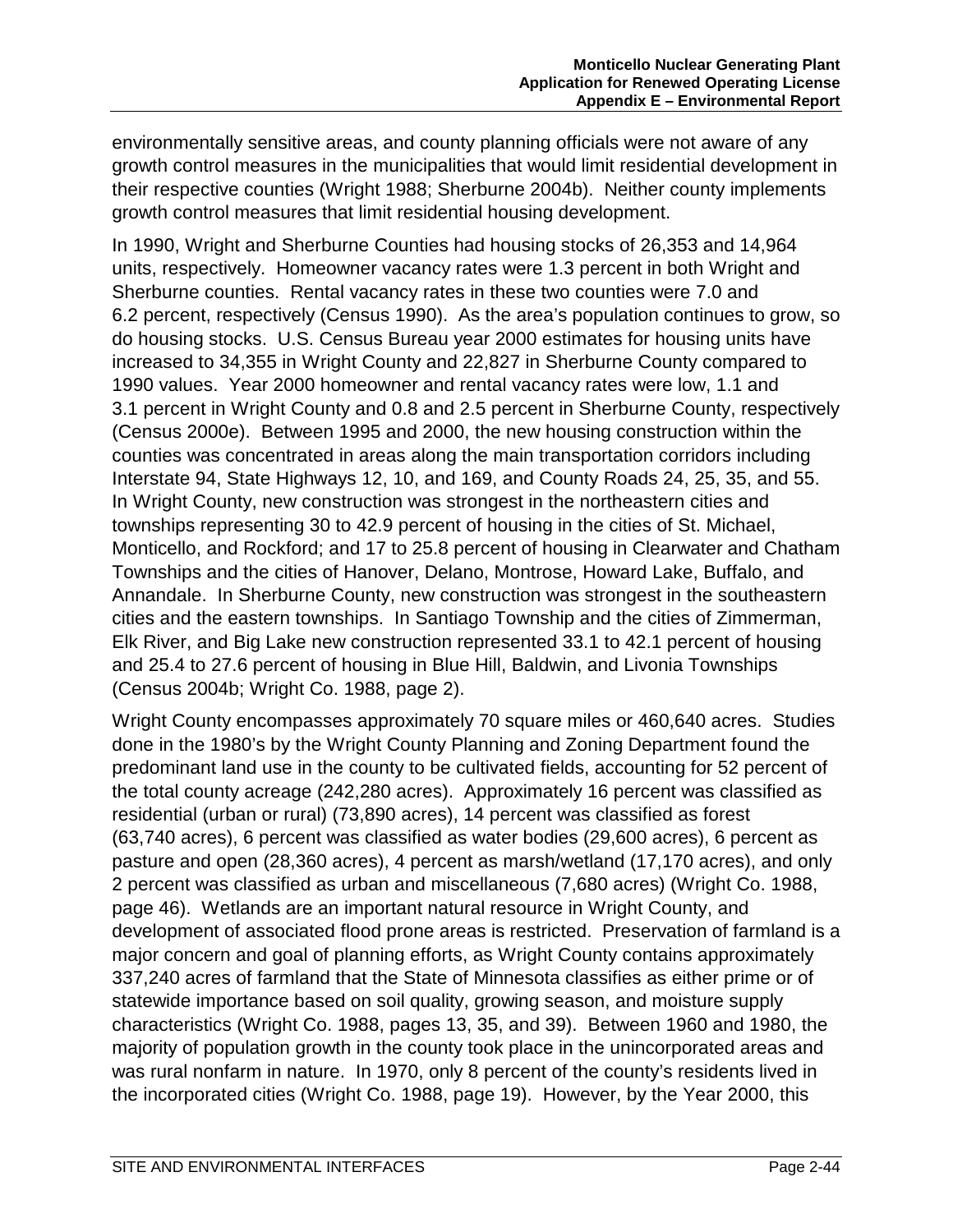environmentally sensitive areas, and county planning officials were not aware of any growth control measures in the municipalities that would limit residential development in their respective counties (Wright 1988; Sherburne 2004b). Neither county implements growth control measures that limit residential housing development.

In 1990, Wright and Sherburne Counties had housing stocks of 26,353 and 14,964 units, respectively. Homeowner vacancy rates were 1.3 percent in both Wright and Sherburne counties. Rental vacancy rates in these two counties were 7.0 and 6.2 percent, respectively (Census 1990). As the area's population continues to grow, so do housing stocks. U.S. Census Bureau year 2000 estimates for housing units have increased to 34,355 in Wright County and 22,827 in Sherburne County compared to 1990 values. Year 2000 homeowner and rental vacancy rates were low, 1.1 and 3.1 percent in Wright County and 0.8 and 2.5 percent in Sherburne County, respectively (Census 2000e). Between 1995 and 2000, the new housing construction within the counties was concentrated in areas along the main transportation corridors including Interstate 94, State Highways 12, 10, and 169, and County Roads 24, 25, 35, and 55. In Wright County, new construction was strongest in the northeastern cities and townships representing 30 to 42.9 percent of housing in the cities of St. Michael, Monticello, and Rockford; and 17 to 25.8 percent of housing in Clearwater and Chatham Townships and the cities of Hanover, Delano, Montrose, Howard Lake, Buffalo, and Annandale. In Sherburne County, new construction was strongest in the southeastern cities and the eastern townships. In Santiago Township and the cities of Zimmerman, Elk River, and Big Lake new construction represented 33.1 to 42.1 percent of housing and 25.4 to 27.6 percent of housing in Blue Hill, Baldwin, and Livonia Townships (Census 2004b; Wright Co. 1988, page 2).

Wright County encompasses approximately 70 square miles or 460,640 acres. Studies done in the 1980's by the Wright County Planning and Zoning Department found the predominant land use in the county to be cultivated fields, accounting for 52 percent of the total county acreage (242,280 acres). Approximately 16 percent was classified as residential (urban or rural) (73,890 acres), 14 percent was classified as forest (63,740 acres), 6 percent was classified as water bodies (29,600 acres), 6 percent as pasture and open (28,360 acres), 4 percent as marsh/wetland (17,170 acres), and only 2 percent was classified as urban and miscellaneous (7,680 acres) (Wright Co. 1988, page 46). Wetlands are an important natural resource in Wright County, and development of associated flood prone areas is restricted. Preservation of farmland is a major concern and goal of planning efforts, as Wright County contains approximately 337,240 acres of farmland that the State of Minnesota classifies as either prime or of statewide importance based on soil quality, growing season, and moisture supply characteristics (Wright Co. 1988, pages 13, 35, and 39). Between 1960 and 1980, the majority of population growth in the county took place in the unincorporated areas and was rural nonfarm in nature. In 1970, only 8 percent of the county's residents lived in the incorporated cities (Wright Co. 1988, page 19). However, by the Year 2000, this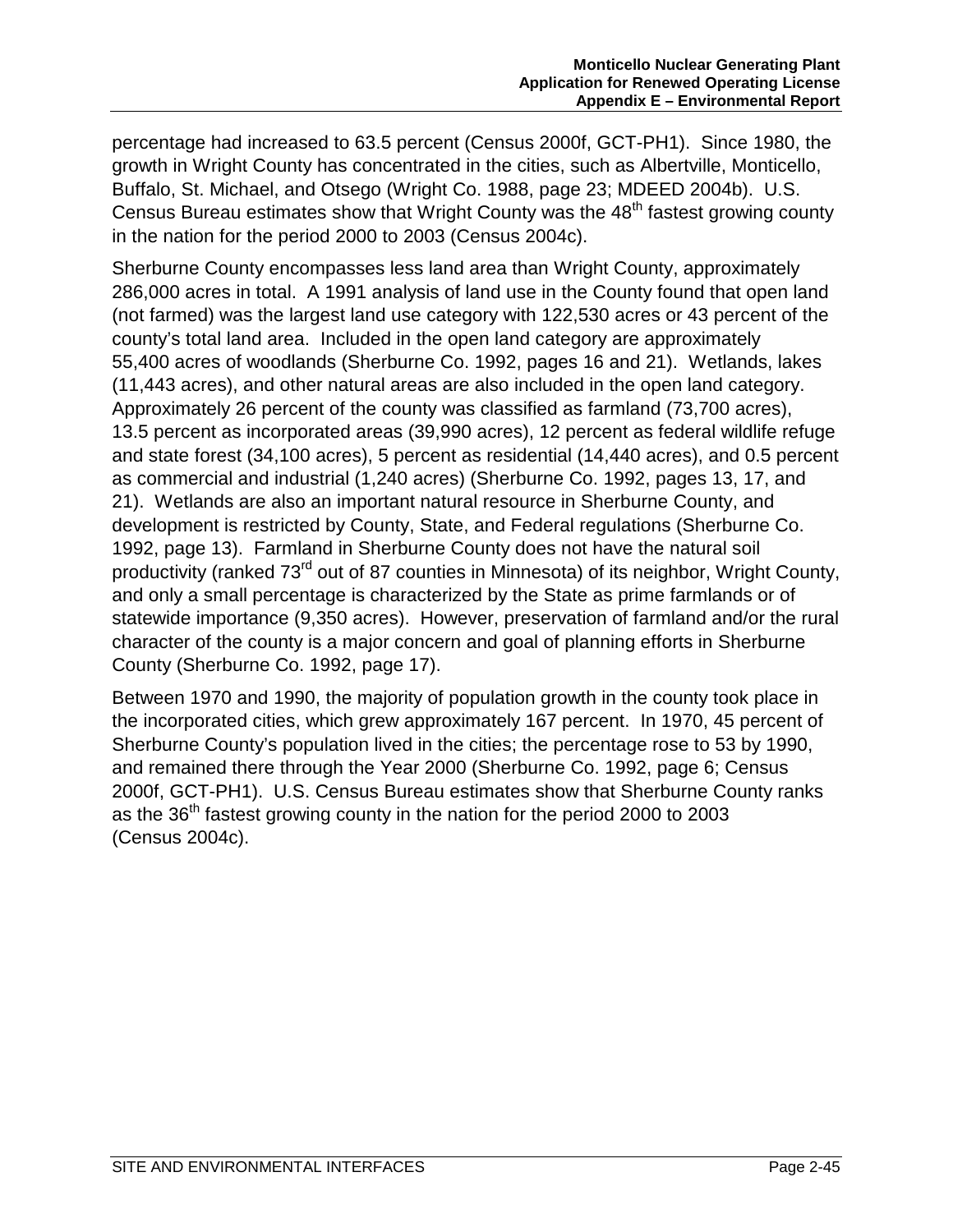percentage had increased to 63.5 percent (Census 2000f, GCT-PH1). Since 1980, the growth in Wright County has concentrated in the cities, such as Albertville, Monticello, Buffalo, St. Michael, and Otsego (Wright Co. 1988, page 23; MDEED 2004b). U.S. Census Bureau estimates show that Wright County was the 48<sup>th</sup> fastest growing county in the nation for the period 2000 to 2003 (Census 2004c).

Sherburne County encompasses less land area than Wright County, approximately 286,000 acres in total. A 1991 analysis of land use in the County found that open land (not farmed) was the largest land use category with 122,530 acres or 43 percent of the county's total land area. Included in the open land category are approximately 55,400 acres of woodlands (Sherburne Co. 1992, pages 16 and 21). Wetlands, lakes (11,443 acres), and other natural areas are also included in the open land category. Approximately 26 percent of the county was classified as farmland (73,700 acres), 13.5 percent as incorporated areas (39,990 acres), 12 percent as federal wildlife refuge and state forest (34,100 acres), 5 percent as residential (14,440 acres), and 0.5 percent as commercial and industrial (1,240 acres) (Sherburne Co. 1992, pages 13, 17, and 21). Wetlands are also an important natural resource in Sherburne County, and development is restricted by County, State, and Federal regulations (Sherburne Co. 1992, page 13). Farmland in Sherburne County does not have the natural soil productivity (ranked 73<sup>rd</sup> out of 87 counties in Minnesota) of its neighbor, Wright County, and only a small percentage is characterized by the State as prime farmlands or of statewide importance (9,350 acres). However, preservation of farmland and/or the rural character of the county is a major concern and goal of planning efforts in Sherburne County (Sherburne Co. 1992, page 17).

Between 1970 and 1990, the majority of population growth in the county took place in the incorporated cities, which grew approximately 167 percent. In 1970, 45 percent of Sherburne County's population lived in the cities; the percentage rose to 53 by 1990, and remained there through the Year 2000 (Sherburne Co. 1992, page 6; Census 2000f, GCT-PH1). U.S. Census Bureau estimates show that Sherburne County ranks as the 36<sup>th</sup> fastest growing county in the nation for the period 2000 to 2003 (Census 2004c).